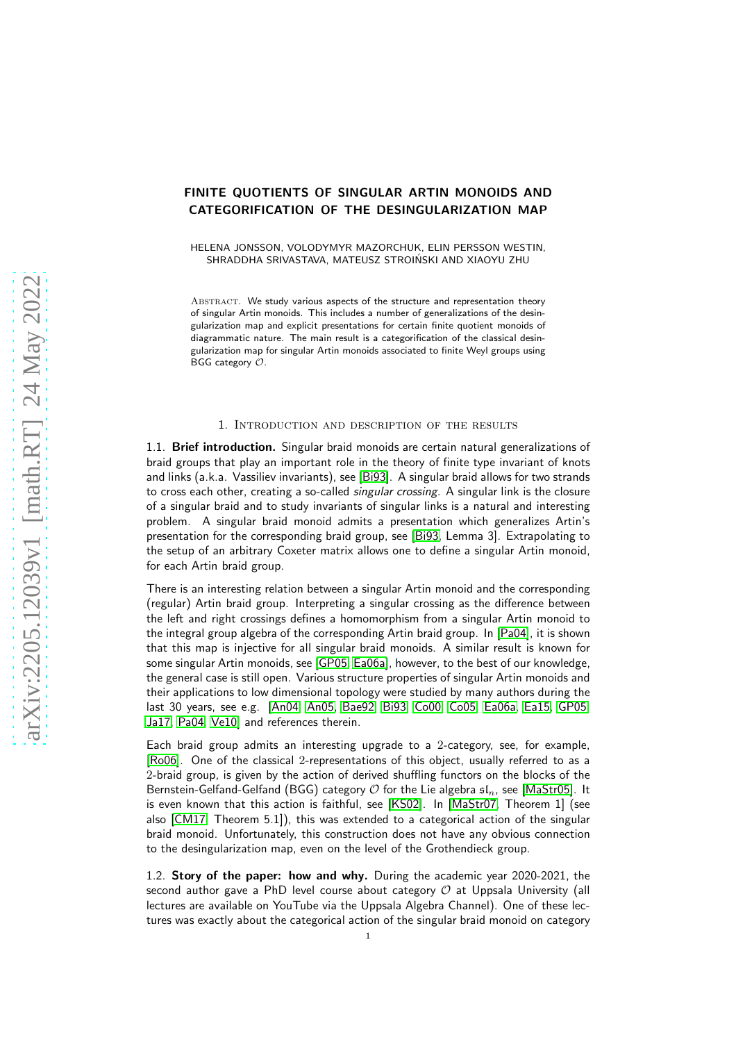# FINITE QUOTIENTS OF SINGULAR ARTIN MONOIDS AND CATEGORIFICATION OF THE DESINGULARIZATION MAP

HELENA JONSSON, VOLODYMYR MAZORCHUK, ELIN PERSSON WESTIN, SHRADDHA SRIVASTAVA, MATEUSZ STROINSKI AND XIAOYU ZHU ´

ABSTRACT. We study various aspects of the structure and representation theory of singular Artin monoids. This includes a number of generalizations of the desingularization map and explicit presentations for certain finite quotient monoids of diagrammatic nature. The main result is a categorification of the classical desingularization map for singular Artin monoids associated to finite Weyl groups using BGG category O.

## 1. Introduction and description of the results

1.1. Brief introduction. Singular braid monoids are certain natural generalizations of braid groups that play an important role in the theory of finite type invariant of knots and links (a.k.a. Vassiliev invariants), see [\[Bi93\]](#page-36-0). A singular braid allows for two strands to cross each other, creating a so-called *singular crossing*. A singular link is the closure of a singular braid and to study invariants of singular links is a natural and interesting problem. A singular braid monoid admits a presentation which generalizes Artin's presentation for the corresponding braid group, see [\[Bi93,](#page-36-0) Lemma 3]. Extrapolating to the setup of an arbitrary Coxeter matrix allows one to define a singular Artin monoid, for each Artin braid group.

There is an interesting relation between a singular Artin monoid and the corresponding (regular) Artin braid group. Interpreting a singular crossing as the difference between the left and right crossings defines a homomorphism from a singular Artin monoid to the integral group algebra of the corresponding Artin braid group. In [\[Pa04\]](#page-38-0), it is shown that this map is injective for all singular braid monoids. A similar result is known for some singular Artin monoids, see [\[GP05,](#page-37-0) [Ea06a\]](#page-37-1), however, to the best of our knowledge, the general case is still open. Various structure properties of singular Artin monoids and their applications to low dimensional topology were studied by many authors during the last 30 years, see e.g. [\[An04,](#page-36-1) [An05,](#page-36-2) [Bae92,](#page-36-3) [Bi93,](#page-36-0) [Co00,](#page-37-2) [Co05,](#page-37-3) [Ea06a,](#page-37-1) [Ea15,](#page-37-4) [GP05,](#page-37-0) [Ja17,](#page-37-5) [Pa04,](#page-38-0) [Ve10\]](#page-38-1) and references therein.

Each braid group admits an interesting upgrade to a 2-category, see, for example, [\[Ro06\]](#page-38-2). One of the classical 2-representations of this object, usually referred to as a 2-braid group, is given by the action of derived shuffling functors on the blocks of the Bernstein-Gelfand-Gelfand (BGG) category  $O$  for the Lie algebra  $\mathfrak{sl}_n$ , see [\[MaStr05\]](#page-38-3). It is even known that this action is faithful, see [\[KS02\]](#page-37-6). In [\[MaStr07,](#page-38-4) Theorem 1] (see also [\[CM17,](#page-37-7) Theorem 5.1]), this was extended to a categorical action of the singular braid monoid. Unfortunately, this construction does not have any obvious connection to the desingularization map, even on the level of the Grothendieck group.

1.2. Story of the paper: how and why. During the academic year 2020-2021, the second author gave a PhD level course about category  $\mathcal O$  at Uppsala University (all lectures are available on YouTube via the Uppsala Algebra Channel). One of these lectures was exactly about the categorical action of the singular braid monoid on category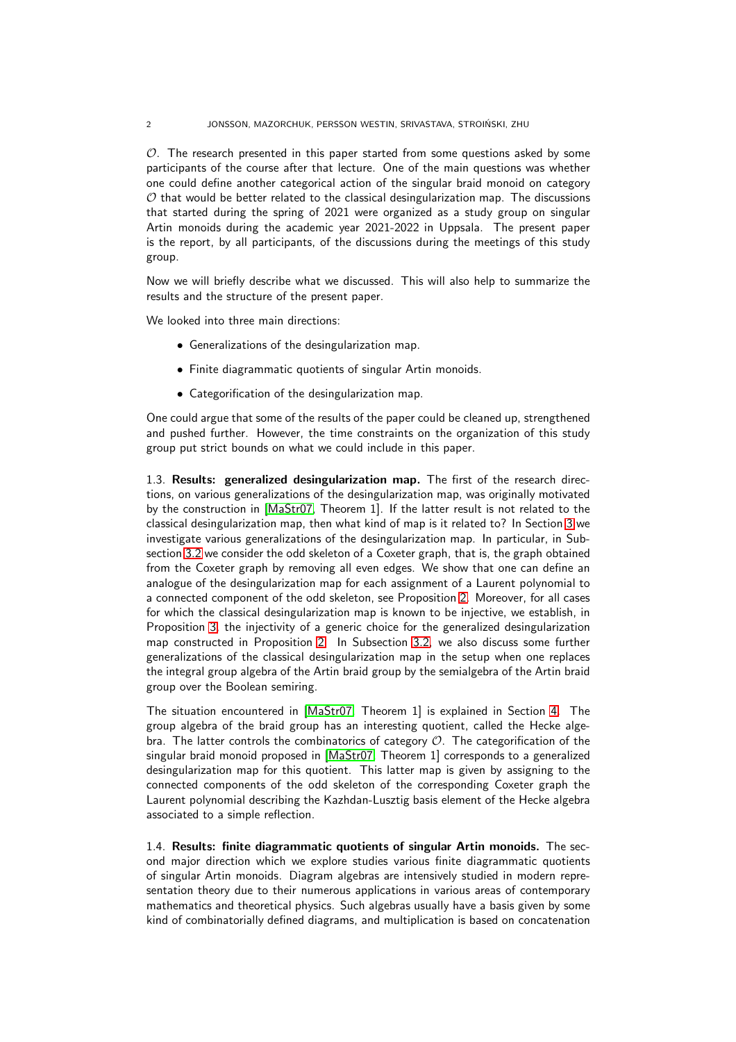#### 2 JONSSON, MAZORCHUK, PERSSON WESTIN, SRIVASTAVA, STROINSKI, ZHU ´

 $O$ . The research presented in this paper started from some questions asked by some participants of the course after that lecture. One of the main questions was whether one could define another categorical action of the singular braid monoid on category  $O$  that would be better related to the classical desingularization map. The discussions that started during the spring of 2021 were organized as a study group on singular Artin monoids during the academic year 2021-2022 in Uppsala. The present paper is the report, by all participants, of the discussions during the meetings of this study group.

Now we will briefly describe what we discussed. This will also help to summarize the results and the structure of the present paper.

We looked into three main directions:

- Generalizations of the desingularization map.
- Finite diagrammatic quotients of singular Artin monoids.
- Categorification of the desingularization map.

One could argue that some of the results of the paper could be cleaned up, strengthened and pushed further. However, the time constraints on the organization of this study group put strict bounds on what we could include in this paper.

1.3. Results: generalized desingularization map. The first of the research directions, on various generalizations of the desingularization map, was originally motivated by the construction in [\[MaStr07,](#page-38-4) Theorem 1]. If the latter result is not related to the classical desingularization map, then what kind of map is it related to? In Section [3](#page-5-0) we investigate various generalizations of the desingularization map. In particular, in Subsection [3.2](#page-5-1) we consider the odd skeleton of a Coxeter graph, that is, the graph obtained from the Coxeter graph by removing all even edges. We show that one can define an analogue of the desingularization map for each assignment of a Laurent polynomial to a connected component of the odd skeleton, see Proposition [2.](#page-6-0) Moreover, for all cases for which the classical desingularization map is known to be injective, we establish, in Proposition [3,](#page-6-1) the injectivity of a generic choice for the generalized desingularization map constructed in Proposition [2.](#page-6-0) In Subsection [3.2,](#page-5-1) we also discuss some further generalizations of the classical desingularization map in the setup when one replaces the integral group algebra of the Artin braid group by the semialgebra of the Artin braid group over the Boolean semiring.

The situation encountered in [\[MaStr07,](#page-38-4) Theorem 1] is explained in Section [4.](#page-7-0) The group algebra of the braid group has an interesting quotient, called the Hecke algebra. The latter controls the combinatorics of category  $O$ . The categorification of the singular braid monoid proposed in [\[MaStr07,](#page-38-4) Theorem 1] corresponds to a generalized desingularization map for this quotient. This latter map is given by assigning to the connected components of the odd skeleton of the corresponding Coxeter graph the Laurent polynomial describing the Kazhdan-Lusztig basis element of the Hecke algebra associated to a simple reflection.

1.4. Results: finite diagrammatic quotients of singular Artin monoids. The second major direction which we explore studies various finite diagrammatic quotients of singular Artin monoids. Diagram algebras are intensively studied in modern representation theory due to their numerous applications in various areas of contemporary mathematics and theoretical physics. Such algebras usually have a basis given by some kind of combinatorially defined diagrams, and multiplication is based on concatenation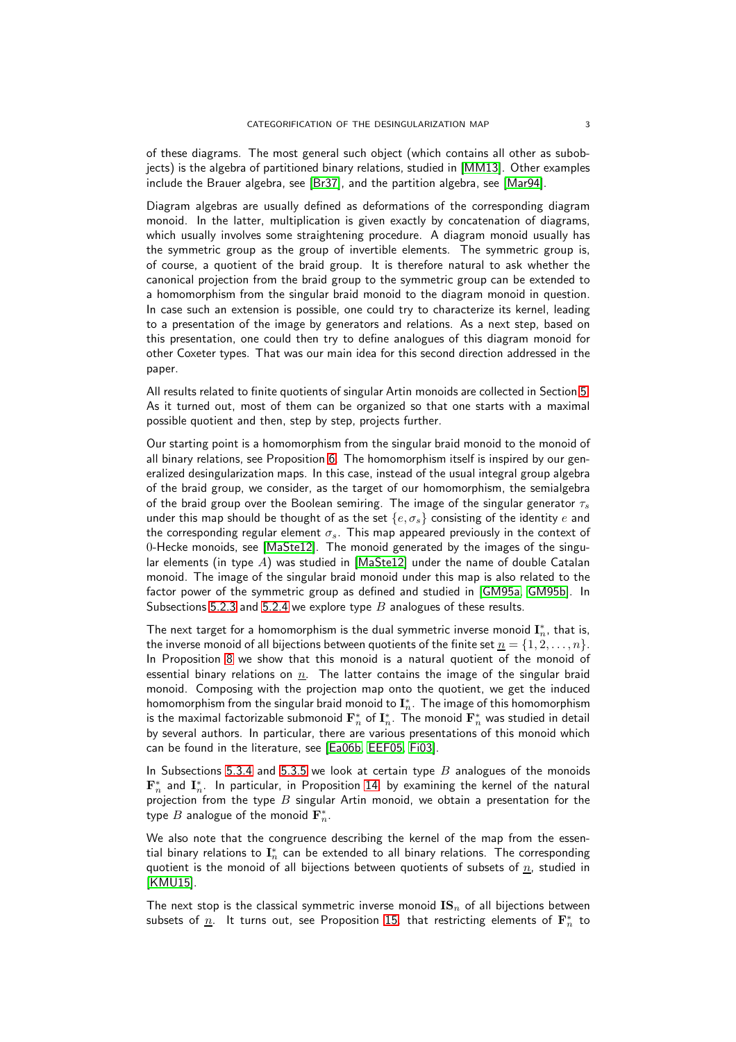of these diagrams. The most general such object (which contains all other as subobjects) is the algebra of partitioned binary relations, studied in [\[MM13\]](#page-37-8). Other examples include the Brauer algebra, see [\[Br37\]](#page-36-4), and the partition algebra, see [\[Mar94\]](#page-37-9).

Diagram algebras are usually defined as deformations of the corresponding diagram monoid. In the latter, multiplication is given exactly by concatenation of diagrams, which usually involves some straightening procedure. A diagram monoid usually has the symmetric group as the group of invertible elements. The symmetric group is, of course, a quotient of the braid group. It is therefore natural to ask whether the canonical projection from the braid group to the symmetric group can be extended to a homomorphism from the singular braid monoid to the diagram monoid in question. In case such an extension is possible, one could try to characterize its kernel, leading to a presentation of the image by generators and relations. As a next step, based on this presentation, one could then try to define analogues of this diagram monoid for other Coxeter types. That was our main idea for this second direction addressed in the paper.

All results related to finite quotients of singular Artin monoids are collected in Section [5.](#page-8-0) As it turned out, most of them can be organized so that one starts with a maximal possible quotient and then, step by step, projects further.

Our starting point is a homomorphism from the singular braid monoid to the monoid of all binary relations, see Proposition [6.](#page-9-0) The homomorphism itself is inspired by our generalized desingularization maps. In this case, instead of the usual integral group algebra of the braid group, we consider, as the target of our homomorphism, the semialgebra of the braid group over the Boolean semiring. The image of the singular generator  $\tau_s$ under this map should be thought of as the set  $\{e, \sigma_s\}$  consisting of the identity e and the corresponding regular element  $\sigma_s$ . This map appeared previously in the context of 0-Hecke monoids, see [\[MaSte12\]](#page-38-5). The monoid generated by the images of the singular elements (in type  $A$ ) was studied in [\[MaSte12\]](#page-38-5) under the name of double Catalan monoid. The image of the singular braid monoid under this map is also related to the factor power of the symmetric group as defined and studied in [\[GM95a,](#page-37-10) [GM95b\]](#page-37-11). In Subsections [5.2.3](#page-9-1) and [5.2.4](#page-10-0) we explore type  $B$  analogues of these results.

The next target for a homomorphism is the dual symmetric inverse monoid  $\mathbf{I}_n^*$ , that is, the inverse monoid of all bijections between quotients of the finite set  $\underline{n} = \{1, 2, \ldots, n\}$ . In Proposition [8](#page-11-0) we show that this monoid is a natural quotient of the monoid of essential binary relations on  $n$ . The latter contains the image of the singular braid monoid. Composing with the projection map onto the quotient, we get the induced homomorphism from the singular braid monoid to  $\mathbf{I}_n^*.$  The image of this homomorphism is the maximal factorizable submonoid  $\mathbf{F}_n^*$  of  $\mathbf{I}_n^*.$  The monoid  $\mathbf{F}_n^*$  was studied in detail by several authors. In particular, there are various presentations of this monoid which can be found in the literature, see [\[Ea06b,](#page-37-12) [EEF05,](#page-37-13) [Fi03\]](#page-37-14).

In Subsections [5.3.4](#page-13-0) and [5.3.5](#page-14-0) we look at certain type  $B$  analogues of the monoids  $\mathbf{F}_n^*$  and  $\mathbf{I}_n^*$ . In particular, in Proposition [14,](#page-14-1) by examining the kernel of the natural projection from the type  $B$  singular Artin monoid, we obtain a presentation for the type  $B$  analogue of the monoid  $\mathbf{F}_n^*$ .

We also note that the congruence describing the kernel of the map from the essential binary relations to  $\mathbf{I}_n^*$  can be extended to all binary relations. The corresponding quotient is the monoid of all bijections between quotients of subsets of  $n$ , studied in [\[KMU15\]](#page-37-15).

The next stop is the classical symmetric inverse monoid  $\mathbf{IS}_n$  of all bijections between subsets of  $\underline{n}$ . It turns out, see Proposition [15,](#page-16-0) that restricting elements of  $\mathbf{F}_n^*$  to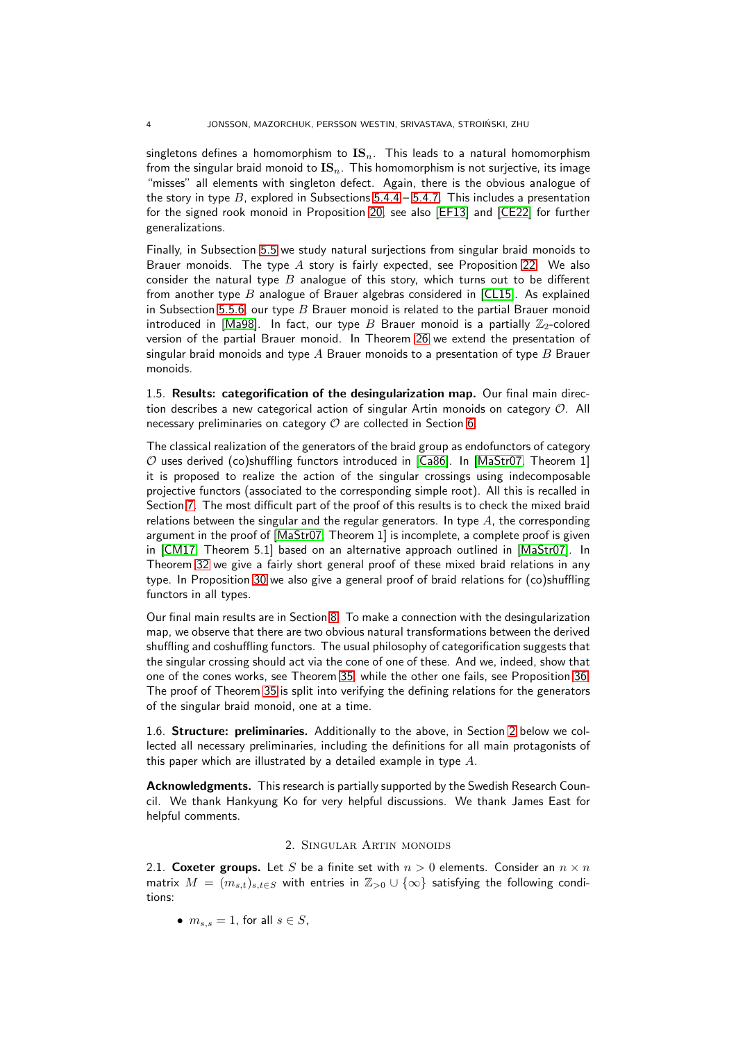singletons defines a homomorphism to  $\text{IS}_n$ . This leads to a natural homomorphism from the singular braid monoid to  $\mathbf{IS}_n$ . This homomorphism is not surjective, its image "misses" all elements with singleton defect. Again, there is the obvious analogue of the story in type  $B$ , explored in Subsections  $5.4.4 - 5.4.7$ . This includes a presentation for the signed rook monoid in Proposition [20,](#page-19-1) see also [\[EF13\]](#page-37-16) and [\[CE22\]](#page-36-5) for further generalizations.

Finally, in Subsection [5.5](#page-20-0) we study natural surjections from singular braid monoids to Brauer monoids. The type  $A$  story is fairly expected, see Proposition [22.](#page-21-0) We also consider the natural type  $B$  analogue of this story, which turns out to be different from another type  $B$  analogue of Brauer algebras considered in [\[CL15\]](#page-36-6). As explained in Subsection [5.5.6,](#page-23-0) our type  $B$  Brauer monoid is related to the partial Brauer monoid introduced in [\[Ma98\]](#page-38-6). In fact, our type B Brauer monoid is a partially  $\mathbb{Z}_2$ -colored version of the partial Brauer monoid. In Theorem [26](#page-24-0) we extend the presentation of singular braid monoids and type  $A$  Brauer monoids to a presentation of type  $B$  Brauer monoids.

1.5. Results: categorification of the desingularization map. Our final main direction describes a new categorical action of singular Artin monoids on category O. All necessary preliminaries on category  $O$  are collected in Section [6.](#page-27-0)

The classical realization of the generators of the braid group as endofunctors of category  $O$  uses derived (co)shuffling functors introduced in [\[Ca86\]](#page-36-7). In [\[MaStr07,](#page-38-4) Theorem 1] it is proposed to realize the action of the singular crossings using indecomposable projective functors (associated to the corresponding simple root). All this is recalled in Section [7.](#page-29-0) The most difficult part of the proof of this results is to check the mixed braid relations between the singular and the regular generators. In type  $A$ , the corresponding argument in the proof of [\[MaStr07,](#page-38-4) Theorem 1] is incomplete, a complete proof is given in [\[CM17,](#page-37-7) Theorem 5.1] based on an alternative approach outlined in [\[MaStr07\]](#page-38-4). In Theorem [32](#page-31-0) we give a fairly short general proof of these mixed braid relations in any type. In Proposition [30](#page-30-0) we also give a general proof of braid relations for (co)shuffling functors in all types.

Our final main results are in Section [8.](#page-32-0) To make a connection with the desingularization map, we observe that there are two obvious natural transformations between the derived shuffling and coshuffling functors. The usual philosophy of categorification suggests that the singular crossing should act via the cone of one of these. And we, indeed, show that one of the cones works, see Theorem [35,](#page-33-0) while the other one fails, see Proposition [36.](#page-35-0) The proof of Theorem [35](#page-33-0) is split into verifying the defining relations for the generators of the singular braid monoid, one at a time.

1.6. Structure: preliminaries. Additionally to the above, in Section [2](#page-3-0) below we collected all necessary preliminaries, including the definitions for all main protagonists of this paper which are illustrated by a detailed example in type A.

<span id="page-3-0"></span>Acknowledgments. This research is partially supported by the Swedish Research Council. We thank Hankyung Ko for very helpful discussions. We thank James East for helpful comments.

## 2. Singular Artin monoids

2.1. Coxeter groups. Let S be a finite set with  $n > 0$  elements. Consider an  $n \times n$ matrix  $M = (m_{s,t})_{s,t \in S}$  with entries in  $\mathbb{Z}_{>0} \cup \{\infty\}$  satisfying the following conditions:

•  $m_{s,s} = 1$ , for all  $s \in S$ ,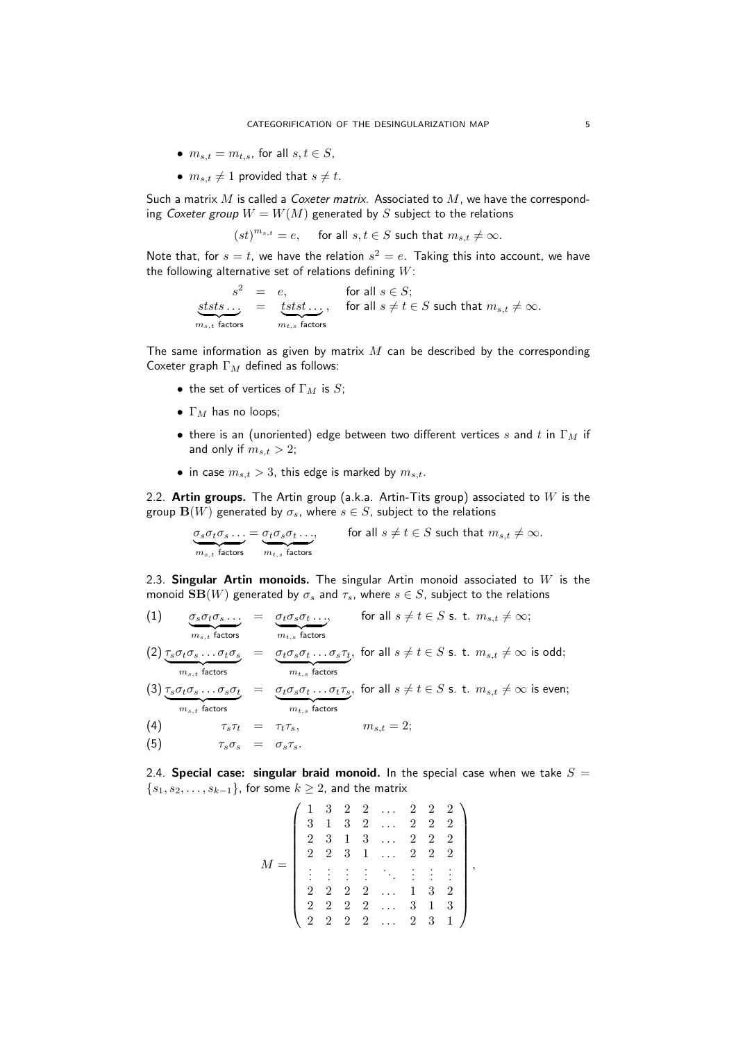- $m_{s,t} = m_{t,s}$ , for all  $s, t \in S$ ,
- $m_{s,t} \neq 1$  provided that  $s \neq t$ .

Such a matrix  $M$  is called a Coxeter matrix. Associated to  $M$ , we have the corresponding Coxeter group  $W = W(M)$  generated by S subject to the relations

 $(st)^{m_{s,t}} = e$ , for all  $s, t \in S$  such that  $m_{s,t} \neq \infty$ .

Note that, for  $s = t$ , we have the relation  $s^2 = e$ . Taking this into account, we have the following alternative set of relations defining  $W$ :

$$
\begin{array}{rcll} s^2&=&e,&\text{for all}\; s\in S;\\ \underbrace{sts\dots}_{m_{s,t}\;\text{factors}}&=&\underbrace{tsts\dots}_{m_{t,s}\;\text{factors}},&\text{for all}\; s\neq t\in S\;\text{such that}\; m_{s,t}\neq\infty.\end{array}
$$

The same information as given by matrix  $M$  can be described by the corresponding Coxeter graph  $\Gamma_M$  defined as follows:

- the set of vertices of  $\Gamma_M$  is S;
- $\Gamma_M$  has no loops;
- there is an (unoriented) edge between two different vertices s and t in  $\Gamma_M$  if and only if  $m_{s,t} > 2$ ;
- in case  $m_{s,t} > 3$ , this edge is marked by  $m_{s,t}$ .

2.2. Artin groups. The Artin group (a.k.a. Artin-Tits group) associated to  $W$  is the group  $\mathbf{B}(W)$  generated by  $\sigma_s$ , where  $s \in S$ , subject to the relations

$$
\underbrace{\sigma_s \sigma_t \sigma_s \dots}_{m_{s,t} \text{ factors}} = \underbrace{\sigma_t \sigma_s \sigma_t \dots}_{m_{t,s} \text{ factors}}, \qquad \text{for all } s \neq t \in S \text{ such that } m_{s,t} \neq \infty.
$$

2.3. Singular Artin monoids. The singular Artin monoid associated to  $W$  is the monoid  $SB(W)$  generated by  $\sigma_s$  and  $\tau_s$ , where  $s \in S$ , subject to the relations

- <span id="page-4-0"></span> $\sigma_s \sigma_t \sigma_s \ldots$  ${m_{s,t}}$  factors  $= \sigma_t \sigma_s \sigma_t \ldots,$  ${m_{t,s}}$  factors  $(1) \qquad \sigma_s\sigma_t\sigma_s \ldots \;\; = \;\; \sigma_t\sigma_s\sigma_t \ldots, \qquad \text{ for all } s\neq t \in S \text{ s. t. } m_{s,t} \neq \infty;$  $\tau_s \sigma_t \sigma_s \ldots \sigma_t \sigma_s$  $= \sigma_t \sigma_s \sigma_t \dots \sigma_s \tau_t$  $\sigma(2) \tau_s \sigma_t \sigma_s \ldots \sigma_t \sigma_s \quad = \quad \sigma_t \sigma_s \sigma_t \ldots \sigma_s \tau_t, \,\, \text{for all} \,\, s \neq t \in S \,\, \text{s. t.} \,\, m_{s,t} \neq \infty \,\, \text{is odd};$
- ${m_{s,t}}$  factors  ${m}_{t,s}$  factors

(3) 
$$
\underbrace{\tau_s \sigma_t \sigma_s \dots \sigma_s \sigma_t}_{m_{s,t} \text{ factors}} = \underbrace{\sigma_t \sigma_s \sigma_t \dots \sigma_t \tau_s}_{m_{t,s} \text{ factors}}, \text{ for all } s \neq t \in S \text{ s. t. } m_{s,t} \neq \infty \text{ is even};
$$

$$
\text{(4)} \quad \tau_s \tau_t = \tau_t \tau_s, \quad m_{s,t} = 2;
$$

(5)  $\tau_s \sigma_s = \sigma_s \tau_s$ .

2.4. Special case: singular braid monoid. In the special case when we take  $S =$  $\{s_1, s_2, \ldots, s_{k-1}\}\$ , for some  $k \geq 2$ , and the matrix

$$
M = \left(\begin{array}{ccccc} 1 & 3 & 2 & 2 & \ldots & 2 & 2 & 2 \\ 3 & 1 & 3 & 2 & \ldots & 2 & 2 & 2 \\ 2 & 3 & 1 & 3 & \ldots & 2 & 2 & 2 \\ 2 & 2 & 3 & 1 & \ldots & 2 & 2 & 2 \\ \vdots & \vdots & \vdots & \vdots & \ddots & \vdots & \vdots & \vdots \\ 2 & 2 & 2 & 2 & \ldots & 1 & 3 & 2 \\ 2 & 2 & 2 & 2 & \ldots & 3 & 1 & 3 \\ 2 & 2 & 2 & 2 & \ldots & 2 & 3 & 1 \end{array}\right),
$$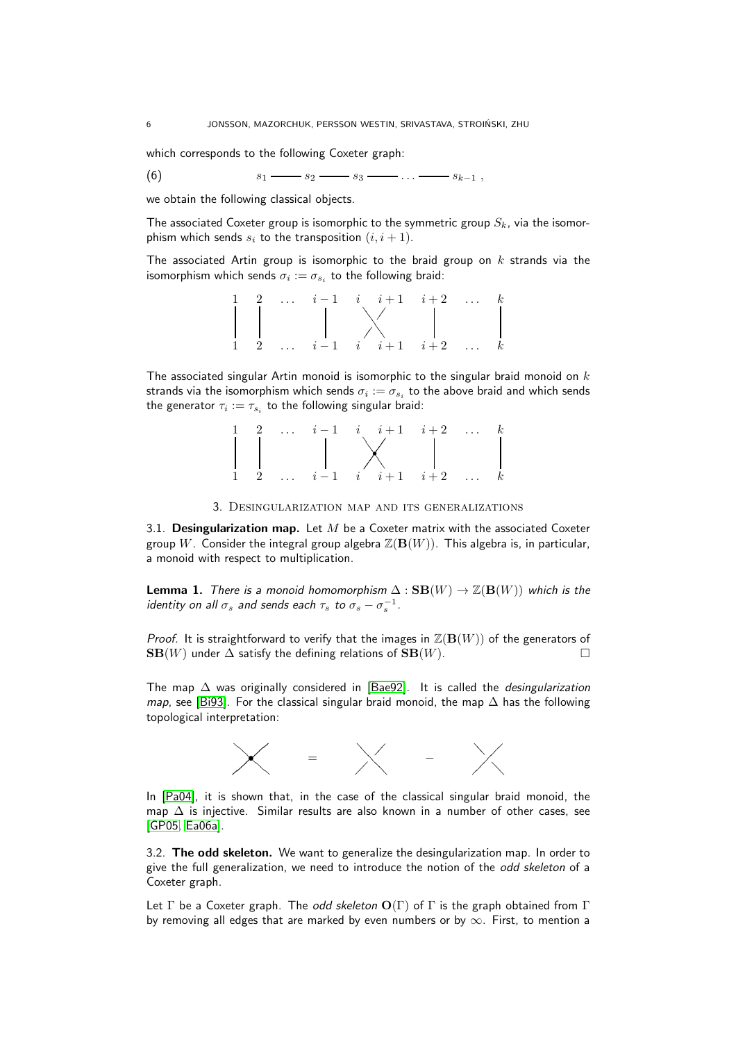which corresponds to the following Coxeter graph:

<span id="page-5-2"></span>(6)  $s_1 \longrightarrow s_2 \longrightarrow s_3 \longrightarrow \dots \longrightarrow s_{k-1}$ ,

we obtain the following classical objects.

The associated Coxeter group is isomorphic to the symmetric group  $S_k$ , via the isomorphism which sends  $s_i$  to the transposition  $(i, i + 1)$ .

The associated Artin group is isomorphic to the braid group on  $k$  strands via the isomorphism which sends  $\sigma_i := \sigma_{s_i}$  to the following braid:

|                |  | 2 $i-1$ $i$ $i+1$ $i+2$ k               |  |                  |
|----------------|--|-----------------------------------------|--|------------------|
|                |  |                                         |  |                  |
|                |  |                                         |  |                  |
|                |  |                                         |  |                  |
| $\overline{2}$ |  | $\ldots$ $i-1$ $i$ $i+1$ $i+2$ $\ldots$ |  | $\boldsymbol{k}$ |
|                |  |                                         |  |                  |

The associated singular Artin monoid is isomorphic to the singular braid monoid on  $k$ strands via the isomorphism which sends  $\sigma_i := \sigma_{s_i}$  to the above braid and which sends the generator  $\tau_i := \tau_{s_i}$  to the following singular braid:



3. Desingularization map and its generalizations

<span id="page-5-0"></span>3.1. Desingularization map. Let  $M$  be a Coxeter matrix with the associated Coxeter group W. Consider the integral group algebra  $\mathbb{Z}(\mathbf{B}(W))$ . This algebra is, in particular, a monoid with respect to multiplication.

**Lemma 1.** There is a monoid homomorphism  $\Delta : \mathbf{SB}(W) \to \mathbb{Z}(\mathbf{B}(W))$  which is the identity on all  $\sigma_s$  and sends each  $\tau_s$  to  $\sigma_s-\sigma_s^{-1}$ .

*Proof.* It is straightforward to verify that the images in  $\mathbb{Z}(\mathbf{B}(W))$  of the generators of  $SB(W)$  under  $\Delta$  satisfy the defining relations of  $SB(W)$ .

The map  $\Delta$  was originally considered in [\[Bae92\]](#page-36-3). It is called the *desingularization* map, see [\[Bi93\]](#page-36-0). For the classical singular braid monoid, the map  $\Delta$  has the following topological interpretation:



In [\[Pa04\]](#page-38-0), it is shown that, in the case of the classical singular braid monoid, the map  $\Delta$  is injective. Similar results are also known in a number of other cases, see [\[GP05,](#page-37-0) [Ea06a\]](#page-37-1).

<span id="page-5-1"></span>3.2. The odd skeleton. We want to generalize the desingularization map. In order to give the full generalization, we need to introduce the notion of the odd skeleton of a Coxeter graph.

Let  $\Gamma$  be a Coxeter graph. The *odd skeleton*  $O(\Gamma)$  of  $\Gamma$  is the graph obtained from  $\Gamma$ by removing all edges that are marked by even numbers or by  $\infty$ . First, to mention a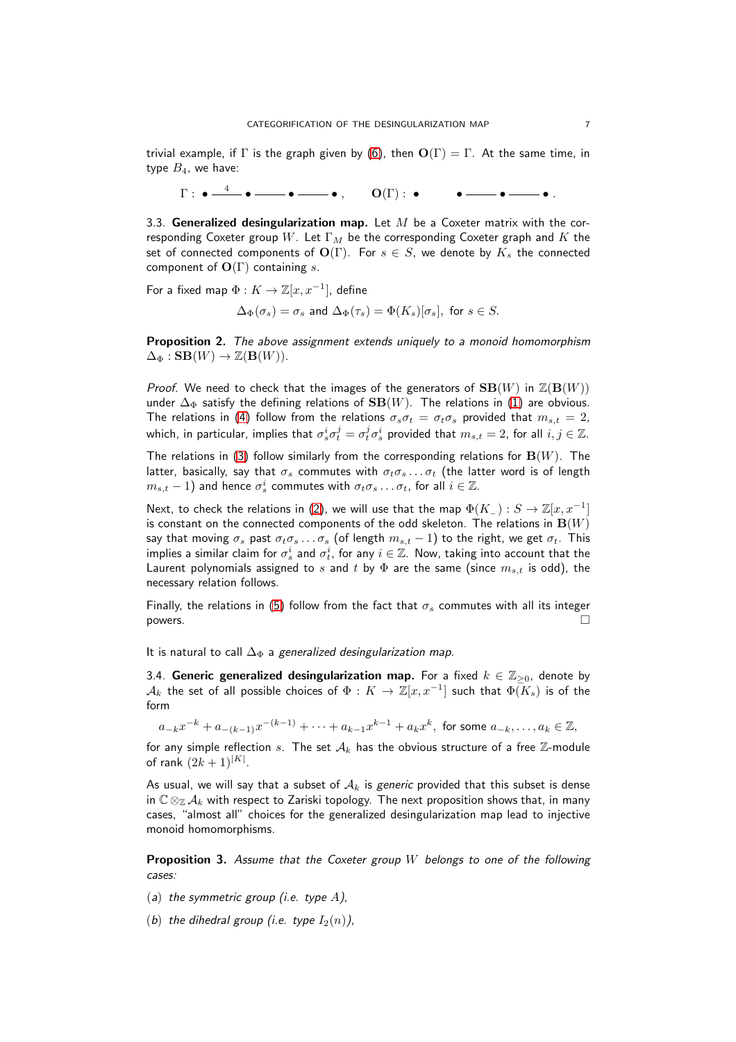trivial example, if  $\Gamma$  is the graph given by [\(6\)](#page-5-2), then  $O(\Gamma) = \Gamma$ . At the same time, in type  $B_4$ , we have:

Γ : • 4 • • • , O(Γ) : • • • • .

3.3. Generalized desingularization map. Let  $M$  be a Coxeter matrix with the corresponding Coxeter group W. Let  $\Gamma_M$  be the corresponding Coxeter graph and K the set of connected components of  $O(\Gamma)$ . For  $s \in S$ , we denote by  $K_s$  the connected component of  $O(\Gamma)$  containing s.

For a fixed map  $\Phi: K \to \mathbb{Z}[x,x^{-1}],$  define

$$
\Delta_{\Phi}(\sigma_s)=\sigma_s\text{ and }\Delta_{\Phi}(\tau_s)=\Phi(K_s)[\sigma_s],\text{ for }s\in S.
$$

<span id="page-6-0"></span>Proposition 2. The above assignment extends uniquely to a monoid homomorphism  $\Delta_{\Phi}:$   $\mathbf{SB}(W) \rightarrow \mathbb{Z}(\mathbf{B}(W))$ .

*Proof.* We need to check that the images of the generators of  $SB(W)$  in  $\mathbb{Z}(B(W))$ under  $\Delta_{\Phi}$  satisfy the defining relations of  $SB(W)$ . The relations in [\(1\)](#page-4-0) are obvious. The relations in [\(4\)](#page-4-0) follow from the relations  $\sigma_s \sigma_t = \sigma_t \sigma_s$  provided that  $m_{s,t} = 2$ , which, in particular, implies that  $\sigma_s^i\sigma_t^j=\sigma_t^j\sigma_s^i$  provided that  $m_{s,t}=2$ , for all  $i,j\in\mathbb{Z}$ .

The relations in [\(3\)](#page-4-0) follow similarly from the corresponding relations for  $\mathbf{B}(W)$ . The latter, basically, say that  $\sigma_s$  commutes with  $\sigma_t \sigma_s \dots \sigma_t$  (the latter word is of length  $m_{s,t} - 1$ ) and hence  $\sigma_s^i$  commutes with  $\sigma_t \sigma_s \ldots \sigma_t$ , for all  $i \in \mathbb{Z}$ .

Next, to check the relations in [\(2\)](#page-4-0), we will use that the map  $\Phi(K_-) : S \to \mathbb{Z}[x,x^{-1}]$ is constant on the connected components of the odd skeleton. The relations in  $\mathbf{B}(W)$ say that moving  $\sigma_s$  past  $\sigma_t \sigma_s \dots \sigma_s$  (of length  $m_{s,t} - 1$ ) to the right, we get  $\sigma_t$ . This implies a similar claim for  $\sigma_s^i$  and  $\sigma_t^i$ , for any  $i\in\mathbb{Z}.$  Now, taking into account that the Laurent polynomials assigned to s and t by  $\Phi$  are the same (since  $m_{s,t}$  is odd), the necessary relation follows.

Finally, the relations in [\(5\)](#page-4-0) follow from the fact that  $\sigma_s$  commutes with all its integer  $p_0$  powers.

It is natural to call  $\Delta_{\Phi}$  a generalized desingularization map.

3.4. Generic generalized desingularization map. For a fixed  $k \in \mathbb{Z}_{\geq 0}$ , denote by  ${\cal A}_k$  the set of all possible choices of  $\Phi: K \to \mathbb{Z}[x,x^{-1}]$  such that  $\bar{\Phi(K_s)}$  is of the form

 $a_{-k}x^{-k}+a_{-(k-1)}x^{-(k-1)}+\cdots +a_{k-1}x^{k-1}+a_kx^k, \ \text{for some} \ a_{-k},\ldots,a_k\in\mathbb{Z},$ 

for any simple reflection s. The set  $A_k$  has the obvious structure of a free Z-module of rank  $(2k+1)^{|K|}$ .

As usual, we will say that a subset of  $A_k$  is generic provided that this subset is dense in  $\mathbb{C} \otimes_{\mathbb{Z}} A_k$  with respect to Zariski topology. The next proposition shows that, in many cases, "almost all" choices for the generalized desingularization map lead to injective monoid homomorphisms.

<span id="page-6-1"></span>**Proposition 3.** Assume that the Coxeter group  $W$  belongs to one of the following cases:

- (a) the symmetric group (i.e. type  $A$ ),
- (b) the dihedral group (i.e. type  $I_2(n)$ ),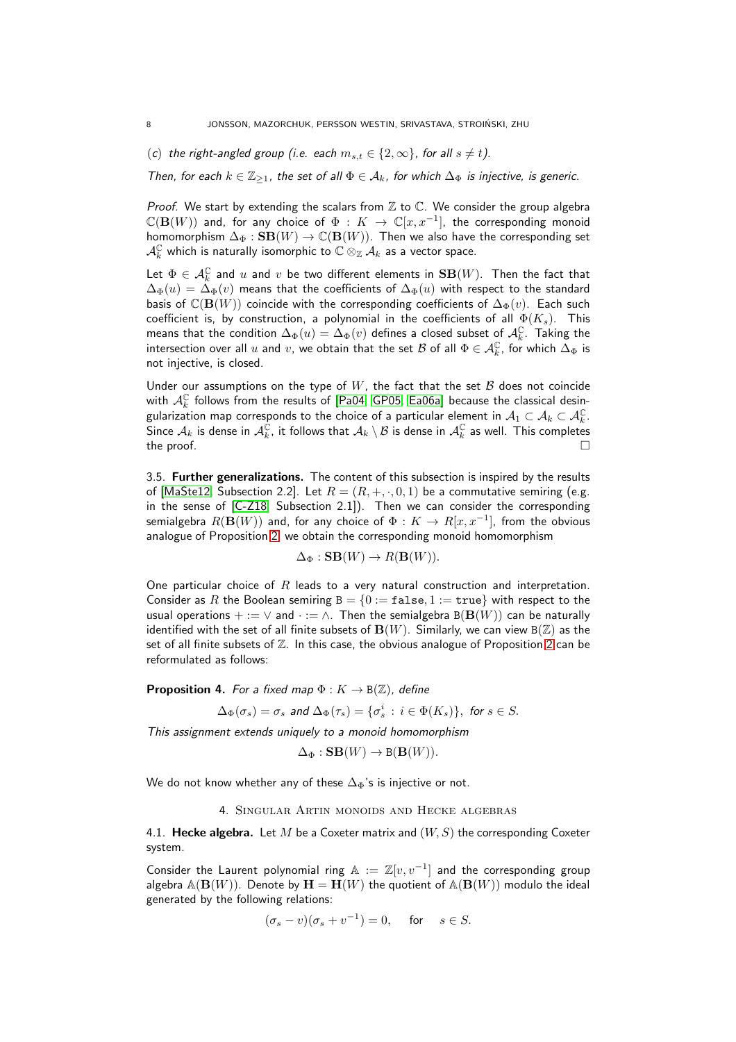(c) the right-angled group (i.e. each  $m_{s,t} \in \{2,\infty\}$ , for all  $s \neq t$ ).

Then, for each  $k \in \mathbb{Z}_{\geq 1}$ , the set of all  $\Phi \in \mathcal{A}_k$ , for which  $\Delta_{\Phi}$  is injective, is generic.

*Proof.* We start by extending the scalars from  $\mathbb Z$  to  $\mathbb C$ . We consider the group algebra  $\mathbb{C}(\mathbf{B}(W))$  and, for any choice of  $\Phi\,:\,K\,\rightarrow\,\mathbb{C}[x,x^{-1}],$  the corresponding monoid homomorphism  $\Delta_{\Phi} :$  SB $(W) \rightarrow \mathbb{C}(\mathbf{B}(W))$ . Then we also have the corresponding set  $\mathcal{A}_k^\mathbb{C}$  which is naturally isomorphic to  $\mathbb{C}\otimes_\mathbb{Z}\mathcal{A}_k$  as a vector space.

Let  $\Phi \in \mathcal{A}_k^\mathbb{C}$  and  $u$  and  $v$  be two different elements in  $\mathbf{SB}(W)$ . Then the fact that  $\Delta_{\Phi}(u) = \Delta_{\Phi}(v)$  means that the coefficients of  $\Delta_{\Phi}(u)$  with respect to the standard basis of  $\mathbb{C}(\mathbf{B}(W))$  coincide with the corresponding coefficients of  $\Delta_{\Phi}(v)$ . Each such coefficient is, by construction, a polynomial in the coefficients of all  $\Phi(K_s)$ . This means that the condition  $\Delta_\Phi(u) = \Delta_\Phi(v)$  defines a closed subset of  $\mathcal{A}^\mathbb{C}_k$ . Taking the intersection over all  $u$  and  $v$ , we obtain that the set  $\mathcal B$  of all  $\Phi\in\mathcal A_k^{\mathbb C}$ , for which  $\bar{\Delta}_\Phi$  is not injective, is closed.

Under our assumptions on the type of  $W$ , the fact that the set  $\mathcal B$  does not coincide with  $A_k^{\mathbb{C}}$  follows from the results of [\[Pa04,](#page-38-0) [GP05,](#page-37-0) [Ea06a\]](#page-37-1) because the classical desingularization map corresponds to the choice of a particular element in  $\mathcal{A}_1\subset\mathcal{A}_k\subset\mathcal{A}^\mathbb{C}_k.$ Since  $\mathcal{A}_k$  is dense in  $\mathcal{A}^\mathbb{C}_k$ , it follows that  $\mathcal{A}_k\setminus\mathcal{B}$  is dense in  $\mathcal{A}^\mathbb{C}_k$  as well. This completes the proof.  $\Box$ 

3.5. Further generalizations. The content of this subsection is inspired by the results of [\[MaSte12,](#page-38-5) Subsection 2.2]. Let  $R = (R, +, \cdot, 0, 1)$  be a commutative semiring (e.g. in the sense of [\[C-Z18,](#page-36-8) Subsection 2.1]). Then we can consider the corresponding semialgebra  $R(\mathbf{B}(W))$  and, for any choice of  $\Phi:K\to R[x,x^{-1}]$ , from the obvious analogue of Proposition [2,](#page-6-0) we obtain the corresponding monoid homomorphism

$$
\Delta_{\Phi}: \mathbf{SB}(W) \to R(\mathbf{B}(W)).
$$

One particular choice of  $R$  leads to a very natural construction and interpretation. Consider as R the Boolean semiring  $B = \{0 := false, 1 := true\}$  with respect to the usual operations  $+ := \vee$  and  $\cdot := \wedge$ . Then the semialgebra B( $B(W)$ ) can be naturally identified with the set of all finite subsets of  $B(W)$ . Similarly, we can view  $B(\mathbb{Z})$  as the set of all finite subsets of  $\mathbb Z$ . In this case, the obvious analogue of Proposition [2](#page-6-0) can be reformulated as follows:

**Proposition 4.** For a fixed map  $\Phi: K \to B(\mathbb{Z})$ , define

$$
\Delta_{\Phi}(\sigma_s)=\sigma_s \text{ and } \Delta_{\Phi}(\tau_s)=\{\sigma_s^i \, : \, i \in \Phi(K_s)\}, \text{ for } s \in S.
$$

This assignment extends uniquely to a monoid homomorphism

$$
\Delta_{\Phi}: \mathbf{SB}(W) \to \mathbf{B}(\mathbf{B}(W)).
$$

<span id="page-7-0"></span>We do not know whether any of these  $\Delta_{\Phi}$ 's is injective or not.

4. Singular Artin monoids and Hecke algebras

4.1. Hecke algebra. Let M be a Coxeter matrix and  $(W, S)$  the corresponding Coxeter system.

Consider the Laurent polynomial ring  $\mathbb{A} := \mathbb{Z}[v, v^{-1}]$  and the corresponding group algebra  $\mathbb{A}(\mathbf{B}(W))$ . Denote by  $\mathbf{H} = \mathbf{H}(W)$  the quotient of  $\mathbb{A}(\mathbf{B}(W))$  modulo the ideal generated by the following relations:

$$
(\sigma_s - v)(\sigma_s + v^{-1}) = 0, \quad \text{for} \quad s \in S.
$$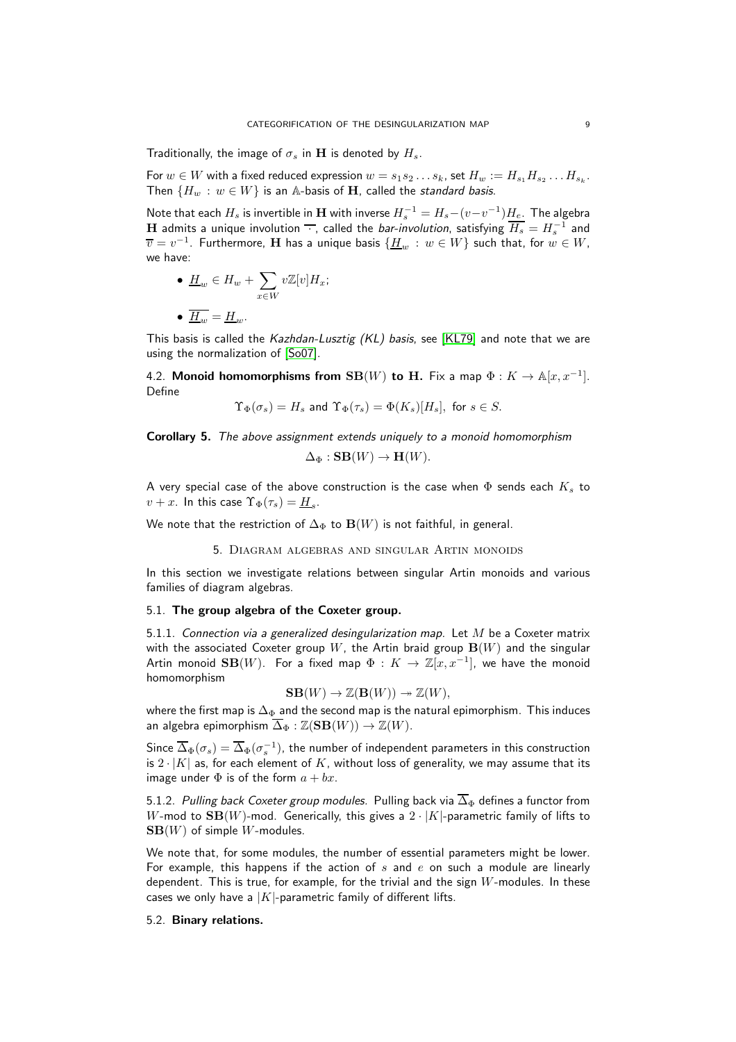Traditionally, the image of  $\sigma_s$  in H is denoted by  $H_s$ .

For  $w\in W$  with a fixed reduced expression  $w=s_1s_2\ldots s_k$ , set  $H_w:=H_{s_1}H_{s_2}\ldots H_{s_k}.$ Then  $\{H_w : w \in W\}$  is an A-basis of H, called the standard basis.

Note that each  $H_s$  is invertible in  ${\bf H}$  with inverse  $H_s^{-1}=H_s-(v-v^{-1})\underline{H_e}.$  The algebra  ${\bf H}$  admits a unique involution  $\overline{\;\cdot\;},$  called the *bar-involution*, satisfying  $\overline{H_s}=H_s^{-1}$  and  $\overline{v}=v^{-1}.$  Furthermore,  ${\bf H}$  has a unique basis  $\{\underline{H}_w\,:\,w\in W\}$  such that, for  $w\in W,$ we have:

• 
$$
\underline{H}_w \in H_w + \sum_{x \in W} v \mathbb{Z}[v] H_x;
$$

$$
\bullet \ \underline{H}_w = \underline{H}_w.
$$

This basis is called the Kazhdan-Lusztig (KL) basis, see [\[KL79\]](#page-37-17) and note that we are using the normalization of [\[So07\]](#page-38-7).

4.2. Monoid homomorphisms from  $SB(W)$  to H. Fix a map  $\Phi: K \to \mathbb{A}[x, x^{-1}]$ . Define

$$
\Upsilon_\Phi(\sigma_s) = H_s \text{ and } \Upsilon_\Phi(\tau_s) = \Phi(K_s)[H_s], \text{ for } s \in S.
$$

Corollary 5. The above assignment extends uniquely to a monoid homomorphism

$$
\Delta_{\Phi}: \mathbf{SB}(W) \to \mathbf{H}(W).
$$

A very special case of the above construction is the case when  $\Phi$  sends each  $K_s$  to  $v+x$ . In this case  $\Upsilon_{\Phi}(\tau_s) = \underline{H}_s$ .

<span id="page-8-0"></span>We note that the restriction of  $\Delta_{\Phi}$  to  $\mathbf{B}(W)$  is not faithful, in general.

5. Diagram algebras and singular Artin monoids

In this section we investigate relations between singular Artin monoids and various families of diagram algebras.

#### 5.1. The group algebra of the Coxeter group.

5.1.1. Connection via a generalized desingularization map. Let  $M$  be a Coxeter matrix with the associated Coxeter group W, the Artin braid group  $\mathbf{B}(W)$  and the singular Artin monoid  $\mathbf{SB}(W)$ . For a fixed map  $\Phi\,:\,K\,\rightarrow\,\mathbb{Z}[x,x^{-1}],$  we have the monoid homomorphism

$$
SB(W) \to \mathbb{Z}(B(W)) \to \mathbb{Z}(W),
$$

where the first map is  $\Delta_{\Phi}$  and the second map is the natural epimorphism. This induces an algebra epimorphism  $\overline{\Delta}_{\Phi} : \mathbb{Z}(\mathbf{SB}(W)) \to \mathbb{Z}(W)$ .

Since  $\overline{\Delta}_{\Phi}(\sigma_s)=\overline{\Delta}_{\Phi}(\sigma_s^{-1})$ , the number of independent parameters in this construction is  $2 \cdot |K|$  as, for each element of  $K$ , without loss of generality, we may assume that its image under  $\Phi$  is of the form  $a + bx$ .

5.1.2. Pulling back Coxeter group modules. Pulling back via  $\overline{\Delta}_{\Phi}$  defines a functor from W-mod to  $SB(W)$ -mod. Generically, this gives a  $2 \cdot |K|$ -parametric family of lifts to  $SB(W)$  of simple W-modules.

We note that, for some modules, the number of essential parameters might be lower. For example, this happens if the action of  $s$  and  $e$  on such a module are linearly dependent. This is true, for example, for the trivial and the sign  $W$ -modules. In these cases we only have a  $|K|$ -parametric family of different lifts.

## 5.2. Binary relations.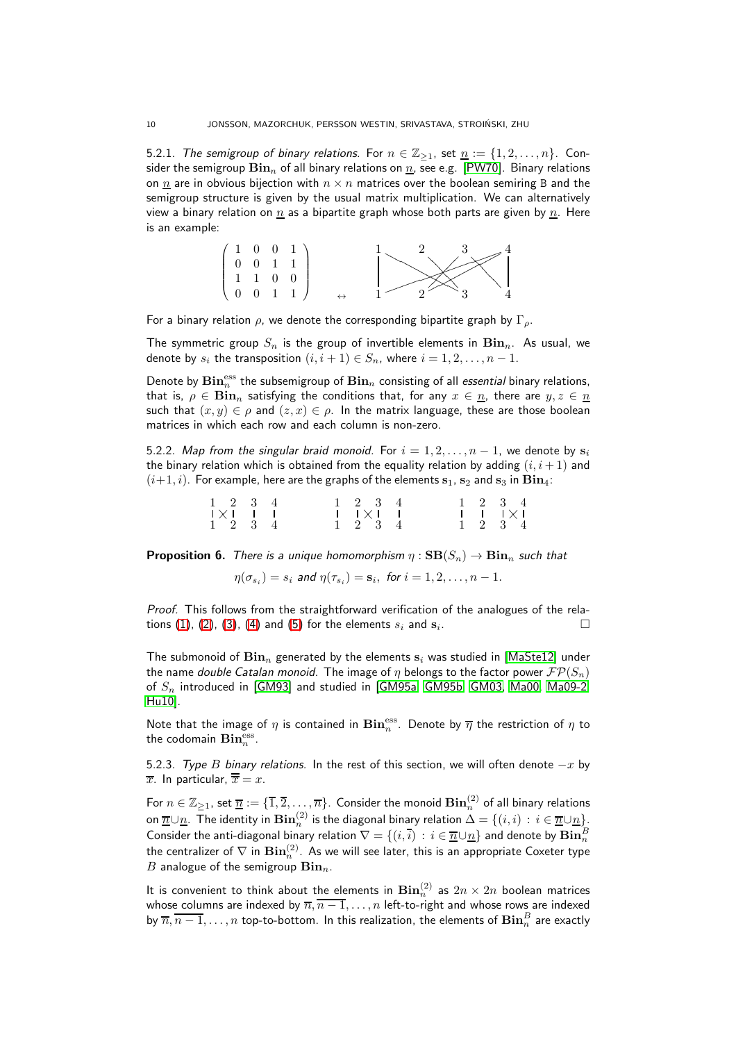5.2.1. The semigroup of binary relations. For  $n \in \mathbb{Z}_{\geq 1}$ , set  $\underline{n} := \{1, 2, \ldots, n\}$ . Consider the semigroup  $\text{Bin}_n$  of all binary relations on  $\underline{n}$ , see e.g. [\[PW70\]](#page-38-8). Binary relations on *n* are in obvious bijection with  $n \times n$  matrices over the boolean semiring B and the semigroup structure is given by the usual matrix multiplication. We can alternatively view a binary relation on  $n$  as a bipartite graph whose both parts are given by  $n$ . Here is an example:



For a binary relation  $\rho$ , we denote the corresponding bipartite graph by  $\Gamma_{\rho}$ .

The symmetric group  $S_n$  is the group of invertible elements in  $\mathbf{Bin}_n$ . As usual, we denote by  $s_i$  the transposition  $(i, i + 1) \in S_n$ , where  $i = 1, 2, \ldots, n - 1$ .

Denote by  $\mathbf{Bin}^{\text{ess}}_n$  the subsemigroup of  $\mathbf{Bin}_n$  consisting of all *essential* binary relations, that is,  $\rho \in \mathbf{Bin}_n$  satisfying the conditions that, for any  $x \in n$ , there are  $y, z \in n$ such that  $(x, y) \in \rho$  and  $(z, x) \in \rho$ . In the matrix language, these are those boolean matrices in which each row and each column is non-zero.

5.2.2. Map from the singular braid monoid. For  $i = 1, 2, \ldots, n - 1$ , we denote by  $s_i$ the binary relation which is obtained from the equality relation by adding  $(i, i + 1)$  and  $(i+1, i)$ . For example, here are the graphs of the elements  $s_1$ ,  $s_2$  and  $s_3$  in  $\mathbf{Bin}_4$ :

| $1 \t2 \t3 \t4$                   |  |  |  | 1 2 3 4                                                      |  |  | $1 \t2 \t3 \t4$                                                                                                |  |
|-----------------------------------|--|--|--|--------------------------------------------------------------|--|--|----------------------------------------------------------------------------------------------------------------|--|
| $\mathsf{I} \times \mathsf{I}$ if |  |  |  | $\mathsf{L}$ $\mathsf{I}$ $\times$ $\mathsf{L}$ $\mathsf{L}$ |  |  | $\begin{array}{c c c c c} \hline \ \textbf{I} & \textbf{I} & \textbf{I} & \textbf{I} & \textbf{I} \end{array}$ |  |
| $1 \t2 \t3 \t4$                   |  |  |  | $1 \t2 \t3 \t4$                                              |  |  | $1 \t2 \t3 \t4$                                                                                                |  |

<span id="page-9-0"></span>**Proposition 6.** There is a unique homomorphism  $\eta : \mathbf{SB}(S_n) \to \mathbf{Bin}_n$  such that

$$
\eta(\sigma_{s_i})=s_i \text{ and } \eta(\tau_{s_i})=\mathbf{s}_i, \text{ for } i=1,2,\ldots,n-1.
$$

Proof. This follows from the straightforward verification of the analogues of the rela-tions [\(1\)](#page-4-0), [\(2\)](#page-4-0), [\(3\)](#page-4-0), [\(4\)](#page-4-0) and [\(5\)](#page-4-0) for the elements  $s_i$  and  $s_i$ . . — Петровически производите в пример, на пример, на пример, на пример, на пример, на пример, на при<br>В 1990 године пример, на пример, на пример, на пример, на пример, на пример, на пример, на пример, на пример,

The submonoid of  $\mathbf{Bin}_n$  generated by the elements  $\mathbf{s}_i$  was studied in [\[MaSte12\]](#page-38-5) under the name double Catalan monoid. The image of  $\eta$  belongs to the factor power  $\mathcal{FP}(S_n)$ of  $S_n$  introduced in [\[GM93\]](#page-37-18) and studied in [\[GM95a,](#page-37-10) [GM95b,](#page-37-11) [GM03,](#page-37-19) [Ma00,](#page-38-9) [Ma09-2,](#page-38-10) [Hu10\]](#page-37-20).

Note that the image of  $\eta$  is contained in  $\mathbf{Bin}^{\text{ess}}_n$ . Denote by  $\overline{\eta}$  the restriction of  $\eta$  to the codomain  $\mathbf{Bin}^{\text{ess}}_n$ .

<span id="page-9-1"></span>5.2.3. Type B binary relations. In the rest of this section, we will often denote  $-x$  by  $\overline{x}$ . In particular,  $\overline{\overline{x}} = x$ .

For  $n\in\Z_{\geq 1}$ , set  $\overline{n}:=\{\overline{1},\overline{2},\ldots,\overline{n}\}.$  Consider the monoid  $\mathbf{Bin}^{(2)}_n$  of all binary relations on  $\overline{n}\cup\overline{n}.$  The identity in  $\mathbf{Bin}^{(2)}_n$  is the diagonal binary relation  $\Delta=\{(i,i)\,:\,i\in \overline{n}\cup \underline{n}\}$  . Consider the anti-diagonal binary relation  $\nabla=\{(i,\bar{i})\,:\,i\in\overline{\underline{n}}\cup\underline{n}\}$  and denote by  $\mathbf{Bin}^B_n$ the centralizer of  $\nabla$  in  $\mathbf{Bin}^{(2)}_n.$  As we will see later, this is an appropriate Coxeter type B analogue of the semigroup  $\mathbf{Bin}_n$ .

It is convenient to think about the elements in  $\mathbf{Bin}^{(2)}_n$  as  $2n \times 2n$  boolean matrices whose columns are indexed by  $\overline{n},\overline{n-1},\ldots,n$  left-to-right and whose rows are indexed by  $\overline{n},\overline{n-1},\ldots,n$  top-to-bottom. In this realization, the elements of  $\mathbf{Bin}^B_n$  are exactly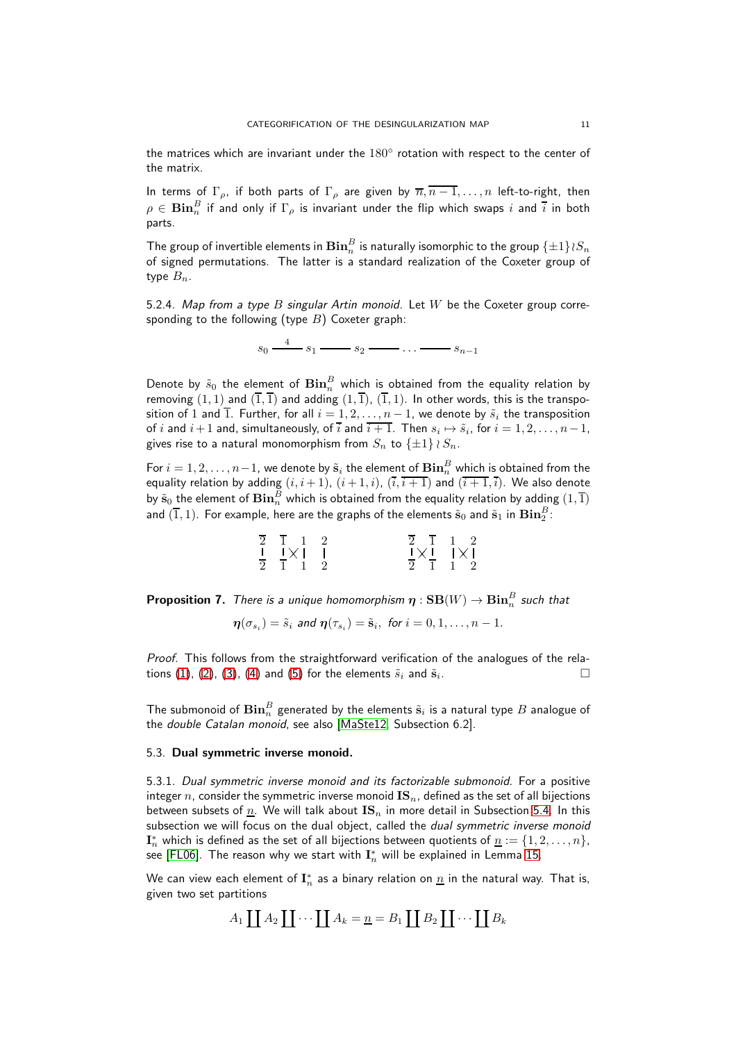the matrices which are invariant under the  $180^{\circ}$  rotation with respect to the center of the matrix.

In terms of  $\Gamma_{\rho}$ , if both parts of  $\Gamma_{\rho}$  are given by  $\overline{n}, \overline{n-1}, \ldots, n$  left-to-right, then  $\rho\in {\bf Bin}_n^B$  if and only if  $\Gamma_\rho$  is invariant under the flip which swaps  $i$  and  $\bar i$  in both parts.

The group of invertible elements in  $\mathbf{Bin}^B_n$  is naturally isomorphic to the group  $\{\pm 1\}$ ≀ $S_n$ of signed permutations. The latter is a standard realization of the Coxeter group of type  $B_n$ .

<span id="page-10-0"></span>5.2.4. Map from a type  $B$  singular Artin monoid. Let  $W$  be the Coxeter group corresponding to the following (type  $B$ ) Coxeter graph:

 $s_0 \xrightarrow{4} s_1 \xrightarrow{s_2} \cdots \xrightarrow{s_{n-1}} s_{n-1}$ 

Denote by  $\tilde{s}_0$  the element of  $\mathbf{Bin}^B_n$  which is obtained from the equality relation by removing  $(1, 1)$  and  $(\overline{1}, \overline{1})$  and adding  $(1, \overline{1})$ ,  $(\overline{1}, 1)$ . In other words, this is the transposition of 1 and  $\overline{1}$ . Further, for all  $i = 1, 2, ..., n - 1$ , we denote by  $\tilde{s}_i$  the transposition of  $i$  and  $i+1$  and, simultaneously, of  $i$  and  $i+1$ . Then  $s_i \mapsto \tilde{s}_i$ , for  $i=1,2,\ldots,n-1$ , gives rise to a natural monomorphism from  $S_n$  to  $\{\pm 1\} \wr S_n$ .

For  $i=1,2,\ldots,n-1$ , we denote by  $\tilde{\mathbf{s}}_i$  the element of  $\mathbf{Bin}^B_n$  which is obtained from the equality relation by adding  $(i, i + 1)$ ,  $(i + 1, i)$ ,  $(\overline{i}, \overline{i + 1})$  and  $(\overline{i + 1}, \overline{i})$ . We also denote by  $\tilde{\mathbf{s}}_0$  the element of  $\mathbf{Bin}^B_n$  which is obtained from the equality relation by adding  $(1,\overline{1})$ and  $(\overline{1},1)$ . For example, here are the graphs of the elements  $\tilde{\mathbf{s}}_0$  and  $\tilde{\mathbf{s}}_1$  in  $\mathbf{Bin}^B_2$  :

| $\overline{2}$ $\overline{1}$ 1 2                  | 2 1 1 2                                                           |  |
|----------------------------------------------------|-------------------------------------------------------------------|--|
| $\frac{1}{2}$ $\frac{1}{1}$ $\times$ $\frac{1}{2}$ | $\frac{1}{2} \times \frac{1}{1}$ $\frac{1}{1} \times \frac{1}{2}$ |  |
|                                                    |                                                                   |  |

**Proposition 7.** There is a unique homomorphism  $\boldsymbol{\eta}:\textbf{SB}(W)\to \textbf{Bin}^B_n$  such that

 $\boldsymbol{\eta}(\sigma_{s_i}) = \tilde{s}_i$  and  $\boldsymbol{\eta}(\tau_{s_i}) = \tilde{\mathbf{s}}_i$ , for  $i = 0, 1, \ldots, n-1$ .

Proof. This follows from the straightforward verification of the analogues of the rela-tions [\(1\)](#page-4-0), [\(2\)](#page-4-0), [\(3\)](#page-4-0), [\(4\)](#page-4-0) and [\(5\)](#page-4-0) for the elements  $\tilde{s}_i$  and  $\tilde{s}_i$ . . — Петровически производите в пример, на пример, на пример, на пример, на пример, на пример, на при<br>В 1990 године пример, на пример, на пример, на пример, на пример, на пример, на пример, на пример, на пример,

The submonoid of  $\mathbf{Bin}^B_n$  generated by the elements  $\tilde{\mathbf{s}}_i$  is a natural type  $B$  analogue of the double Catalan monoid, see also [\[MaSte12,](#page-38-5) Subsection 6.2].

#### <span id="page-10-1"></span>5.3. Dual symmetric inverse monoid.

5.3.1. Dual symmetric inverse monoid and its factorizable submonoid. For a positive integer n, consider the symmetric inverse monoid  $\text{IS}_n$ , defined as the set of all bijections between subsets of  $\underline{n}$ . We will talk about  $\text{IS}_n$  in more detail in Subsection [5.4.](#page-16-1) In this subsection we will focus on the dual object, called the *dual symmetric inverse monoid*  $\mathbf{I}_n^*$  which is defined as the set of all bijections between quotients of  $\underline{n}:=\{1,2,\ldots,n\},$ see [\[FL06\]](#page-37-21). The reason why we start with  $\mathbf{I}_n^*$  will be explained in Lemma [15.](#page-16-0)

We can view each element of  $\mathbf{I}_n^*$  as a binary relation on  $\underline{n}$  in the natural way. That is, given two set partitions

$$
A_1 \coprod A_2 \coprod \cdots \coprod A_k = \underline{n} = B_1 \coprod B_2 \coprod \cdots \coprod B_k
$$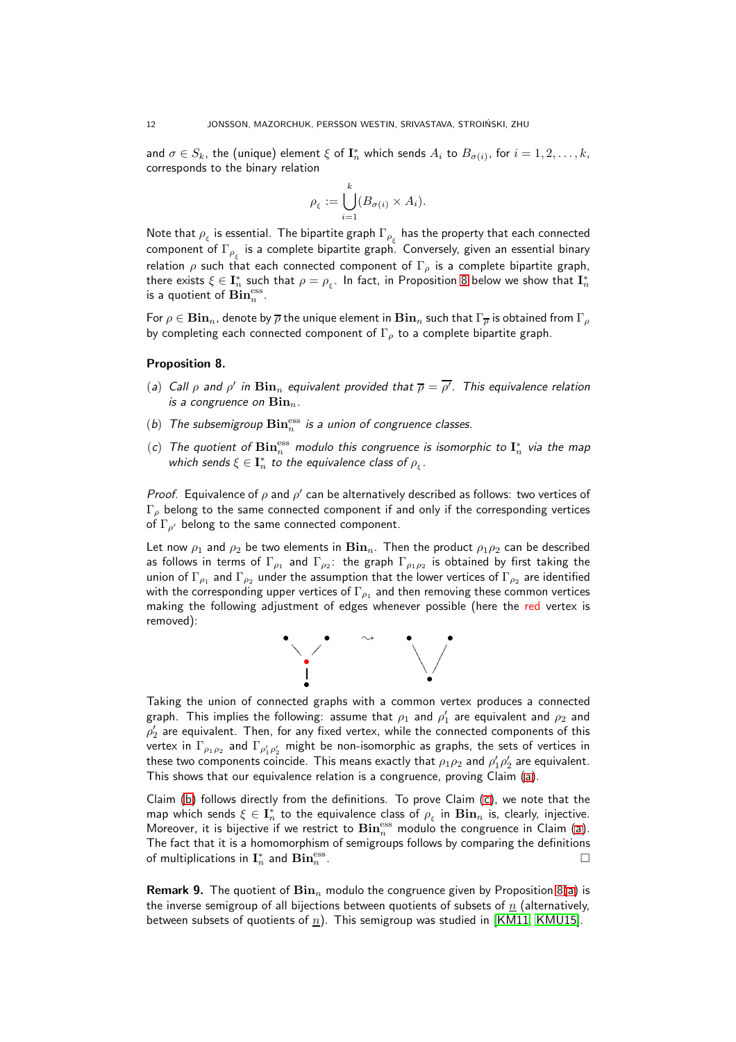and  $\sigma \in S_k$ , the (unique) element  $\xi$  of  $\mathbf{I}_n^*$  which sends  $A_i$  to  $B_{\sigma(i)}$ , for  $i = 1, 2, \ldots, k$ , corresponds to the binary relation

$$
\rho_{\xi} := \bigcup_{i=1}^{k} (B_{\sigma(i)} \times A_i).
$$

Note that  $\rho_\xi$  is essential. The bipartite graph  $\Gamma_{\rho_\xi}$  has the property that each connected component of  $\Gamma_{\rho_{\xi}}$  is a complete bipartite graph. Conversely, given an essential binary relation  $\rho$  such that each connected component of  $\Gamma_\rho$  is a complete bipartite graph, there exists  $\xi\in \mathbf{I}_n^*$  such that  $\rho=\rho_\xi$ . In fact, in Proposition [8](#page-11-0) below we show that  $\mathbf{I}_n^*$ is a quotient of  $\mathbf{Bin}^{\text{ess}}_n$ .

For  $\rho \in \mathbf{Bin}_n$ , denote by  $\overline{\rho}$  the unique element in  $\mathbf{Bin}_n$  such that  $\Gamma_{\overline{\rho}}$  is obtained from  $\Gamma_{\rho}$ by completing each connected component of  $\Gamma_{\rho}$  to a complete bipartite graph.

#### <span id="page-11-1"></span><span id="page-11-0"></span>Proposition 8.

- <span id="page-11-2"></span>(a) Call  $\rho$  and  $\rho'$  in  $\mathbf{Bin}_n$  equivalent provided that  $\overline{\rho} = \overline{\rho'}$ . This equivalence relation is a congruence on  $\mathbf{Bin}_n$ .
- <span id="page-11-3"></span>(b) The subsemigroup  $\mathbf{Bin}^{\mathrm{ess}}_n$  is a union of congruence classes.
- (c) The quotient of  $\mathbf{Bin}_n^{\text{ess}}$  modulo this congruence is isomorphic to  $\mathbf{I}^*_n$  via the map which sends  $\xi \in \mathbf{I}_n^*$  to the equivalence class of  $\rho_{\xi}$ .

Proof. Equivalence of  $\rho$  and  $\rho'$  can be alternatively described as follows: two vertices of  $\Gamma$ <sub>ρ</sub> belong to the same connected component if and only if the corresponding vertices of  $\Gamma_{\rho'}$  belong to the same connected component.

Let now  $\rho_1$  and  $\rho_2$  be two elements in  $\mathbf{Bin}_n$ . Then the product  $\rho_1 \rho_2$  can be described as follows in terms of  $\Gamma_{\rho_1}$  and  $\Gamma_{\rho_2}\colon$  the graph  $\Gamma_{\rho_1\rho_2}$  is obtained by first taking the union of  $\Gamma_{\rho_1}$  and  $\Gamma_{\rho_2}$  under the assumption that the lower vertices of  $\Gamma_{\rho_2}$  are identified with the corresponding upper vertices of  $\Gamma_{\rho_1}$  and then removing these common vertices making the following adjustment of edges whenever possible (here the red vertex is removed):



Taking the union of connected graphs with a common vertex produces a connected graph. This implies the following: assume that  $\rho_1$  and  $\rho'_1$  are equivalent and  $\rho_2$  and  $\rho'_2$  are equivalent. Then, for any fixed vertex, while the connected components of this vertex in  $\Gamma_{\rho_1 \rho_2}$  and  $\Gamma_{\rho'_1 \rho'_2}$  might be non-isomorphic as graphs, the sets of vertices in these two components coincide. This means exactly that  $\rho_1 \rho_2$  and  $\rho'_1 \rho'_2$  are equivalent. This shows that our equivalence relation is a congruence, proving Claim [\(a\)](#page-11-1).

Claim [\(b\)](#page-11-2) follows directly from the definitions. To prove Claim [\(c\)](#page-11-3), we note that the map which sends  $\xi\in\mathbf{I}_n^*$  to the equivalence class of  $\rho_\xi$  in  $\mathbf{Bin}_n$  is, clearly, injective. Moreover, it is bijective if we restrict to  $\mathbf{Bin}_n^{\text{ess}}$  modulo the congruence in Claim [\(a\)](#page-11-1). The fact that it is a homomorphism of semigroups follows by comparing the definitions of multiplications in  $\mathbf{I}_n^*$  and  $\mathbf{Bin}^\mathrm{ess}_n$  $\Box$  .

**Remark 9.** The quotient of  $\text{Bin}_{n}$  modulo the congruence given by Proposition [8](#page-11-0)[\(a\)](#page-11-1) is the inverse semigroup of all bijections between quotients of subsets of  $n$  (alternatively, between subsets of quotients of n). This semigroup was studied in [\[KM11,](#page-37-22) [KMU15\]](#page-37-15).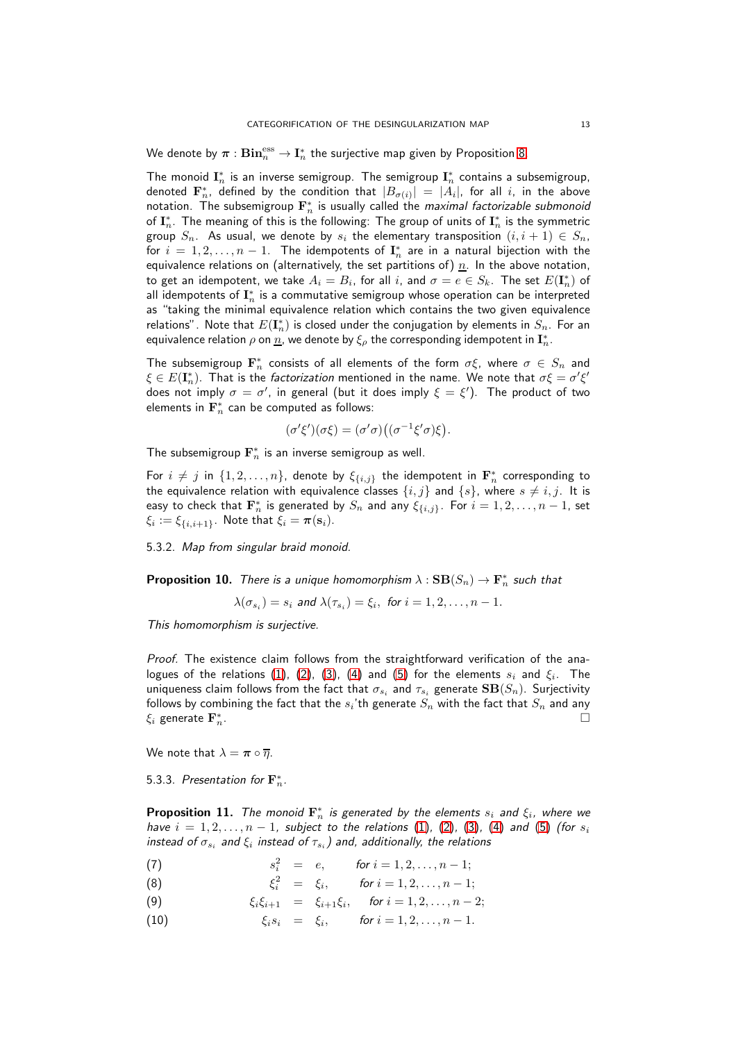We denote by  $\bm{\pi}:\mathbf{Bin}^{\text{ess}}_n\to \mathbf{I}^*_n$  the surjective map given by Proposition [8.](#page-11-0)

The monoid  $\mathbf{I}_n^*$  is an inverse semigroup. The semigroup  $\mathbf{I}_n^*$  contains a subsemigroup, denoted  $\mathbf{F}_n^*$ , defined by the condition that  $|B_{\sigma(i)}| \ = \ |A_i|$ , for all  $i$ , in the above notation. The subsemigroup  $\mathbf{F}_n^*$  is usually called the *maximal factorizable submonoid* of  $\mathbf{I}_n^*$ . The meaning of this is the following: The group of units of  $\mathbf{I}_n^*$  is the symmetric group  $S_n$ . As usual, we denote by  $s_i$  the elementary transposition  $(i, i + 1) \in S_n$ , for  $i = 1, 2, ..., n - 1$ . The idempotents of  $\mathbf{I}_n^*$  are in a natural bijection with the equivalence relations on (alternatively, the set partitions of)  $n$ . In the above notation, to get an idempotent, we take  $A_i=B_i$ , for all  $i$ , and  $\sigma=e\in S_k.$  The set  $E(\mathbf{I}^*_n)$  of all idempotents of  $\mathbf{I}_n^*$  is a commutative semigroup whose operation can be interpreted as "taking the minimal equivalence relation which contains the two given equivalence relations". Note that  $E(\mathbf{I}_n^*)$  is closed under the conjugation by elements in  $S_n.$  For an equivalence relation  $\rho$  on  $\overline{\mathit{n}}$ , we denote by  $\xi_\rho$  the corresponding idempotent in  $\mathbf{I}_n^*.$ 

The subsemigroup  $\mathbf{F}_n^*$  consists of all elements of the form  $\sigma \xi$ , where  $\sigma \in S_n$  and  $\xi \in E(\mathbf{I}_n^*)$ . That is the *factorization* mentioned in the name. We note that  $\sigma \xi = \sigma' \xi'$ does not imply  $\sigma=\sigma'$ , in general (but it does imply  $\xi=\xi'$ ). The product of two elements in  $\mathbf{F}_n^*$  can be computed as follows:

$$
(\sigma'\xi')(\sigma\xi) = (\sigma'\sigma)\big((\sigma^{-1}\xi'\sigma)\xi\big).
$$

The subsemigroup  $\mathbf{F}_n^*$  is an inverse semigroup as well.

For  $i \neq j$  in  $\{1, 2, ..., n\}$ , denote by  $\xi_{\{i,j\}}$  the idempotent in  $\mathbf{F}_n^*$  corresponding to the equivalence relation with equivalence classes  $\{i, j\}$  and  $\{s\}$ , where  $s \neq i, j$ . It is easy to check that  $\mathbf{F}_n^*$  is generated by  $S_n$  and any  $\xi_{\{i,j\}}.$  For  $i=1,2,\ldots,n-1,$  set  $\xi_i := \xi_{\{i,i+1\}}$ . Note that  $\xi_i = \boldsymbol{\pi}(\mathbf{s}_i)$ .

5.3.2. Map from singular braid monoid.

<span id="page-12-1"></span>**Proposition 10.** There is a unique homomorphism  $\lambda : \mathbf{SB}(S_n) \to \mathbf{F}_n^*$  such that

$$
\lambda(\sigma_{s_i})=s_i \text{ and } \lambda(\tau_{s_i})=\xi_i, \text{ for } i=1,2,\ldots,n-1.
$$

This homomorphism is surjective.

Proof. The existence claim follows from the straightforward verification of the analogues of the relations  $(1)$ ,  $(2)$ ,  $(3)$ ,  $(4)$  and  $(5)$  for the elements  $s_i$  and  $\xi_i$ . The uniqueness claim follows from the fact that  $\sigma_{s_i}$  and  $\tau_{s_i}$  generate  $\mathbf{SB}(S_n)$ . Surjectivity follows by combining the fact that the  $s_i$ 'th generate  $S_n$  with the fact that  $S_n$  and any  $\xi_i$  generate  $\mathbf{F}_n^*$ .  $\overline{n}$ .

We note that  $\lambda = \pi \circ \overline{\eta}$ .

5.3.3. Presentation for  $\mathbf{F}_n^*$ .

<span id="page-12-2"></span>**Proposition 11.** The monoid  $\mathbf{F}_n^*$  is generated by the elements  $s_i$  and  $\xi_i$ , where we have  $i = 1, 2, ..., n - 1$ , subject to the relations [\(1\)](#page-4-0), [\(2\)](#page-4-0), [\(3\)](#page-4-0), [\(4\)](#page-4-0) and [\(5\)](#page-4-0) (for  $s_i$ instead of  $\sigma_{s_i}$  and  $\xi_i$  instead of  $\tau_{s_i}$  ) and, additionally, the relations

(7)  $s_i^2 = e, \quad \text{for } i = 1, 2, \dots, n-1;$ 

<span id="page-12-0"></span>(8) 
$$
\xi_i^2 = \xi_i, \quad \text{for } i = 1, 2, ..., n-1;
$$

- (9)  $\xi_i \xi_{i+1} = \xi_{i+1} \xi_i, \text{ for } i = 1, 2, ..., n-2;$
- (10)  $\xi_i s_i = \xi_i, \quad \text{for } i = 1, 2, ..., n 1.$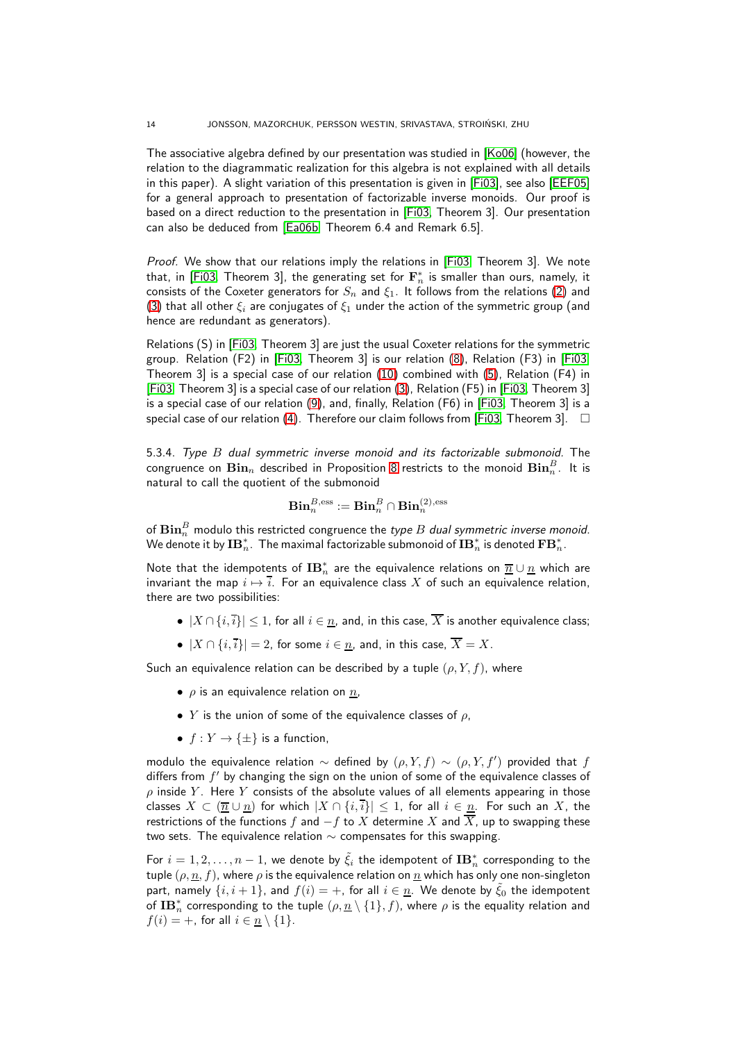The associative algebra defined by our presentation was studied in [\[Ko06\]](#page-37-23) (however, the relation to the diagrammatic realization for this algebra is not explained with all details in this paper). A slight variation of this presentation is given in [\[Fi03\]](#page-37-14), see also [\[EEF05\]](#page-37-13) for a general approach to presentation of factorizable inverse monoids. Our proof is based on a direct reduction to the presentation in [\[Fi03,](#page-37-14) Theorem 3]. Our presentation can also be deduced from [\[Ea06b,](#page-37-12) Theorem 6.4 and Remark 6.5].

Proof. We show that our relations imply the relations in [\[Fi03,](#page-37-14) Theorem 3]. We note that, in [\[Fi03,](#page-37-14) Theorem 3], the generating set for  $\mathbf{F}_n^*$  is smaller than ours, namely, it consists of the Coxeter generators for  $S_n$  and  $\xi_1$ . It follows from the relations [\(2\)](#page-4-0) and [\(3\)](#page-4-0) that all other  $\xi_i$  are conjugates of  $\xi_1$  under the action of the symmetric group (and hence are redundant as generators).

Relations (S) in [\[Fi03,](#page-37-14) Theorem 3] are just the usual Coxeter relations for the symmetric group. Relation (F2) in [\[Fi03,](#page-37-14) Theorem 3] is our relation [\(8\)](#page-12-0), Relation (F3) in [\[Fi03,](#page-37-14) Theorem 3] is a special case of our relation [\(10\)](#page-12-0) combined with [\(5\)](#page-4-0), Relation (F4) in [\[Fi03,](#page-37-14) Theorem 3] is a special case of our relation [\(3\)](#page-4-0), Relation (F5) in [\[Fi03,](#page-37-14) Theorem 3] is a special case of our relation [\(9\)](#page-12-0), and, finally, Relation (F6) in [\[Fi03,](#page-37-14) Theorem 3] is a special case of our relation [\(4\)](#page-4-0). Therefore our claim follows from [\[Fi03,](#page-37-14) Theorem 3].  $\Box$ 

<span id="page-13-0"></span>5.3.4. Type B dual symmetric inverse monoid and its factorizable submonoid. The congruence on  $\mathbf{Bin}_n$  described in Proposition [8](#page-11-0) restricts to the monoid  $\mathbf{Bin}^B_n.$  It is natural to call the quotient of the submonoid

$$
\mathbf{Bin}^{B,\mathrm{ess}}_n := \mathbf{Bin}^B_n \cap \mathbf{Bin}^{(2),\mathrm{ess}}_n
$$

of  $\mathbf{Bin}^B_n$  modulo this restricted congruence the *type*  $B$  *dual symmetric inverse monoid*. We denote it by  $\mathbf{IB}_n^*.$  The maximal factorizable submonoid of  $\mathbf{IB}_n^*$  is denoted  $\mathbf{FB}_n^*.$ 

Note that the idempotents of  $\mathbf{IB}_n^*$  are the equivalence relations on  $\overline{n} \cup \underline{n}$  which are invariant the map  $i \mapsto i$ . For an equivalence class X of such an equivalence relation, there are two possibilities:

- $|X \cap \{i, i\}| \leq 1$ , for all  $i \in n$ , and, in this case,  $\overline{X}$  is another equivalence class;
- $|X \cap \{i, i\}| = 2$ , for some  $i \in \underline{n}$ , and, in this case,  $\overline{X} = X$ .

Such an equivalence relation can be described by a tuple  $(\rho, Y, f)$ , where

- $\rho$  is an equivalence relation on  $n$ ,
- Y is the union of some of the equivalence classes of  $\rho$ ,
- $f: Y \to \{\pm\}$  is a function,

modulo the equivalence relation  $\sim$  defined by  $(\rho, Y, f)$   $\sim$   $(\rho, Y, f')$  provided that  $f$ differs from  $f'$  by changing the sign on the union of some of the equivalence classes of  $\rho$  inside Y. Here Y consists of the absolute values of all elements appearing in those classes  $X \subset (\overline{n} \cup \overline{n})$  for which  $|X \cap \{i,\overline{i}\}| \leq 1$ , for all  $i \in \overline{n}$ . For such an X, the restrictions of the functions f and  $-f$  to X determine X and  $\overline{X}$ , up to swapping these two sets. The equivalence relation  $\sim$  compensates for this swapping.

For  $i=1,2,\ldots,n-1,$  we denote by  $\tilde{\xi}_i$  the idempotent of  $\mathbf{IB}_n^*$  corresponding to the tuple  $(\rho, \underline{n}, f)$ , where  $\rho$  is the equivalence relation on  $\underline{n}$  which has only one non-singleton part, namely  $\{i, i+1\}$ , and  $f(i) = +$ , for all  $i \in \underline{n}$ . We denote by  $\tilde{\xi}_0$  the idempotent of  $\mathbf{IB}_n^*$  corresponding to the tuple  $(\rho, \underline{n} \setminus \{1\}, f)$ , where  $\rho$  is the equality relation and  $f(i) = +$ , for all  $i \in n \setminus \{1\}.$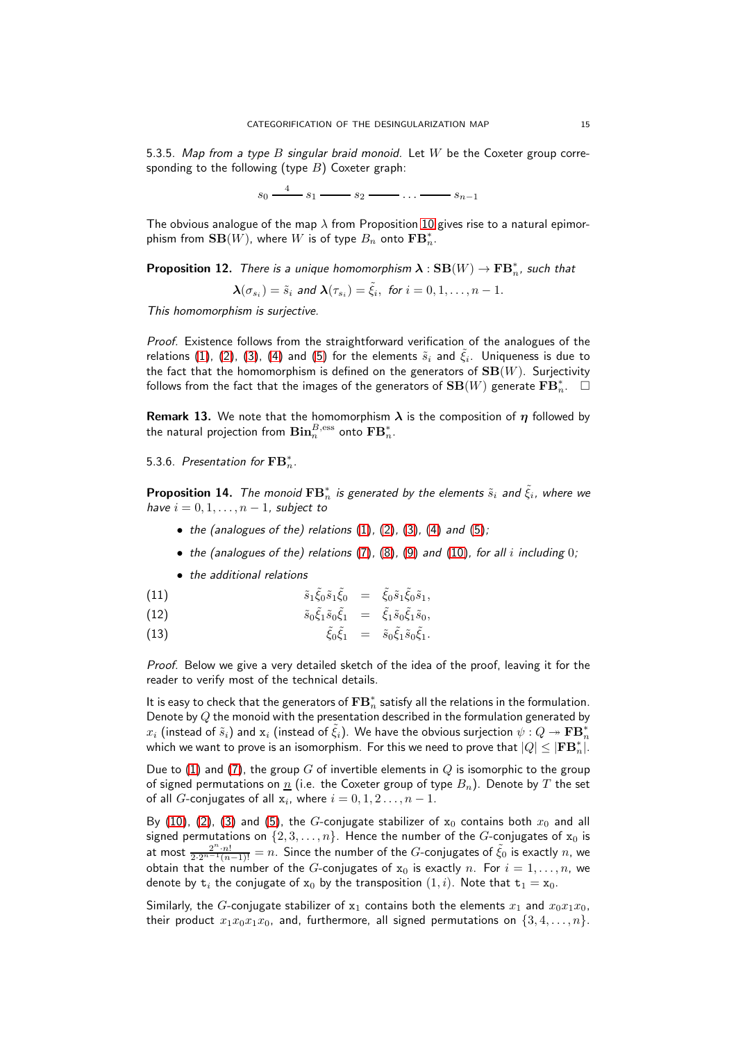<span id="page-14-0"></span>5.3.5. Map from a type  $B$  singular braid monoid. Let  $W$  be the Coxeter group corresponding to the following (type  $B$ ) Coxeter graph:

 $s_0 \xrightarrow{4} s_1 \longrightarrow s_2 \longrightarrow \ldots \longrightarrow s_{n-1}$ 

The obvious analogue of the map  $\lambda$  from Proposition [10](#page-12-1) gives rise to a natural epimorphism from  $\mathbf{SB}(W)$ , where  $W$  is of type  $B_n$  onto  $\mathbf{FB}_n^*.$ 

**Proposition 12.** There is a unique homomorphism  $\boldsymbol{\lambda} : \mathbf{SB}(W) \rightarrow \mathbf{FB}_n^*$ , such that

$$
\boldsymbol{\lambda}(\sigma_{s_i})=\tilde{s}_i \text{ and } \boldsymbol{\lambda}(\tau_{s_i})=\tilde{\xi}_i, \text{ for } i=0,1,\ldots,n-1.
$$

This homomorphism is surjective.

Proof. Existence follows from the straightforward verification of the analogues of the relations [\(1\)](#page-4-0), [\(2\)](#page-4-0), [\(3\)](#page-4-0), [\(4\)](#page-4-0) and [\(5\)](#page-4-0) for the elements  $\tilde{s}_i$  and  $\tilde{\xi}_i$ . Uniqueness is due to the fact that the homomorphism is defined on the generators of  $SB(W)$ . Surjectivity follows from the fact that the images of the generators of  $\mathbf{SB}(W)$  generate  $\mathbf{FB}_n^*.$   $\quad \Box$ 

**Remark 13.** We note that the homomorphism  $\lambda$  is the composition of  $\eta$  followed by the natural projection from  $\mathbf{Bin}^{B,\mathrm{ess}}_n$  onto  $\mathbf{FB}_n^*.$ 

5.3.6. Presentation for  $\mathbf{FB}_{n}^{*}$ .

<span id="page-14-1"></span>**Proposition 14.** The monoid  $\mathbf{FB}_n^*$  is generated by the elements  $\tilde{s}_i$  and  $\tilde{\xi}_i$ , where we have  $i = 0, 1, \ldots, n - 1$ , subject to

- the (analogues of the) relations  $(1)$ ,  $(2)$ ,  $(3)$ ,  $(4)$  and  $(5)$ ;
- the (analogues of the) relations [\(7\)](#page-12-0), [\(8\)](#page-12-0), [\(9\)](#page-12-0) and [\(10\)](#page-12-0), for all i including 0;
- <span id="page-14-2"></span>• the additional relations

(11)  $\tilde{s}_1 \tilde{\xi}_0 \tilde{s}_1 \tilde{\xi}_0 = \tilde{\xi}_0 \tilde{s}_1 \tilde{\xi}_0 \tilde{s}_1,$ 

(12) 
$$
\tilde{s}_0 \tilde{\xi}_1 \tilde{s}_0 \tilde{\xi}_1 = \tilde{\xi}_1 \tilde{s}_0 \tilde{\xi}_1 \tilde{s}_0,
$$

(13) 
$$
\tilde{\xi}_0 \tilde{\xi}_1 = \tilde{s}_0 \tilde{\xi}_1 \tilde{s}_0 \tilde{\xi}_1.
$$

Proof. Below we give a very detailed sketch of the idea of the proof, leaving it for the reader to verify most of the technical details.

It is easy to check that the generators of  $\mathbf{FB}_n^*$  satisfy all the relations in the formulation. Denote by  $Q$  the monoid with the presentation described in the formulation generated by  $x_i$  (instead of  $\tilde s_i)$  and  ${\rm x}_i$  (instead of  $\tilde \xi_i$ ). We have the obvious surjection  $\psi:Q\twoheadrightarrow {\bf FB}_n^*$ which we want to prove is an isomorphism. For this we need to prove that  $|Q|\leq |\mathbf{F}\mathbf{B}_n^*|.$ 

Due to [\(1\)](#page-4-0) and [\(7\)](#page-12-0), the group G of invertible elements in  $Q$  is isomorphic to the group of signed permutations on  $\underline{n}$  (i.e. the Coxeter group of type  $B_n$ ). Denote by T the set of all  $G$ -conjugates of all  $x_i$ , where  $i = 0, 1, 2 \ldots, n - 1$ .

By [\(10\)](#page-12-0), [\(2\)](#page-4-0), [\(3\)](#page-4-0) and [\(5\)](#page-4-0), the G-conjugate stabilizer of  $x_0$  contains both  $x_0$  and all signed permutations on  $\{2, 3, ..., n\}$ . Hence the number of the G-conjugates of  $x_0$  is at most  $\frac{2^n \cdot n!}{2 \cdot 2^{n-1} (n-1)!} = n$ . Since the number of the  $G$ -conjugates of  $\tilde{\xi}_0$  is exactly  $n$ , we obtain that the number of the G-conjugates of  $x_0$  is exactly n. For  $i = 1, ..., n$ , we denote by  $t_i$  the conjugate of  $x_0$  by the transposition  $(1, i)$ . Note that  $t_1 = x_0$ .

Similarly, the G-conjugate stabilizer of  $x_1$  contains both the elements  $x_1$  and  $x_0x_1x_0$ , their product  $x_1x_0x_1x_0$ , and, furthermore, all signed permutations on  $\{3, 4, \ldots, n\}$ .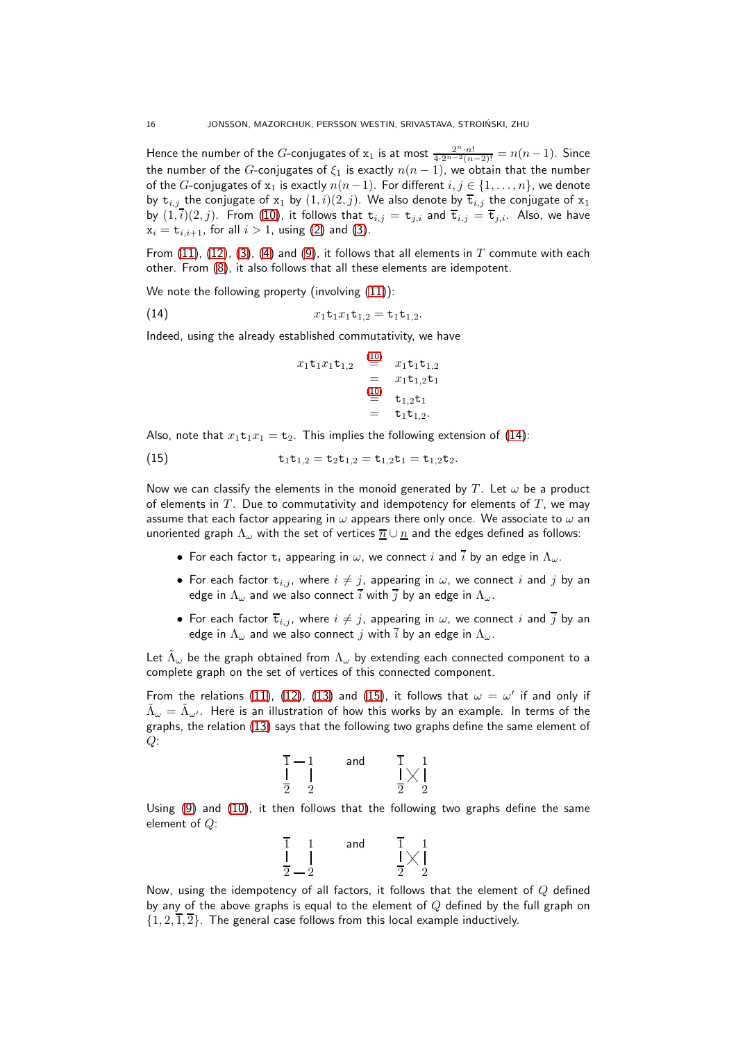Hence the number of the  $G$ -conjugates of  $x_1$  is at most  $\frac{2^n \cdot n!}{4 \cdot 2^{n-2} (n-2)!} = n(n-1)$ . Since the number of the G-conjugates of  $\xi_1$  is exactly  $n(n-1)$ , we obtain that the number of the G-conjugates of  $x_1$  is exactly  $n(n-1)$ . For different  $i, j \in \{1, ..., n\}$ , we denote by  $t_{i,j}$  the conjugate of  $x_1$  by  $(1, i)(2, j)$ . We also denote by  $\overline{t}_{i,j}$  the conjugate of  $x_1$ by  $(1,\overline{i})(2,j)$ . From [\(10\)](#page-12-0), it follows that  $t_{i,j} = t_{j,i}$  and  $\overline{t}_{i,j} = \overline{t}_{j,i}$ . Also, we have  $x_i = t_{i,i+1}$ , for all  $i > 1$ , using [\(2\)](#page-4-0) and [\(3\)](#page-4-0).

From [\(11\)](#page-14-2), [\(12\)](#page-14-2), [\(3\)](#page-4-0), [\(4\)](#page-4-0) and [\(9\)](#page-12-0), it follows that all elements in T commute with each other. From [\(8\)](#page-12-0), it also follows that all these elements are idempotent.

We note the following property (involving  $(11)$ ):

(14) 
$$
x_1 \mathbf{t}_1 x_1 \mathbf{t}_{1,2} = \mathbf{t}_1 \mathbf{t}_{1,2}.
$$

Indeed, using the already established commutativity, we have

<span id="page-15-1"></span><span id="page-15-0"></span>
$$
x_1 \mathbf{t}_1 x_1 \mathbf{t}_{1,2} = x_1 \mathbf{t}_1 \mathbf{t}_{1,2}
$$
  
=  $x_1 \mathbf{t}_1 \mathbf{t}_{1,2} \mathbf{t}_1$   
=  $x_1 \mathbf{t}_1 \mathbf{t}_1$   
=  $\mathbf{t}_1 \mathbf{t}_1 \mathbf{t}_1$   
=  $\mathbf{t}_1 \mathbf{t}_{1,2}$ .

Also, note that  $x_1t_1x_1 = t_2$ . This implies the following extension of [\(14\)](#page-15-0):

(15) 
$$
\mathtt{t}_1 \mathtt{t}_{1,2} = \mathtt{t}_2 \mathtt{t}_{1,2} = \mathtt{t}_{1,2} \mathtt{t}_1 = \mathtt{t}_{1,2} \mathtt{t}_2.
$$

Now we can classify the elements in the monoid generated by T. Let  $\omega$  be a product of elements in  $T$ . Due to commutativity and idempotency for elements of  $T$ , we may assume that each factor appearing in  $\omega$  appears there only once. We associate to  $\omega$  an unoriented graph  $\Lambda_{\omega}$  with the set of vertices  $\overline{n} \cup \underline{n}$  and the edges defined as follows:

- For each factor  $t_i$  appearing in  $\omega$ , we connect i and  $\overline{i}$  by an edge in  $\Lambda_{\omega}$ .
- For each factor  $t_{i,j}$ , where  $i \neq j$ , appearing in  $\omega$ , we connect i and j by an edge in  $\Lambda_{\omega}$  and we also connect  $\overline{i}$  with  $\overline{j}$  by an edge in  $\Lambda_{\omega}$ .
- For each factor  $\overline{\textbf{t}}_{i,j}$ , where  $i \neq j$ , appearing in  $\omega$ , we connect  $i$  and  $\overline{j}$  by an edge in  $\Lambda_{\omega}$  and we also connect j with  $\overline{i}$  by an edge in  $\Lambda_{\omega}$ .

Let  $\tilde{\Lambda}_\omega$  be the graph obtained from  $\Lambda_\omega$  by extending each connected component to a complete graph on the set of vertices of this connected component.

From the relations [\(11\)](#page-14-2), [\(12\)](#page-14-2), [\(13\)](#page-14-2) and [\(15\)](#page-15-1), it follows that  $\omega = \omega'$  if and only if  $\tilde{\Lambda}_\omega=\tilde{\Lambda}_{\omega'}$ . Here is an illustration of how this works by an example. In terms of the graphs, the relation [\(13\)](#page-14-2) says that the following two graphs define the same element of  $Q$ :

$$
\begin{array}{ccc} \overline{1} - 1 & \text{and} & \overline{1} & 1 \\ \mid & \mid & & \mid \times \mid \\ \overline{2} & 2 & & \overline{2} & 2 \end{array}
$$

Using [\(9\)](#page-12-0) and [\(10\)](#page-12-0), it then follows that the following two graphs define the same element of Q:



Now, using the idempotency of all factors, it follows that the element of  $Q$  defined by any of the above graphs is equal to the element of  $Q$  defined by the full graph on  $\{1, 2, \overline{1}, \overline{2}\}$ . The general case follows from this local example inductively.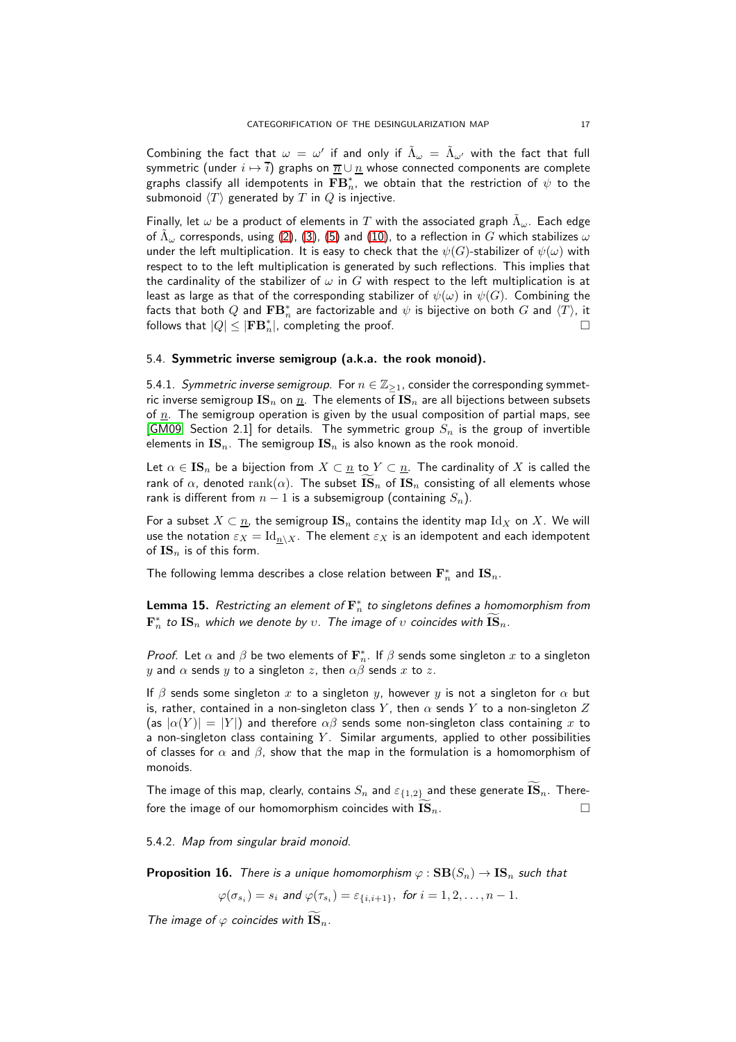Combining the fact that  $\omega = \omega'$  if and only if  $\tilde{\Lambda}_{\omega} = \tilde{\Lambda}_{\omega'}$  with the fact that full symmetric (under  $i \mapsto i$ ) graphs on  $\overline{n} \cup \underline{n}$  whose connected components are complete graphs classify all idempotents in  $\mathbf{FB}_n^*$ , we obtain that the restriction of  $\psi$  to the submonoid  $\langle T \rangle$  generated by T in  $Q$  is injective.

Finally, let  $\omega$  be a product of elements in  $T$  with the associated graph  $\tilde{\Lambda}_\omega.$  Each edge of  $\tilde \Lambda_\omega$  corresponds, using [\(2\)](#page-4-0), [\(3\)](#page-4-0), [\(5\)](#page-4-0) and [\(10\)](#page-12-0), to a reflection in  $G$  which stabilizes  $\omega$ under the left multiplication. It is easy to check that the  $\psi(G)$ -stabilizer of  $\psi(\omega)$  with respect to to the left multiplication is generated by such reflections. This implies that the cardinality of the stabilizer of  $\omega$  in G with respect to the left multiplication is at least as large as that of the corresponding stabilizer of  $\psi(\omega)$  in  $\psi(G)$ . Combining the facts that both  $Q$  and  $\mathbf{FB}_n^*$  are factorizable and  $\psi$  is bijective on both  $G$  and  $\langle T\rangle$ , it follows that  $|Q| \leq |\mathbf{FB}^*_n|$ , completing the proof.  $\hfill \Box$ 

#### <span id="page-16-1"></span>5.4. Symmetric inverse semigroup (a.k.a. the rook monoid).

5.4.1. Symmetric inverse semigroup. For  $n \in \mathbb{Z}_{\geq 1}$ , consider the corresponding symmetric inverse semigroup  $\text{IS}_n$  on  $\underline{n}$ . The elements of  $\text{IS}_n$  are all bijections between subsets of  $n$ . The semigroup operation is given by the usual composition of partial maps, see [\[GM09,](#page-37-24) Section 2.1] for details. The symmetric group  $S_n$  is the group of invertible elements in  $\text{IS}_n$ . The semigroup  $\text{IS}_n$  is also known as the rook monoid.

Let  $\alpha \in \mathbf{IS}_n$  be a bijection from  $X \subset n$  to  $Y \subset n$ . The cardinality of X is called the rank of  $\alpha$ , denoted rank( $\alpha$ ). The subset  $\overline{\text{IS}}_n$  of  $\text{IS}_n$  consisting of all elements whose rank is different from  $n - 1$  is a subsemigroup (containing  $S_n$ ).

For a subset  $X \subset \underline{n}$ , the semigroup  $\mathbf{IS}_n$  contains the identity map  $\mathrm{Id}_X$  on X. We will use the notation  $\varepsilon_X = \mathrm{Id}_{n \setminus X}$ . The element  $\varepsilon_X$  is an idempotent and each idempotent of  $\mathbf{IS}_n$  is of this form.

The following lemma describes a close relation between  $\mathbf{F}_n^*$  and  $\mathbf{IS}_n.$ 

<span id="page-16-0"></span>**Lemma 15.** Restricting an element of  $\mathbf{F}_n^*$  to singletons defines a homomorphism from  $\mathbf{F}_n^*$  to  $\mathbf{IS}_n$  which we denote by  $v.$  The image of  $v$  coincides with  $\widetilde{\mathbf{IS}}_n.$ 

*Proof.* Let  $\alpha$  and  $\beta$  be two elements of  $\mathbf{F}_n^*$ . If  $\beta$  sends some singleton  $x$  to a singleton y and  $\alpha$  sends y to a singleton z, then  $\alpha\beta$  sends x to z.

If  $\beta$  sends some singleton x to a singleton y, however y is not a singleton for  $\alpha$  but is, rather, contained in a non-singleton class Y, then  $\alpha$  sends Y to a non-singleton Z (as  $|\alpha(Y)| = |Y|$ ) and therefore  $\alpha\beta$  sends some non-singleton class containing x to a non-singleton class containing  $Y$ . Similar arguments, applied to other possibilities of classes for  $\alpha$  and  $\beta$ , show that the map in the formulation is a homomorphism of monoids.

The image of this map, clearly, contains  $S_n$  and  $\varepsilon_{\{1,2\}}$  and these generate  $\bar{\mathbf{IS}}_n$ . Therefore the image of our homomorphism coincides with  $\overline{\text{IS}}_n$ .

5.4.2. Map from singular braid monoid.

<span id="page-16-2"></span>**Proposition 16.** There is a unique homomorphism  $\varphi : SB(S_n) \to IS_n$  such that

 $\varphi(\sigma_{s_i})=s_i$  and  $\varphi(\tau_{s_i})=\varepsilon_{\{i,i+1\}},\,$  for  $i=1,2,\ldots,n-1.$ 

The image of  $\varphi$  coincides with  $\overline{\text{IS}}_n$ .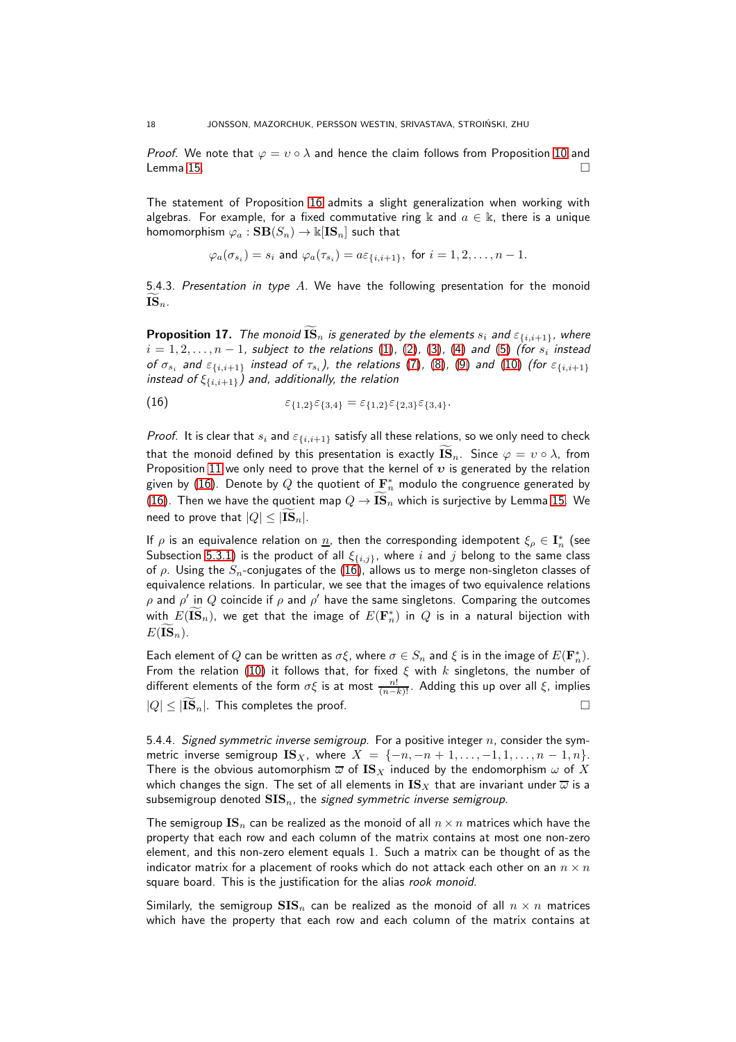*Proof.* We note that  $\varphi = v \circ \lambda$  and hence the claim follows from Proposition [10](#page-12-1) and Lemma [15.](#page-16-0)  $\Box$ 

The statement of Proposition [16](#page-16-2) admits a slight generalization when working with algebras. For example, for a fixed commutative ring k and  $a \in \mathbb{k}$ , there is a unique homomorphism  $\varphi_a : \mathbf{SB}(S_n) \to \Bbbk[\mathbf{IS}_n]$  such that

$$
\varphi_a(\sigma_{s_i}) = s_i
$$
 and  $\varphi_a(\tau_{s_i}) = a\varepsilon_{\{i,i+1\}}$ , for  $i = 1, 2, ..., n-1$ .

5.4.3. Presentation in type A. We have the following presentation for the monoid  $\mathbf{IS}_n$ .

<span id="page-17-2"></span>**Proposition 17.** The monoid  $\overline{\text{IS}}_n$  is generated by the elements  $s_i$  and  $\varepsilon_{\{i,i+1\}}$ , where  $i=1,2,\ldots,n-1$ , subject to the relations  $(1)$ ,  $(2)$ ,  $(3)$ ,  $(4)$  and  $(5)$   $($ for  $s_i$  instead of  $\sigma_{s_i}$  and  $\varepsilon_{\{i,i+1\}}$  instead of  $\tau_{s_i}$ ), the relations [\(7\)](#page-12-0), [\(8\)](#page-12-0), [\(9\)](#page-12-0) and [\(10\)](#page-12-0) (for  $\varepsilon_{\{i,i+1\}}$ instead of  $\xi_{\{i,i+1\}}$ ) and, additionally, the relation

<span id="page-17-1"></span>(16) 
$$
\varepsilon_{\{1,2\}}\varepsilon_{\{3,4\}} = \varepsilon_{\{1,2\}}\varepsilon_{\{2,3\}}\varepsilon_{\{3,4\}}.
$$

*Proof.* It is clear that  $s_i$  and  $\varepsilon_{\{i,i+1\}}$  satisfy all these relations, so we only need to check that the monoid defined by this presentation is exactly  $\overline{\mathbf{IS}}_n$ . Since  $\varphi = v \circ \lambda$ , from Proposition [11](#page-12-2) we only need to prove that the kernel of  $v$  is generated by the relation given by [\(16\)](#page-17-1). Denote by  $Q$  the quotient of  $\mathbf{F}_n^*$  modulo the congruence generated by [\(16\)](#page-17-1). Then we have the quotient map  $Q \to \bar{\mathbf{IS}}_n$  which is surjective by Lemma [15.](#page-16-0) We need to prove that  $|Q| \leq |{\bf IS}_{n}|$ .

If  $\rho$  is an equivalence relation on  $\underline{n}$ , then the corresponding idempotent  $\xi_\rho\in\mathbf{I}_n^*$  (see Subsection [5.3.1\)](#page-10-1) is the product of all  $\xi_{\{i,j\}}$ , where i and j belong to the same class of  $\rho$ . Using the  $S_n$ -conjugates of the [\(16\)](#page-17-1), allows us to merge non-singleton classes of equivalence relations. In particular, we see that the images of two equivalence relations  $\rho$  and  $\rho'$  in  $Q$  coincide if  $\rho$  and  $\rho'$  have the same singletons. Comparing the outcomes with  $E(\widetilde{\mathbf{IS}}_n)$ , we get that the image of  $E(\mathbf{F}^*_n)$  in  $Q$  is in a natural bijection with  $E(\mathbf{IS}_n)$ .

Each element of  $Q$  can be written as  $\sigma \xi$ , where  $\sigma \in S_n$  and  $\xi$  is in the image of  $E({\bf F}_n^*)$ . From the relation [\(10\)](#page-12-0) it follows that, for fixed  $\xi$  with  $k$  singletons, the number of different elements of the form  $\sigma \xi$  is at most  $\frac{n!}{(n-k)!}$  . Adding this up over all  $\xi$ , implies  $|Q| \leq |\widetilde{\mathbf{IS}}_n|$ . This completes the proof.

<span id="page-17-0"></span>5.4.4. Signed symmetric inverse semigroup. For a positive integer  $n$ , consider the symmetric inverse semigroup  $\text{IS}_X$ , where  $X = \{-n, -n+1, \ldots, -1, 1, \ldots, n-1, n\}.$ There is the obvious automorphism  $\overline{\omega}$  of  $\mathbf{IS}_X$  induced by the endomorphism  $\omega$  of X which changes the sign. The set of all elements in  $\mathbf{IS}_X$  that are invariant under  $\overline{\omega}$  is a subsemigroup denoted  $SIS_n$ , the signed symmetric inverse semigroup.

The semigroup  $\text{IS}_n$  can be realized as the monoid of all  $n \times n$  matrices which have the property that each row and each column of the matrix contains at most one non-zero element, and this non-zero element equals 1. Such a matrix can be thought of as the indicator matrix for a placement of rooks which do not attack each other on an  $n \times n$ square board. This is the justification for the alias rook monoid.

Similarly, the semigroup  $SIS_n$  can be realized as the monoid of all  $n \times n$  matrices which have the property that each row and each column of the matrix contains at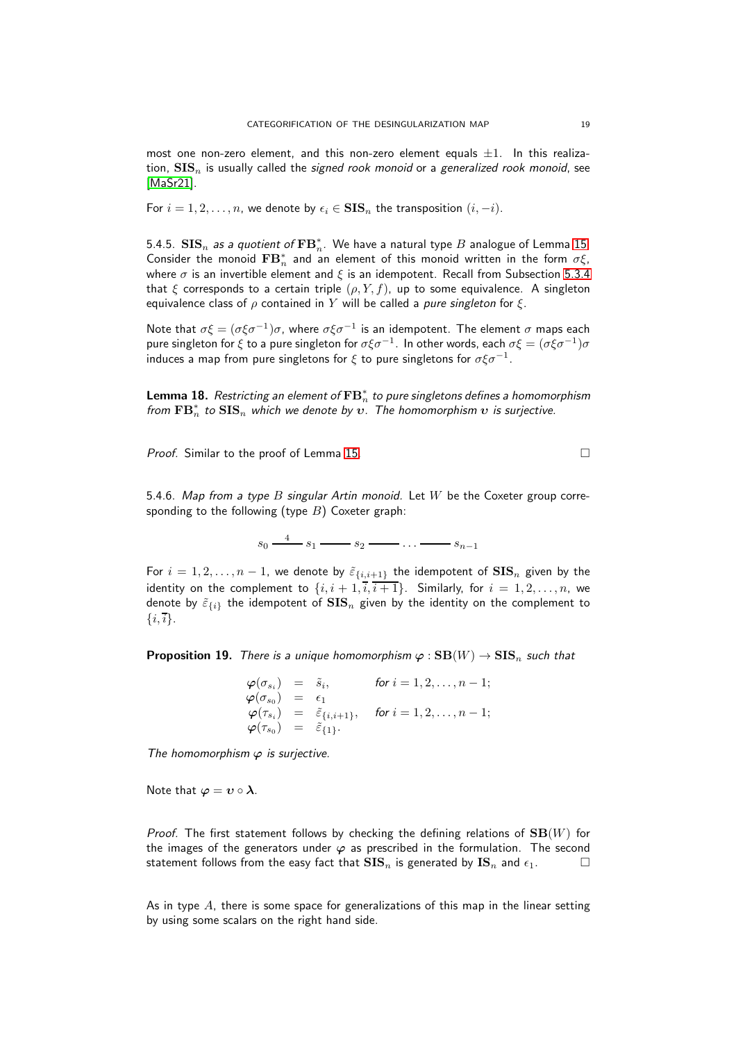most one non-zero element, and this non-zero element equals  $\pm 1$ . In this realization,  $SIS_n$  is usually called the signed rook monoid or a generalized rook monoid, see [\[MaSr21\]](#page-38-11).

For  $i = 1, 2, \ldots, n$ , we denote by  $\epsilon_i \in SIS_n$  the transposition  $(i, -i)$ .

5.4.5.  $\mathbf{SIS}_n$  as a quotient of  $\mathbf{FB}^*_n$ . We have a natural type  $B$  analogue of Lemma [15.](#page-16-0) Consider the monoid  $\mathbf{FB}_n^*$  and an element of this monoid written in the form  $\sigma \xi$ , where  $\sigma$  is an invertible element and  $\xi$  is an idempotent. Recall from Subsection [5.3.4](#page-13-0) that  $\xi$  corresponds to a certain triple  $(\rho, Y, f)$ , up to some equivalence. A singleton equivalence class of  $\rho$  contained in Y will be called a *pure singleton* for  $\xi$ .

Note that  $\sigma \xi = (\sigma \xi \sigma^{-1}) \sigma$ , where  $\sigma \xi \sigma^{-1}$  is an idempotent. The element  $\sigma$  maps each pure singleton for  $\xi$  to a pure singleton for  $\sigma \xi \sigma^{-1}.$  In other words, each  $\sigma \xi = (\sigma \xi \sigma^{-1}) \sigma$ induces a map from pure singletons for  $\xi$  to pure singletons for  $\sigma \xi \sigma^{-1}.$ 

**Lemma 18.** Restricting an element of  $\mathbf{FB}_n^*$  to pure singletons defines a homomorphism from  $\mathbf{FB}_n^*$  to  $\mathbf{SIS}_n$  which we denote by  $\bm{v}.$  The homomorphism  $\bm{v}$  is surjective.

Proof. Similar to the proof of Lemma [15.](#page-16-0)

5.4.6. Map from a type B singular Artin monoid. Let W be the Coxeter group corresponding to the following (type  $B$ ) Coxeter graph:

 $s_0 \xrightarrow{4} s_1 \longrightarrow s_2 \longrightarrow \ldots \longrightarrow s_{n-1}$ 

For  $i = 1, 2, ..., n - 1$ , we denote by  $\tilde{\varepsilon}_{\{i, i+1\}}$  the idempotent of  $\text{SIS}_n$  given by the identity on the complement to  $\{i, i+1, i, i+1\}$ . Similarly, for  $i = 1, 2, ..., n$ , we denote by  $\tilde{\varepsilon}_{\{i\}}$  the idempotent of  $\mathbf{SIS}_n$  given by the identity on the complement to  $\{i,\overline{i}\}.$ 

**Proposition 19.** There is a unique homomorphism  $\varphi : SB(W) \to SIS_n$  such that

$$
\begin{array}{rcl}\n\varphi(\sigma_{s_i}) &=& \tilde{s}_i, &\text{for } i = 1, 2, \ldots, n-1; \\
\varphi(\sigma_{s_0}) &=& \epsilon_1 \\
\varphi(\tau_{s_i}) &=& \tilde{\epsilon}_{\{i, i+1\}}, &\text{for } i = 1, 2, \ldots, n-1; \\
\varphi(\tau_{s_0}) &=& \tilde{\epsilon}_{\{1\}}.\n\end{array}
$$

The homomorphism  $\varphi$  is surjective.

Note that  $\varphi = v \circ \lambda$ .

Proof. The first statement follows by checking the defining relations of  $SB(W)$  for the images of the generators under  $\varphi$  as prescribed in the formulation. The second statement follows from the easy fact that  $\mathbf{SIS}_n$  is generated by  $\mathbf{IS}_n$  and  $\epsilon_1$ .

As in type  $A$ , there is some space for generalizations of this map in the linear setting by using some scalars on the right hand side.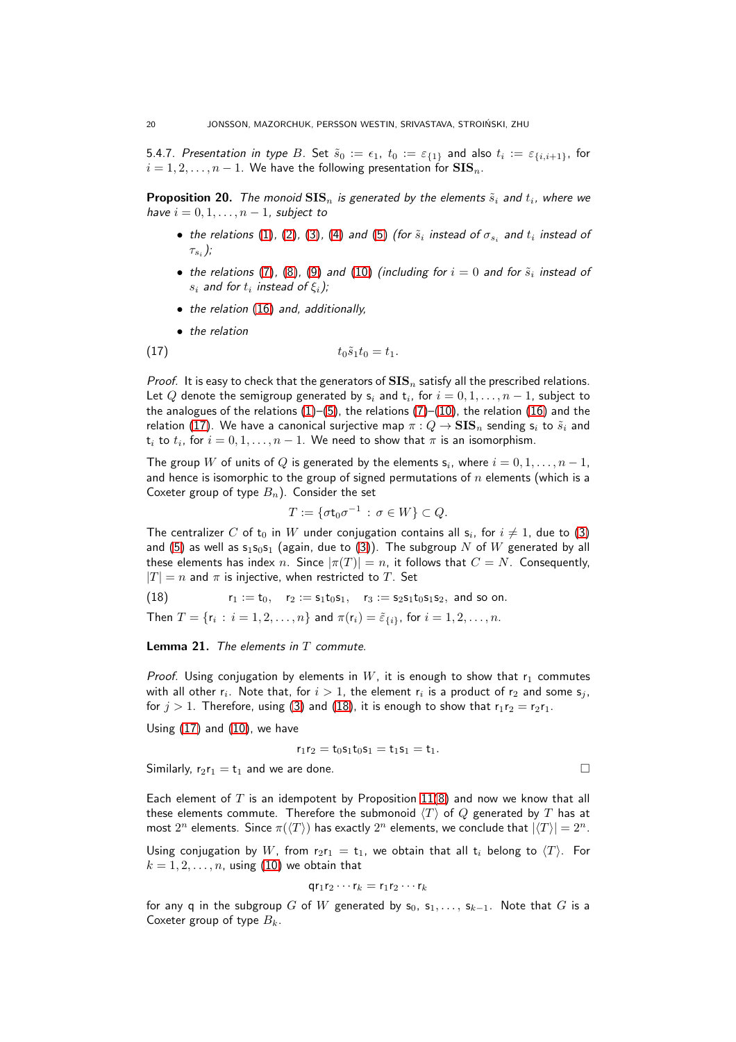<span id="page-19-0"></span>5.4.7. Presentation in type  $B.$  Set  $\tilde s_0:=\epsilon_1,~t_0:=\varepsilon_{\{1\}}$  and also  $t_i:=\varepsilon_{\{i,i+1\}},$  for  $i = 1, 2, \ldots, n - 1$ . We have the following presentation for  $SIS_n$ .

<span id="page-19-1"></span>**Proposition 20.** The monoid  $\text{SIS}_n$  is generated by the elements  $\tilde{s}_i$  and  $t_i$ , where we have  $i = 0, 1, \ldots, n - 1$ , subject to

- $\bullet\,$  the relations  $(1)$ ,  $(2)$ ,  $(3)$ ,  $(4)$  and  $(5)$  (for  $\tilde{s}_i$  instead of  $\sigma_{s_i}$  and  $t_i$  instead of  $\tau_{s_i}$  );
- $\bullet\,$  the relations [\(7\)](#page-12-0), [\(8\)](#page-12-0), [\(9\)](#page-12-0) and [\(10\)](#page-12-0) (including for  $i=0$  and for  $\tilde{s}_i$  instead of  $s_i$  and for  $t_i$  instead of  $\xi_i$  );
- the relation [\(16\)](#page-17-1) and, additionally,
- <span id="page-19-2"></span>• the relation

(17) 
$$
t_0 \tilde{s}_1 t_0 = t_1.
$$

*Proof.* It is easy to check that the generators of  $SIS_n$  satisfy all the prescribed relations. Let  $Q$  denote the semigroup generated by  $\mathsf{s}_i$  and  $\mathsf{t}_i$ , for  $i=0,1,\ldots,n-1,$  subject to the analogues of the relations  $(1)$ – $(5)$ , the relations  $(7)$ – $(10)$ , the relation  $(16)$  and the relation [\(17\)](#page-19-2). We have a canonical surjective map  $\pi: Q \to \mathbf{SIS}_n$  sending  $s_i$  to  $\tilde{s}_i$  and  $\mathsf{t}_i$  to  $t_i$ , for  $i=0,1,\ldots,n-1.$  We need to show that  $\pi$  is an isomorphism.

The group  $W$  of units of  $Q$  is generated by the elements  $\mathsf{s}_i$ , where  $i=0,1,\ldots,n-1,$ and hence is isomorphic to the group of signed permutations of  $n$  elements (which is a Coxeter group of type  $B_n$ ). Consider the set

$$
T := \{ \sigma \mathsf{t}_0 \sigma^{-1} \, : \, \sigma \in W \} \subset Q.
$$

The centralizer  $C$  of  $\mathsf{t}_0$  in  $W$  under conjugation contains all  $\mathsf{s}_i$ , for  $i\neq 1$ , due to  $(3)$ and [\(5\)](#page-4-0) as well as  $s_1s_0s_1$  (again, due to [\(3\)](#page-4-0)). The subgroup N of W generated by all these elements has index n. Since  $|\pi(T)| = n$ , it follows that  $C = N$ . Consequently,  $|T| = n$  and  $\pi$  is injective, when restricted to T. Set

<span id="page-19-3"></span>(18)  $r_1 := t_0$ ,  $r_2 := s_1t_0s_1$ ,  $r_3 := s_2s_1t_0s_1s_2$ , and so on.

Then  $T = \{r_i : i = 1, 2, \ldots, n\}$  and  $\pi(r_i) = \tilde{\varepsilon}_{\{i\}},$  for  $i = 1, 2, \ldots, n$ .

## **Lemma 21.** The elements in  $T$  commute.

*Proof.* Using conjugation by elements in W, it is enough to show that  $r_1$  commutes with all other  $\mathsf{r}_i.$  Note that, for  $i>1,$  the element  $\mathsf{r}_i$  is a product of  $\mathsf{r}_2$  and some  $\mathsf{s}_j,$ for  $j > 1$ . Therefore, using [\(3\)](#page-4-0) and [\(18\)](#page-19-3), it is enough to show that  $r_1r_2 = r_2r_1$ .

Using [\(17\)](#page-19-2) and [\(10\)](#page-12-0), we have

 $r_1r_2 = t_0s_1t_0s_1 = t_1s_1 = t_1.$ 

Similarly,  $r_2r_1 = t_1$  and we are done.  $\Box$ 

Each element of T is an idempotent by Proposition  $11(8)$  $11(8)$  and now we know that all these elements commute. Therefore the submonoid  $\langle T \rangle$  of  $Q$  generated by  $T$  has at most  $2^n$  elements. Since  $\pi(\langle T \rangle)$  has exactly  $2^n$  elements, we conclude that  $|\langle T \rangle| = 2^n$ .

Using conjugation by W, from  $r_2r_1 = t_1$ , we obtain that all  $t_i$  belong to  $\langle T \rangle$ . For  $k = 1, 2, \ldots, n$ , using [\(10\)](#page-12-0) we obtain that

$$
\mathsf{qr}_1\mathsf{r}_2\cdots\mathsf{r}_k=\mathsf{r}_1\mathsf{r}_2\cdots\mathsf{r}_k
$$

for any q in the subgroup G of W generated by  $s_0, s_1, \ldots, s_{k-1}$ . Note that G is a Coxeter group of type  $B_k$ .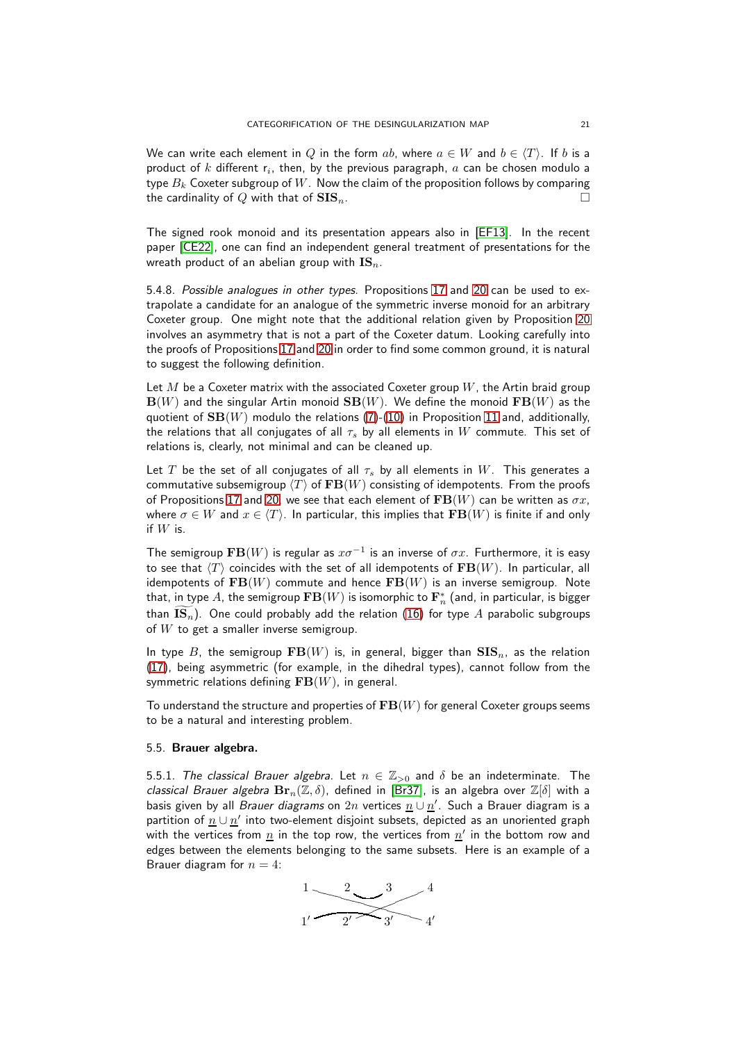We can write each element in Q in the form ab, where  $a \in W$  and  $b \in \langle T \rangle$ . If b is a product of  $k$  different  $\mathsf{r}_i$ , then, by the previous paragraph,  $a$  can be chosen modulo a type  $B_k$  Coxeter subgroup of  $W$ . Now the claim of the proposition follows by comparing the cardinality of Q with that of  $\text{SIS}_n$ .

The signed rook monoid and its presentation appears also in [\[EF13\]](#page-37-16). In the recent paper [\[CE22\]](#page-36-5), one can find an independent general treatment of presentations for the wreath product of an abelian group with  $\text{IS}_n$ .

5.4.8. Possible analogues in other types. Propositions [17](#page-17-2) and [20](#page-19-1) can be used to extrapolate a candidate for an analogue of the symmetric inverse monoid for an arbitrary Coxeter group. One might note that the additional relation given by Proposition [20](#page-19-1) involves an asymmetry that is not a part of the Coxeter datum. Looking carefully into the proofs of Propositions [17](#page-17-2) and [20](#page-19-1) in order to find some common ground, it is natural to suggest the following definition.

Let M be a Coxeter matrix with the associated Coxeter group  $W$ , the Artin braid group  $\mathbf{B}(W)$  and the singular Artin monoid  $\mathbf{SB}(W)$ . We define the monoid  $\mathbf{FB}(W)$  as the quotient of  $SB(W)$  modulo the relations [\(7\)](#page-12-0)-[\(10\)](#page-12-0) in Proposition [11](#page-12-2) and, additionally, the relations that all conjugates of all  $\tau_s$  by all elements in W commute. This set of relations is, clearly, not minimal and can be cleaned up.

Let T be the set of all conjugates of all  $\tau_s$  by all elements in W. This generates a commutative subsemigroup  $\langle T \rangle$  of  $\mathbf{FB}(W)$  consisting of idempotents. From the proofs of Propositions [17](#page-17-2) and [20,](#page-19-1) we see that each element of  $\mathbf{FB}(W)$  can be written as  $\sigma x$ , where  $\sigma \in W$  and  $x \in \langle T \rangle$ . In particular, this implies that  $\mathbf{FB}(W)$  is finite if and only if  $W$  is.

The semigroup  $\mathbf{FB}(W)$  is regular as  $x\sigma^{-1}$  is an inverse of  $\sigma x.$  Furthermore, it is easy to see that  $\langle T \rangle$  coincides with the set of all idempotents of  $\mathbf{FB}(W)$ . In particular, all idempotents of  $\mathbf{FB}(W)$  commute and hence  $\mathbf{FB}(W)$  is an inverse semigroup. Note that, in type  $A$ , the semigroup  $\mathbf{FB}(W)$  is isomorphic to  $\mathbf{F}_n^*$  (and, in particular, is bigger than  $\mathbf{IS}_n$ ). One could probably add the relation [\(16\)](#page-17-1) for type A parabolic subgroups of  $W$  to get a smaller inverse semigroup.

In type B, the semigroup  $FB(W)$  is, in general, bigger than  $SIS_n$ , as the relation [\(17\)](#page-19-2), being asymmetric (for example, in the dihedral types), cannot follow from the symmetric relations defining  $FB(W)$ , in general.

<span id="page-20-0"></span>To understand the structure and properties of  $\mathbf{FB}(W)$  for general Coxeter groups seems to be a natural and interesting problem.

#### 5.5. Brauer algebra.

5.5.1. The classical Brauer algebra. Let  $n \in \mathbb{Z}_{>0}$  and  $\delta$  be an indeterminate. The classical Brauer algebra  $\mathbf{Br}_n(\mathbb{Z}, \delta)$ , defined in [\[Br37\]](#page-36-4), is an algebra over  $\mathbb{Z}[\delta]$  with a basis given by all *Brauer diagrams* on  $2n$  vertices  $\underline{n} \cup \underline{n'}$ . Such a Brauer diagram is a partition of  $\underline{n} \cup \underline{n}'$  into two-element disjoint subsets, depicted as an unoriented graph with the vertices from  $\underline{n}$  in the top row, the vertices from  $\underline{n}'$  in the bottom row and edges between the elements belonging to the same subsets. Here is an example of a Brauer diagram for  $n = 4$ :

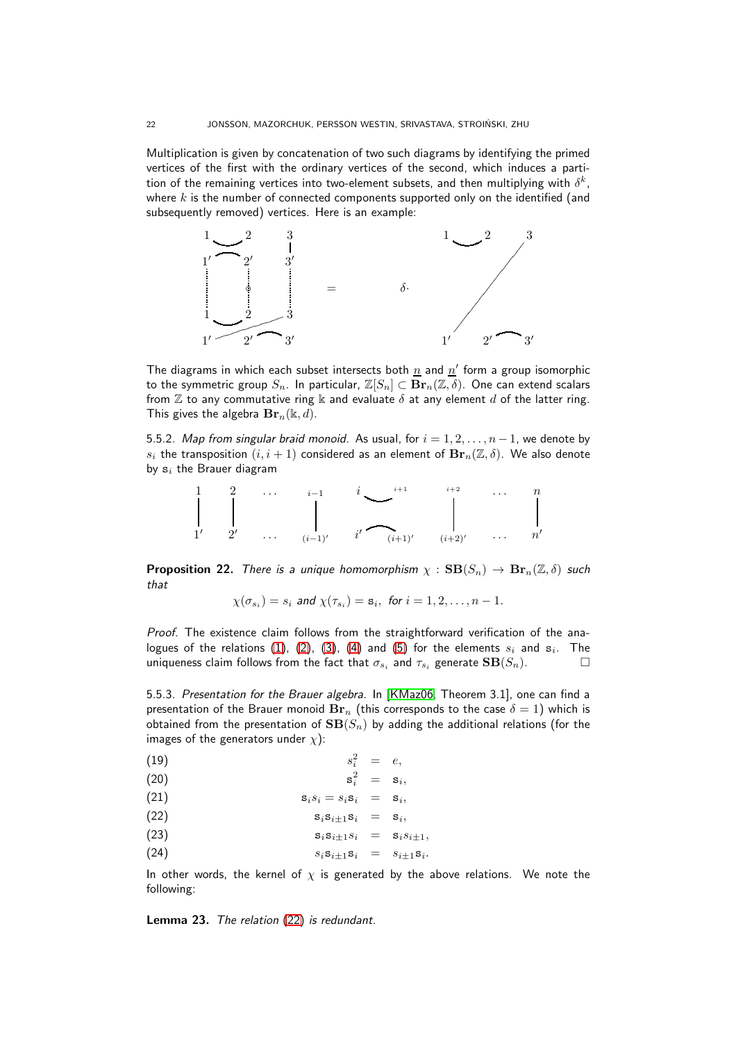Multiplication is given by concatenation of two such diagrams by identifying the primed vertices of the first with the ordinary vertices of the second, which induces a partition of the remaining vertices into two-element subsets, and then multiplying with  $\delta^k$ , where  $k$  is the number of connected components supported only on the identified (and subsequently removed) vertices. Here is an example:



The diagrams in which each subset intersects both  $\underline{n}$  and  $\underline{n}'$  form a group isomorphic to the symmetric group  $S_n$ . In particular,  $\mathbb{Z}[S_n] \subset \mathbf{Br}_n(\mathbb{Z}, \delta)$ . One can extend scalars from  $\mathbb Z$  to any commutative ring  $\Bbbk$  and evaluate  $\delta$  at any element d of the latter ring. This gives the algebra  $\mathbf{Br}_n(\mathbb{k}, d)$ .

5.5.2. Map from singular braid monoid. As usual, for  $i = 1, 2, ..., n - 1$ , we denote by  $s_i$  the transposition  $(i, i + 1)$  considered as an element of  $\mathbf{Br}_n(\mathbb{Z}, \delta)$ . We also denote by  $s_i$  the Brauer diagram



<span id="page-21-0"></span>**Proposition 22.** There is a unique homomorphism  $\chi : \mathbf{SB}(S_n) \to \mathbf{Br}_n(\mathbb{Z}, \delta)$  such that

<span id="page-21-1"></span>
$$
\chi(\sigma_{s_i})=s_i \text{ and } \chi(\tau_{s_i})=\mathbf{s}_i, \text{ for } i=1,2,\ldots,n-1.
$$

Proof. The existence claim follows from the straightforward verification of the analogues of the relations  $(1)$ ,  $(2)$ ,  $(3)$ ,  $(4)$  and  $(5)$  for the elements  $s_i$  and  $\mathbf{s}_i$ . The uniqueness claim follows from the fact that  $\sigma_{s_i}$  and  $\tau_{s_i}$  generate  $\mathbf{SB}(S_n)$ .

5.5.3. Presentation for the Brauer algebra. In [\[KMaz06,](#page-37-25) Theorem 3.1], one can find a presentation of the Brauer monoid  $\text{Br}_n$  (this corresponds to the case  $\delta = 1$ ) which is obtained from the presentation of  $SB(S_n)$  by adding the additional relations (for the images of the generators under  $\chi$ ):

$$
(19) \t s_i^2 = e,
$$

$$
\mathbf{s}_i^2 = \mathbf{s}_i,
$$

$$
s_i s_i = s_i s_i = s_i, \quad
$$

$$
s_i s_{i \pm 1} s_i = s_i,
$$

$$
\mathbf{s}_i \mathbf{s}_{i \pm 1} s_i = \mathbf{s}_i s_{i \pm 1},
$$

$$
(24) \t\t s_i s_{i\pm 1} s_i = s_{i\pm 1} s_i.
$$

In other words, the kernel of  $\chi$  is generated by the above relations. We note the following:

Lemma 23. The relation [\(22\)](#page-21-1) is redundant.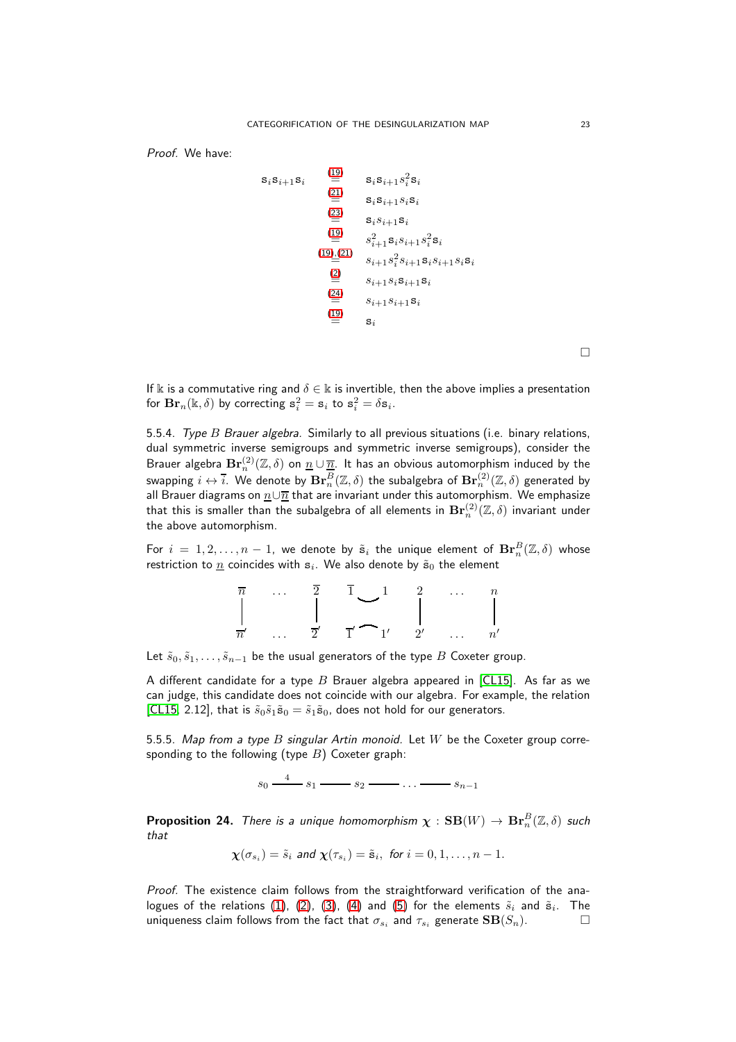Proof. We have:

$$
s_i s_{i+1} s_i = s_i s_{i+1} s_i^2 s_i
$$
  
\n
$$
\stackrel{(21)}{=} s_i s_{i+1} s_i s_i
$$
  
\n
$$
\stackrel{(22)}{=} s_i s_{i+1} s_i
$$
  
\n
$$
\stackrel{(19)}{=} s_{i+1}^2 s_i s_{i+1} s_i^2 s_i
$$
  
\n
$$
\stackrel{(19)}{=} s_{i+1} s_i^2 s_{i+1} s_i s_{i+1} s_i s_i
$$
  
\n
$$
\stackrel{(2)}{=} s_{i+1} s_i s_{i+1} s_i
$$
  
\n
$$
\stackrel{(24)}{=} s_{i+1} s_{i+1} s_i
$$
  
\n
$$
\stackrel{(19)}{=} s_i
$$

 $\Box$ 

If k is a commutative ring and  $\delta \in \mathbb{k}$  is invertible, then the above implies a presentation for  $\mathbf{Br}_n(\mathbb{k}, \delta)$  by correcting  $\mathbf{s}_i^2 = \mathbf{s}_i$  to  $\mathbf{s}_i^2 = \delta \mathbf{s}_i$ .

5.5.4. Type B Brauer algebra. Similarly to all previous situations (i.e. binary relations, dual symmetric inverse semigroups and symmetric inverse semigroups), consider the Brauer algebra  $\mathbf{Br}_n^{(2)}(\mathbb{Z},\delta)$  on  $\underline{n}\cup \overline{n}.$  It has an obvious automorphism induced by the swapping  $i\leftrightarrow \bar{i}$ . We denote by  $\mathbf{Br}_n^B(\Z,\delta)$  the subalgebra of  $\mathbf{Br}_n^{(2)}(\Z,\delta)$  generated by all Brauer diagrams on  $\underline{n} \cup \overline{n}$  that are invariant under this automorphism. We emphasize that this is smaller than the subalgebra of all elements in  $\mathbf{Br}^{(2)}_n(\mathbb{Z},\delta)$  invariant under the above automorphism.

For  $i\,=\,1,2,\ldots,n\,-\,1$ , we denote by  $\tilde{\mathbf{s}}_i$  the unique element of  $\mathbf{Br}_n^B(\Z,\delta)$  whose restriction to  $\underline{n}$  coincides with  $\mathbf{s}_i.$  We also denote by  $\tilde{\mathbf{s}}_0$  the element

|                | $\cdots$ |  | $\cdots$ |  |
|----------------|----------|--|----------|--|
|                |          |  |          |  |
|                |          |  |          |  |
| $\overline{ }$ | $\cdots$ |  | $\cdots$ |  |

Let  $\tilde{s}_0, \tilde{s}_1, \ldots, \tilde{s}_{n-1}$  be the usual generators of the type B Coxeter group.

A different candidate for a type  $B$  Brauer algebra appeared in [\[CL15\]](#page-36-6). As far as we can judge, this candidate does not coincide with our algebra. For example, the relation [\[CL15,](#page-36-6) 2.12], that is  $\tilde{s}_0 \tilde{s}_1 \tilde{s}_0 = \tilde{s}_1 \tilde{s}_0$ , does not hold for our generators.

5.5.5. Map from a type  $B$  singular Artin monoid. Let  $W$  be the Coxeter group corresponding to the following (type  $B$ ) Coxeter graph:

 $s_0 \xrightarrow{4} s_1 \longrightarrow s_2 \longrightarrow \ldots \longrightarrow s_{n-1}$ 

**Proposition 24.** There is a unique homomorphism  $\boldsymbol{\chi}:\mathbf{SB}(W)\to\mathbf{Br}_n^B(\mathbb{Z},\delta)$  such that

$$
\chi(\sigma_{s_i}) = \tilde{s}_i
$$
 and  $\chi(\tau_{s_i}) = \tilde{s}_i$ , for  $i = 0, 1, ..., n - 1$ .

Proof. The existence claim follows from the straightforward verification of the analogues of the relations  $(1)$ ,  $(2)$ ,  $(3)$ ,  $(4)$  and  $(5)$  for the elements  $\widetilde{s}_i$  and  $\widetilde{\mathbf{s}}_i$ . The uniqueness claim follows from the fact that  $\sigma_{s_i}$  and  $\tau_{s_i}$  generate  $\mathbf{SB}(S_n).$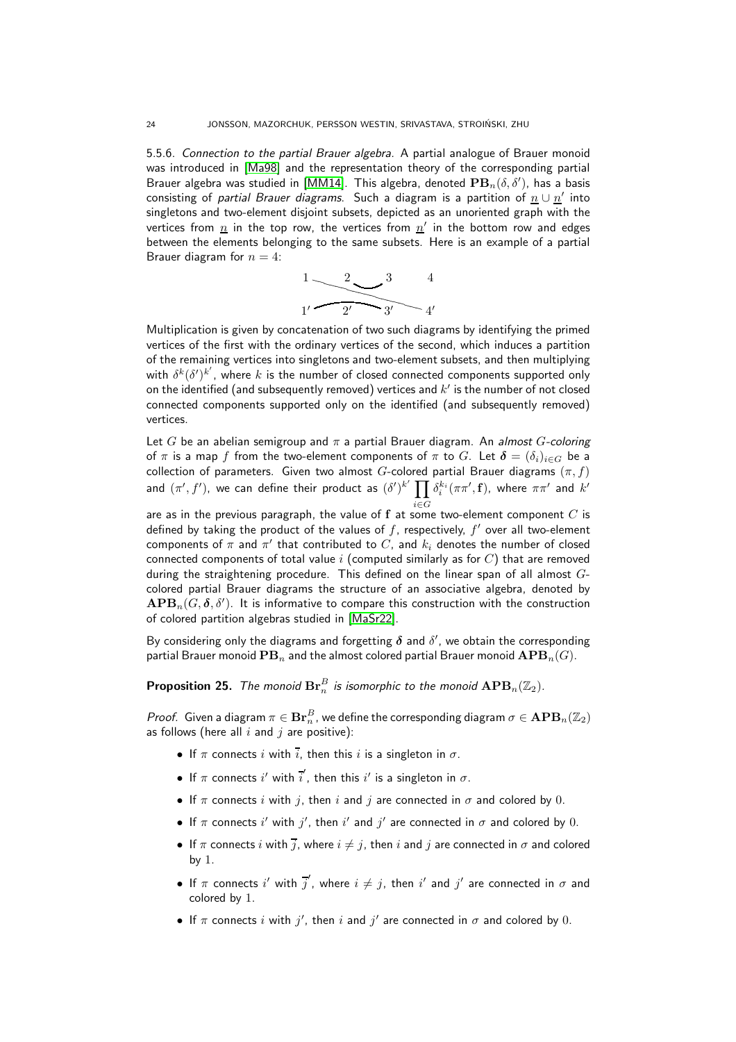5.5.6. Connection to the partial Brauer algebra. A partial analogue of Brauer monoid was introduced in [\[Ma98\]](#page-38-6) and the representation theory of the corresponding partial Brauer algebra was studied in [\[MM14\]](#page-37-26). This algebra, denoted  $\mathbf{PB}_n(\delta,\delta')$ , has a basis consisting of *partial Brauer diagrams*. Such a diagram is a partition of  $\underline{n} \cup \underline{n}'$  into singletons and two-element disjoint subsets, depicted as an unoriented graph with the vertices from  $\underline{n}$  in the top row, the vertices from  $\underline{n}'$  in the bottom row and edges between the elements belonging to the same subsets. Here is an example of a partial Brauer diagram for  $n = 4$ :



Multiplication is given by concatenation of two such diagrams by identifying the primed vertices of the first with the ordinary vertices of the second, which induces a partition of the remaining vertices into singletons and two-element subsets, and then multiplying with  $\delta^{k}(\delta')^{k'}$ , where k is the number of closed connected components supported only on the identified (and subsequently removed) vertices and  $k^\prime$  is the number of not closed connected components supported only on the identified (and subsequently removed) vertices.

Let G be an abelian semigroup and  $\pi$  a partial Brauer diagram. An almost G-coloring of  $\pi$  is a map f from the two-element components of  $\pi$  to G. Let  $\delta = (\delta_i)_{i \in G}$  be a collection of parameters. Given two almost G-colored partial Brauer diagrams  $(\pi, f)$ and  $(\pi', f')$ , we can define their product as  $(\delta')^{k'} \prod$ i∈G  $\delta_i^{k_i}(\pi\pi',\mathbf{f}),$  where  $\pi\pi'$  and  $k'$ 

are as in the previous paragraph, the value of  ${\bf f}$  at some two-element component  $C$  is defined by taking the product of the values of  $f$ , respectively,  $f'$  over all two-element components of  $\pi$  and  $\pi'$  that contributed to  $C,$  and  $k_i$  denotes the number of closed connected components of total value  $i$  (computed similarly as for  $C$ ) that are removed during the straightening procedure. This defined on the linear span of all almost  $G$ colored partial Brauer diagrams the structure of an associative algebra, denoted by  $\mathbf{APB}_n(G,\boldsymbol{\delta},\delta').$  It is informative to compare this construction with the construction of colored partition algebras studied in [\[MaSr22\]](#page-38-12).

By considering only the diagrams and forgetting  $\delta$  and  $\delta'$ , we obtain the corresponding partial Brauer monoid  $\mathbf{PB}_n$  and the almost colored partial Brauer monoid  $\mathbf{APB}_n(G)$ .

<span id="page-23-1"></span>**Proposition 25.** The monoid  $\mathbf{Br}_n^B$  is isomorphic to the monoid  $\mathbf{APB}_n(\mathbb{Z}_2).$ 

*Proof.* Given a diagram  $\pi \in \mathbf{Br}_n^B$  , we define the corresponding diagram  $\sigma \in \mathbf{APB}_n(\mathbb{Z}_2)$ as follows (here all  $i$  and  $j$  are positive):

- If  $\pi$  connects i with  $\overline{i}$ , then this i is a singleton in  $\sigma$ .
- If  $\pi$  connects i' with  $i'$ , then this i' is a singleton in  $\sigma$ .
- If  $\pi$  connects i with j, then i and j are connected in  $\sigma$  and colored by 0.
- If  $\pi$  connects i' with  $j'$ , then i' and  $j'$  are connected in  $\sigma$  and colored by 0.
- If  $\pi$  connects i with  $\overline{j}$ , where  $i \neq j$ , then i and j are connected in  $\sigma$  and colored by 1.
- If  $\pi$  connects  $i'$  with  $\overline{j}'$ , where  $i \neq j$ , then  $i'$  and  $j'$  are connected in  $\sigma$  and colored by 1.
- If  $\pi$  connects i with j', then i and j' are connected in  $\sigma$  and colored by 0.

<span id="page-23-0"></span>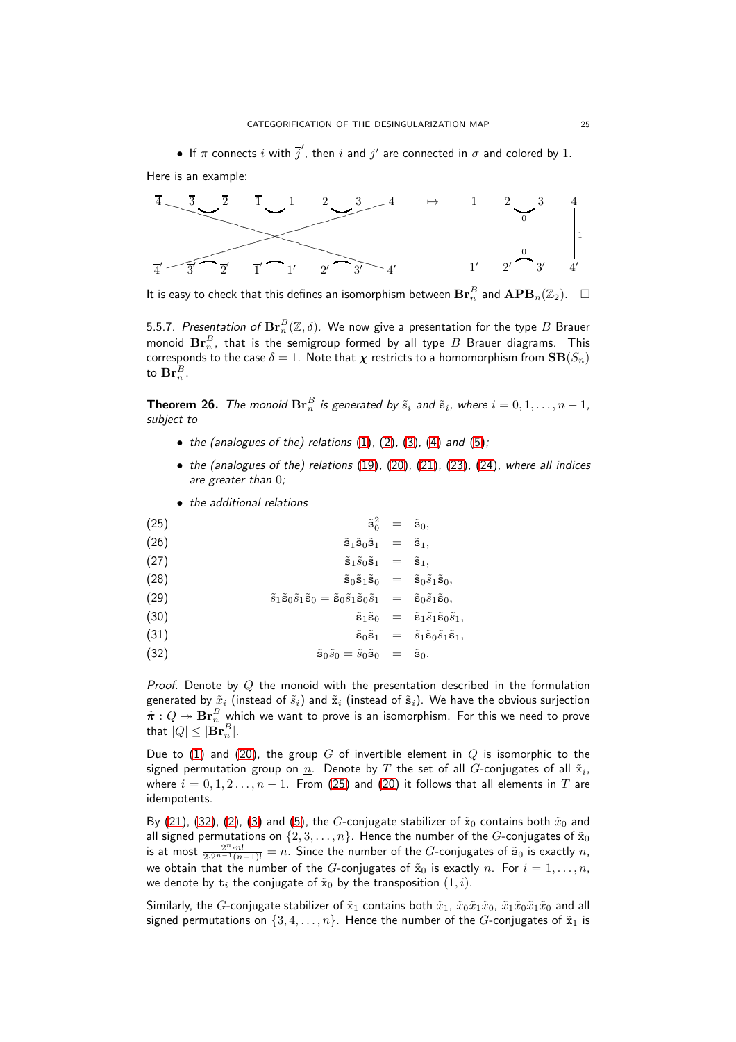Here is an example:



It is easy to check that this defines an isomorphism between  $\mathbf{Br}_n^B$  and  $\mathbf{APB}_n(\mathbb{Z}_2).$   $\quad \Box$ 

5.5.7.  $\emph{Presentation of $\mathbf{Br}^B_n(\mathbb{Z},\delta)$}.$  We now give a presentation for the type  $B$  Brauer monoid  $\mathbf{Br}_n^B$ , that is the semigroup formed by all type  $B$  Brauer diagrams. This corresponds to the case  $\delta=1.$  Note that  $\boldsymbol{\chi}$  restricts to a homomorphism from  $\mathbf{SB}(S_n)$ to  $\mathbf{Br}_n^B$ .

<span id="page-24-0"></span>**Theorem 26.** The monoid  $\mathbf{Br}_n^B$  is generated by  $\tilde{s}_i$  and  $\tilde{\mathbf{s}}_i$ , where  $i = 0, 1, \ldots, n-1$ , subject to

- $\bullet$  the (analogues of the) relations [\(1\)](#page-4-0), [\(2\)](#page-4-0), [\(3\)](#page-4-0), [\(4\)](#page-4-0) and [\(5\)](#page-4-0);
- the (analogues of the) relations [\(19\)](#page-21-1), [\(20\)](#page-21-1), [\(21\)](#page-21-1), [\(23\)](#page-21-1), [\(24\)](#page-21-1), where all indices are greater than 0;
- <span id="page-24-1"></span>• the additional relations

(25) 
$$
\tilde{\mathbf{s}}_0^2 = \tilde{\mathbf{s}}_0,
$$
  
(26) 
$$
\tilde{\mathbf{s}}_1 \tilde{\mathbf{s}}_0 \tilde{\mathbf{s}}_1 = \tilde{\mathbf{s}}_1,
$$

$$
\tilde{\mathbf{s}}_1 \tilde{s}_0 \tilde{\mathbf{s}}_1 = \tilde{\mathbf{s}}_1,
$$

$$
\tilde{\mathbf{s}}_0\tilde{\mathbf{s}}_1\tilde{\mathbf{s}}_0 = \tilde{\mathbf{s}}_0\tilde{s}_1\tilde{\mathbf{s}}_0,
$$

(29) 
$$
\tilde{s}_1 \tilde{\mathbf{s}}_0 \tilde{s}_1 \tilde{\mathbf{s}}_0 = \tilde{\mathbf{s}}_0 \tilde{s}_1 \tilde{\mathbf{s}}_0 \tilde{s}_1 = \tilde{\mathbf{s}}_0 \tilde{s}_1 \tilde{\mathbf{s}}_0,
$$

$$
\tilde{\mathbf{s}}_1\tilde{\mathbf{s}}_0 = \tilde{\mathbf{s}}_1\tilde{s}_1\tilde{\mathbf{s}}_0\tilde{s}_1,
$$

(31) 
$$
\tilde{\mathbf{s}}_0 \tilde{\mathbf{s}}_1 = \tilde{s}_1 \tilde{\mathbf{s}}_0 \tilde{s}_1 \tilde{\mathbf{s}}_1,
$$

$$
\tilde{\mathbf{s}}_0 \tilde{s}_0 = \tilde{s}_0 \tilde{\mathbf{s}}_0 = \tilde{\mathbf{s}}_0.
$$

Proof. Denote by  $Q$  the monoid with the presentation described in the formulation generated by  $\tilde{x}_i$  (instead of  $\tilde{s}_i$ ) and  $\tilde{x}_i$  (instead of  $\tilde{s}_i$ ). We have the obvious surjection  $\tilde{\bm{\pi}}:Q\twoheadrightarrow\mathbf{Br}_n^B$  which we want to prove is an isomorphism. For this we need to prove that  $|Q|\leq|\mathbf{Br}_n^B|.$ 

Due to [\(1\)](#page-4-0) and [\(20\)](#page-21-1), the group G of invertible element in  $Q$  is isomorphic to the signed permutation group on  $\underline{n}.$  Denote by  $T$  the set of all  $G$ -conjugates of all  $\tilde{\mathrm{x}}_i,$ where  $i = 0, 1, 2, ..., n - 1$ . From [\(25\)](#page-24-1) and [\(20\)](#page-21-1) it follows that all elements in T are idempotents.

By [\(21\)](#page-21-1), [\(32\)](#page-24-1), [\(2\)](#page-4-0), [\(3\)](#page-4-0) and [\(5\)](#page-4-0), the G-conjugate stabilizer of  $\tilde{x}_0$  contains both  $\tilde{x}_0$  and all signed permutations on  $\{2, 3, \ldots, n\}$ . Hence the number of the G-conjugates of  $\tilde{\mathbf{x}}_0$ is at most  $\frac{2^n \cdot n!}{2 \cdot 2^{n-1} (n-1)!} = n$ . Since the number of the G-conjugates of  $\tilde{s}_0$  is exactly  $n$ , we obtain that the number of the G-conjugates of  $\tilde{x}_0$  is exactly n. For  $i = 1, \ldots, n$ , we denote by  $t_i$  the conjugate of  $\tilde{x}_0$  by the transposition  $(1, i)$ .

Similarly, the G-conjugate stabilizer of  $\tilde{x}_1$  contains both  $\tilde{x}_1$ ,  $\tilde{x}_0\tilde{x}_1\tilde{x}_0$ ,  $\tilde{x}_1\tilde{x}_0\tilde{x}_1\tilde{x}_0$  and all signed permutations on  $\{3, 4, \ldots, n\}$ . Hence the number of the G-conjugates of  $\tilde{\mathbf{x}}_1$  is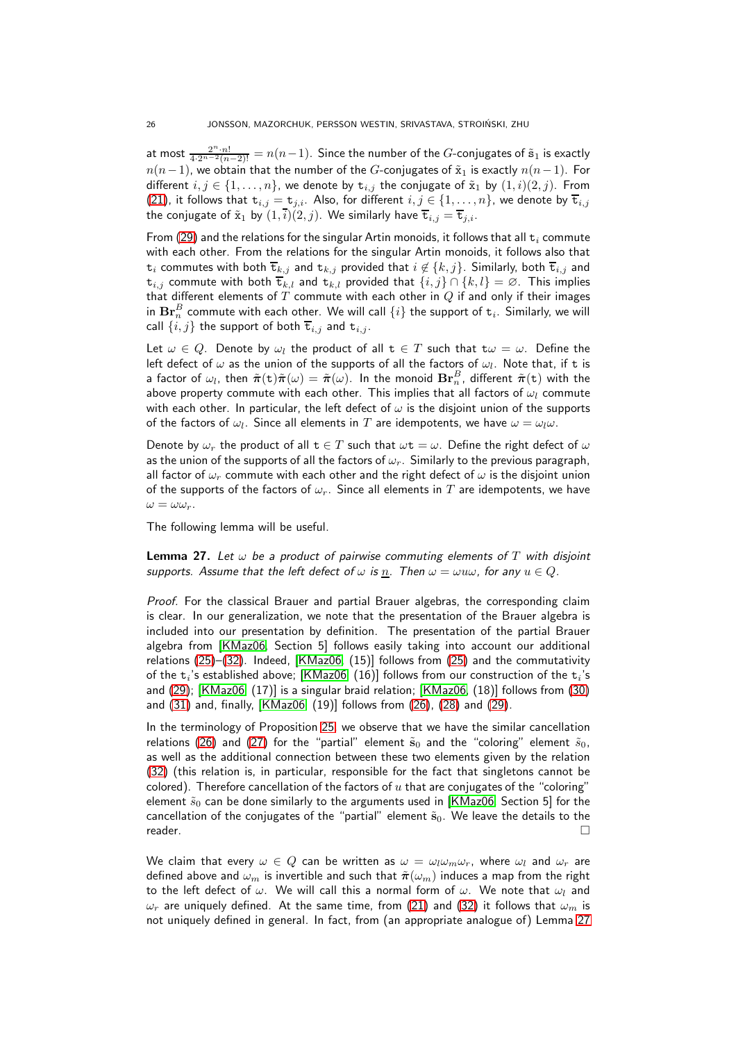at most  $\frac{2^n \cdot n!}{4 \cdot 2^{n-2}(n-2)!} = n(n-1).$  Since the number of the  $G$ -conjugates of  $\tilde{\mathbf{s}}_1$  is exactly  $n(n-1)$ , we obtain that the number of the G-conjugates of  $\tilde{x}_1$  is exactly  $n(n-1)$ . For different  $i, j \in \{1, ..., n\}$ , we denote by  $t_{i,j}$  the conjugate of  $\tilde{x}_1$  by  $(1, i)(2, j)$ . From [\(21\)](#page-21-1), it follows that  $t_{i,j} = t_{j,i}$ . Also, for different  $i, j \in \{1, ..., n\}$ , we denote by  $\overline{t}_{i,j}$ the conjugate of  $\tilde{\mathbf{x}}_1$  by  $(1,i)(2,j)$ . We similarly have  $\overline{\mathbf{t}}_{i,j} = \overline{\mathbf{t}}_{j,i}$ .

From [\(29\)](#page-24-1) and the relations for the singular Artin monoids, it follows that all  $t_i$  commute with each other. From the relations for the singular Artin monoids, it follows also that  $t_i$  commutes with both  $\overline{t}_{k,j}$  and  $t_{k,j}$  provided that  $i \notin \{k,j\}$ . Similarly, both  $\overline{t}_{i,j}$  and  $t_{i,j}$  commute with both  $\overline{t}_{k,l}$  and  $t_{k,l}$  provided that  $\{i,j\} \cap \{k,l\} = \emptyset$ . This implies that different elements of  $T$  commute with each other in  $Q$  if and only if their images in  $\mathbf{Br}_n^B$  commute with each other. We will call  $\{i\}$  the support of  $\mathtt{t}_i.$  Similarly, we will call  $\{i, j\}$  the support of both  $\overline{\mathbf{t}}_{i,j}$  and  $\mathbf{t}_{i,j}$ .

Let  $\omega \in Q$ . Denote by  $\omega_l$  the product of all  $t \in T$  such that  $t\omega = \omega$ . Define the left defect of  $\omega$  as the union of the supports of all the factors of  $\omega_l.$  Note that, if  ${\tt t}$  is a factor of  $\omega_l$ , then  $\tilde{\bm{\pi}}(\texttt{t})\tilde{\bm{\pi}}(\omega)=\tilde{\bm{\pi}}(\omega).$  In the monoid  $\textbf{Br}_n^B$ , different  $\tilde{\bm{\pi}}(\texttt{t})$  with the above property commute with each other. This implies that all factors of  $\omega_l$  commute with each other. In particular, the left defect of  $\omega$  is the disjoint union of the supports of the factors of  $\omega_l.$  Since all elements in  $T$  are idempotents, we have  $\omega=\omega_l\omega.$ 

Denote by  $\omega_r$  the product of all  $t \in T$  such that  $\omega t = \omega$ . Define the right defect of  $\omega$ as the union of the supports of all the factors of  $\omega_r$ . Similarly to the previous paragraph, all factor of  $\omega_r$  commute with each other and the right defect of  $\omega$  is the disjoint union of the supports of the factors of  $\omega_r$ . Since all elements in T are idempotents, we have  $\omega = \omega \omega_r$ .

The following lemma will be useful.

<span id="page-25-0"></span>**Lemma 27.** Let  $\omega$  be a product of pairwise commuting elements of T with disjoint supports. Assume that the left defect of  $\omega$  is  $\underline{n}$ . Then  $\omega = \omega u \omega$ , for any  $u \in Q$ .

Proof. For the classical Brauer and partial Brauer algebras, the corresponding claim is clear. In our generalization, we note that the presentation of the Brauer algebra is included into our presentation by definition. The presentation of the partial Brauer algebra from [\[KMaz06,](#page-37-25) Section 5] follows easily taking into account our additional relations [\(25\)](#page-24-1)–[\(32\)](#page-24-1). Indeed, [\[KMaz06,](#page-37-25) (15)] follows from [\(25\)](#page-24-1) and the commutativity of the  $\texttt{t}_i$ 's established above; [\[KMaz06,](#page-37-25) (16)] follows from our construction of the  $\texttt{t}_i$ 's and [\(29\)](#page-24-1); [\[KMaz06,](#page-37-25) (17)] is a singular braid relation; [\[KMaz06,](#page-37-25) (18)] follows from [\(30\)](#page-24-1) and [\(31\)](#page-24-1) and, finally, [\[KMaz06,](#page-37-25) (19)] follows from [\(26\)](#page-24-1), [\(28\)](#page-24-1) and [\(29\)](#page-24-1).

In the terminology of Proposition [25,](#page-23-1) we observe that we have the similar cancellation relations [\(26\)](#page-24-1) and [\(27\)](#page-24-1) for the "partial" element  $\tilde{s}_0$  and the "coloring" element  $\tilde{s}_0$ , as well as the additional connection between these two elements given by the relation [\(32\)](#page-24-1) (this relation is, in particular, responsible for the fact that singletons cannot be colored). Therefore cancellation of the factors of  $u$  that are conjugates of the "coloring" element  $\tilde{s}_0$  can be done similarly to the arguments used in [\[KMaz06,](#page-37-25) Section 5] for the cancellation of the conjugates of the "partial" element  $\tilde{s}_0$ . We leave the details to the  $r$ eader.  $\Box$ 

We claim that every  $\omega \in Q$  can be written as  $\omega = \omega_l \omega_m \omega_r$ , where  $\omega_l$  and  $\omega_r$  are defined above and  $\omega_m$  is invertible and such that  $\tilde{\pi}(\omega_m)$  induces a map from the right to the left defect of  $\omega$ . We will call this a normal form of  $\omega$ . We note that  $\omega_l$  and  $\omega_r$  are uniquely defined. At the same time, from [\(21\)](#page-21-1) and [\(32\)](#page-24-1) it follows that  $\omega_m$  is not uniquely defined in general. In fact, from (an appropriate analogue of) Lemma [27](#page-25-0)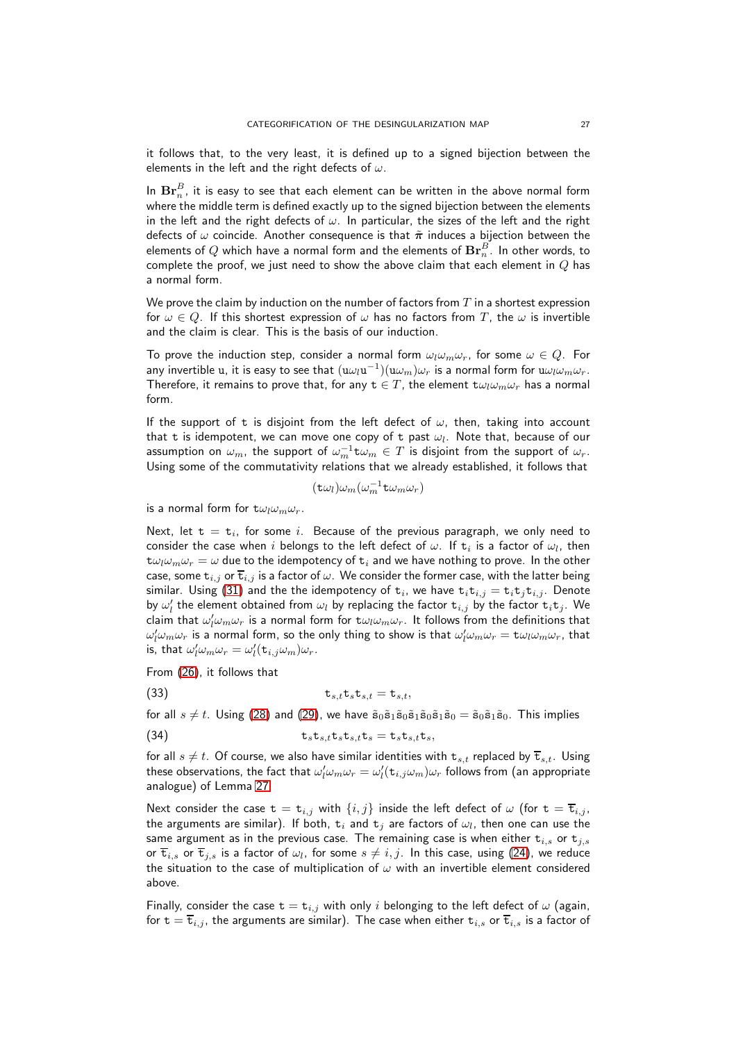it follows that, to the very least, it is defined up to a signed bijection between the elements in the left and the right defects of  $\omega$ .

In  $\mathbf{Br}_n^B$ , it is easy to see that each element can be written in the above normal form where the middle term is defined exactly up to the signed bijection between the elements in the left and the right defects of  $\omega$ . In particular, the sizes of the left and the right defects of  $\omega$  coincide. Another consequence is that  $\tilde{\pi}$  induces a bijection between the elements of  $Q$  which have a normal form and the elements of  $\mathbf{Br}^B_n.$  In other words, to complete the proof, we just need to show the above claim that each element in  $Q$  has a normal form.

We prove the claim by induction on the number of factors from  $T$  in a shortest expression for  $\omega \in Q$ . If this shortest expression of  $\omega$  has no factors from T, the  $\omega$  is invertible and the claim is clear. This is the basis of our induction.

To prove the induction step, consider a normal form  $\omega_l \omega_m \omega_r$ , for some  $\omega \in Q$ . For any invertible  $\frak u$ , it is easy to see that  $(\frak u \omega_l \frak u ^{-1})(\frak u \omega_m) \omega_r$  is a normal form for  $\frak u \omega_l \omega_m \omega_r.$ Therefore, it remains to prove that, for any  $t \in T$ , the element  $t\omega_l\omega_m\omega_r$  has a normal form.

If the support of t is disjoint from the left defect of  $\omega$ , then, taking into account that  ${\tt t}$  is idempotent, we can move one copy of  ${\tt t}$  past  $\omega_l.$  Note that, because of our assumption on  $\omega_m$ , the support of  $\omega_m^{-1}\texttt{t}\omega_m\in T$  is disjoint from the support of  $\omega_r.$ Using some of the commutativity relations that we already established, it follows that

 $(\texttt{t}\omega_l)\omega_m(\omega_m^{-1}\texttt{t}\omega_m\omega_r)$ 

is a normal form for  $t\omega_l\omega_m\omega_r$ .

Next, let  $\texttt{t} = \texttt{t}_i$ , for some  $i$ . Because of the previous paragraph, we only need to consider the case when  $i$  belongs to the left defect of  $\omega.$  If  $\texttt{t}_i$  is a factor of  $\omega_l$ , then  $\tau \omega_l \omega_m \omega_r = \omega$  due to the idempotency of  $\tau_i$  and we have nothing to prove. In the other case, some  $t_{i,j}$  or  $\overline{t}_{i,j}$  is a factor of  $\omega$ . We consider the former case, with the latter being similar. Using [\(31\)](#page-24-1) and the the idempotency of  ${\tt t}_i$ , we have  ${\tt t}_i {\tt t}_{i,j} = {\tt t}_i {\tt t}_j {\tt t}_{i,j}$ . Denote by  $\omega'_l$  the element obtained from  $\omega_l$  by replacing the factor  $\mathtt{t}_{i,j}$  by the factor  $\mathtt{t}_i\mathtt{t}_j$ . We claim that  $\omega'_l\omega_m\omega_r$  is a normal form for  $\texttt{t}\omega_l\omega_m\omega_r.$  It follows from the definitions that  $\omega_l'\omega_m\omega_r$  is a normal form, so the only thing to show is that  $\omega_l'\omega_m\omega_r= \texttt{t}\omega_l\omega_m\omega_r$ , that is, that  $\omega_l'\omega_m\omega_r=\omega_l'({\tt t}_{i,j}\omega_m)\omega_r.$ 

From [\(26\)](#page-24-1), it follows that

(33)  $\mathbf{t}_{s,t}\mathbf{t}_s\mathbf{t}_{s,t} = \mathbf{t}_{s,t},$ 

for all  $s \neq t$ . Using [\(28\)](#page-24-1) and [\(29\)](#page-24-1), we have  $\tilde{\mathbf{s}}_0 \tilde{\mathbf{s}}_1 \tilde{\mathbf{s}}_0 \tilde{\mathbf{s}}_1 \tilde{\mathbf{s}}_0 = \tilde{\mathbf{s}}_0 \tilde{\mathbf{s}}_1 \tilde{\mathbf{s}}_0$ . This implies

(34) 
$$
\mathbf{t}_s \mathbf{t}_{s,t} \mathbf{t}_s \mathbf{t}_{s,t} \mathbf{t}_s = \mathbf{t}_s \mathbf{t}_{s,t} \mathbf{t}_s,
$$

for all  $s \neq t$ . Of course, we also have similar identities with  $t_{s,t}$  replaced by  $\overline{t}_{s,t}$ . Using these observations, the fact that  $\omega_l'\omega_m\omega_r=\omega_l'({\tt t}_{i,j}\omega_m)\omega_r$  follows from (an appropriate analogue) of Lemma [27.](#page-25-0)

Next consider the case  $t = t_{i,j}$  with  $\{i,j\}$  inside the left defect of  $\omega$  (for  $t = \overline{t}_{i,j}$ , the arguments are similar). If both,  $\texttt{t}_i$  and  $\texttt{t}_j$  are factors of  $\omega_l$ , then one can use the same argument as in the previous case. The remaining case is when either  $t_{i,s}$  or  $t_{j,s}$ or  $\overline{\mathtt{t}}_{i,s}$  or  $\overline{\mathtt{t}}_{j,s}$  is a factor of  $\omega_l,$  for some  $s\neq i,j.$  In this case, using [\(24\)](#page-21-1), we reduce the situation to the case of multiplication of  $\omega$  with an invertible element considered above.

Finally, consider the case  $t = t_{i,j}$  with only i belonging to the left defect of  $\omega$  (again, for  $t = \overline{t}_{i,j}$ , the arguments are similar). The case when either  $t_{i,s}$  or  $\overline{t}_{i,s}$  is a factor of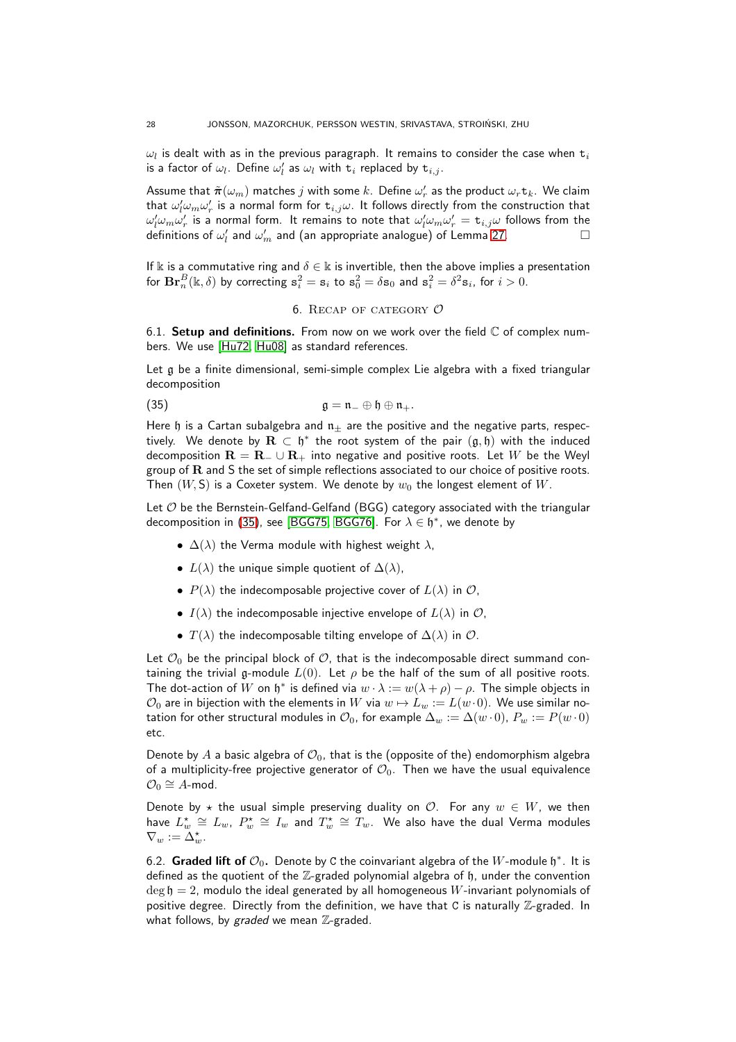$\omega_l$  is dealt with as in the previous paragraph. It remains to consider the case when  $\mathtt{t}_i$ is a factor of  $\omega_l$ . Define  $\omega'_l$  as  $\omega_l$  with  $\texttt{t}_i$  replaced by  $\texttt{t}_{i,j}.$ 

Assume that  $\tilde{\bm{\pi}}(\omega_m)$  matches  $j$  with some  $k.$  Define  $\omega'_r$  as the product  $\omega_r\texttt{t}_k.$  We claim that  $\omega'_l\omega_m\omega'_r$  is a normal form for  $\mathtt{t}_{i,j}\omega.$  It follows directly from the construction that  $\omega'_l\omega_m\omega'_r$  is a normal form. It remains to note that  $\omega'_l\omega_m\omega'_r={\tt t}_{i,j}\omega$  follows from the definitions of  $\omega_l'$  and  $\omega_m'$  and (an appropriate analogue) of Lemma [27.](#page-25-0)  $\hfill\Box$ 

<span id="page-27-0"></span>If k is a commutative ring and  $\delta \in \mathbb{k}$  is invertible, then the above implies a presentation for  $\mathbf{Br}_n^B(\mathbb{k},\delta)$  by correcting  $\mathbf{s}_i^2 = \mathbf{s}_i$  to  $\mathbf{s}_0^2 = \delta \mathbf{s}_0$  and  $\mathbf{s}_i^2 = \delta^2 \mathbf{s}_i$ , for  $i > 0$ .

## <span id="page-27-1"></span>6. RECAP OF CATEGORY  $\mathcal O$

6.1. Setup and definitions. From now on we work over the field  $\mathbb C$  of complex numbers. We use [\[Hu72,](#page-37-27) [Hu08\]](#page-37-28) as standard references.

Let g be a finite dimensional, semi-simple complex Lie algebra with a fixed triangular decomposition

(35) 
$$
\mathfrak{g} = \mathfrak{n}_{-} \oplus \mathfrak{h} \oplus \mathfrak{n}_{+}.
$$

Here h is a Cartan subalgebra and  $n_{\pm}$  are the positive and the negative parts, respectively. We denote by  $\mathbf{R} \, \subset \, \mathfrak{h}^*$  the root system of the pair  $(\mathfrak{g}, \bar{\mathfrak{h}})$  with the induced decomposition  $\mathbf{R} = \mathbf{R}_- \cup \mathbf{R}_+$  into negative and positive roots. Let W be the Weyl group of  **and**  $**S**$  **the set of simple reflections associated to our choice of positive roots.** Then  $(W, S)$  is a Coxeter system. We denote by  $w_0$  the longest element of W.

Let  $O$  be the Bernstein-Gelfand-Gelfand (BGG) category associated with the triangular decomposition in [\(35\)](#page-27-1), see [\[BGG75,](#page-36-9) [BGG76\]](#page-36-10). For  $\lambda \in \mathfrak{h}^*$ , we denote by

- $\Delta(\lambda)$  the Verma module with highest weight  $\lambda$ ,
- $L(\lambda)$  the unique simple quotient of  $\Delta(\lambda)$ ,
- $P(\lambda)$  the indecomposable projective cover of  $L(\lambda)$  in  $\mathcal{O}$ ,
- $I(\lambda)$  the indecomposable injective envelope of  $L(\lambda)$  in  $\mathcal{O}$ ,
- $T(\lambda)$  the indecomposable tilting envelope of  $\Delta(\lambda)$  in  $\mathcal{O}$ .

Let  $\mathcal{O}_0$  be the principal block of  $\mathcal{O}_1$ , that is the indecomposable direct summand containing the trivial g-module  $L(0)$ . Let  $\rho$  be the half of the sum of all positive roots. The dot-action of W on  $\mathfrak{h}^*$  is defined via  $w \cdot \lambda := w(\lambda + \rho) - \rho$ . The simple objects in  $\mathcal{O}_0$  are in bijection with the elements in W via  $w \mapsto L_w := L(w \cdot 0)$ . We use similar notation for other structural modules in  $\mathcal{O}_0$ , for example  $\Delta_w := \Delta(w \cdot 0)$ ,  $P_w := P(w \cdot 0)$ etc.

Denote by A a basic algebra of  $\mathcal{O}_0$ , that is the (opposite of the) endomorphism algebra of a multiplicity-free projective generator of  $\mathcal{O}_0$ . Then we have the usual equivalence  $\mathcal{O}_0 \cong A$ -mod.

Denote by  $\star$  the usual simple preserving duality on  $\mathcal{O}$ . For any  $w \in W$ , we then have  $L^{\star}_w\,\cong\, L_w$ ,  $P^{\star}_w\,\cong\, I_w$  and  $T^{\star}_w\,\cong\, T_w$ . We also have the dual Verma modules  $\nabla_w := \Delta_w^*$ .

6.2. Graded lift of  $\mathcal{O}_0$ . Denote by C the coinvariant algebra of the  $W$ -module  $\mathfrak{h}^*$ . It is defined as the quotient of the  $\mathbb{Z}$ -graded polynomial algebra of h, under the convention  $\deg \mathfrak{h} = 2$ , modulo the ideal generated by all homogeneous W-invariant polynomials of positive degree. Directly from the definition, we have that C is naturally  $\mathbb{Z}$ -graded. In what follows, by graded we mean  $\mathbb Z$ -graded.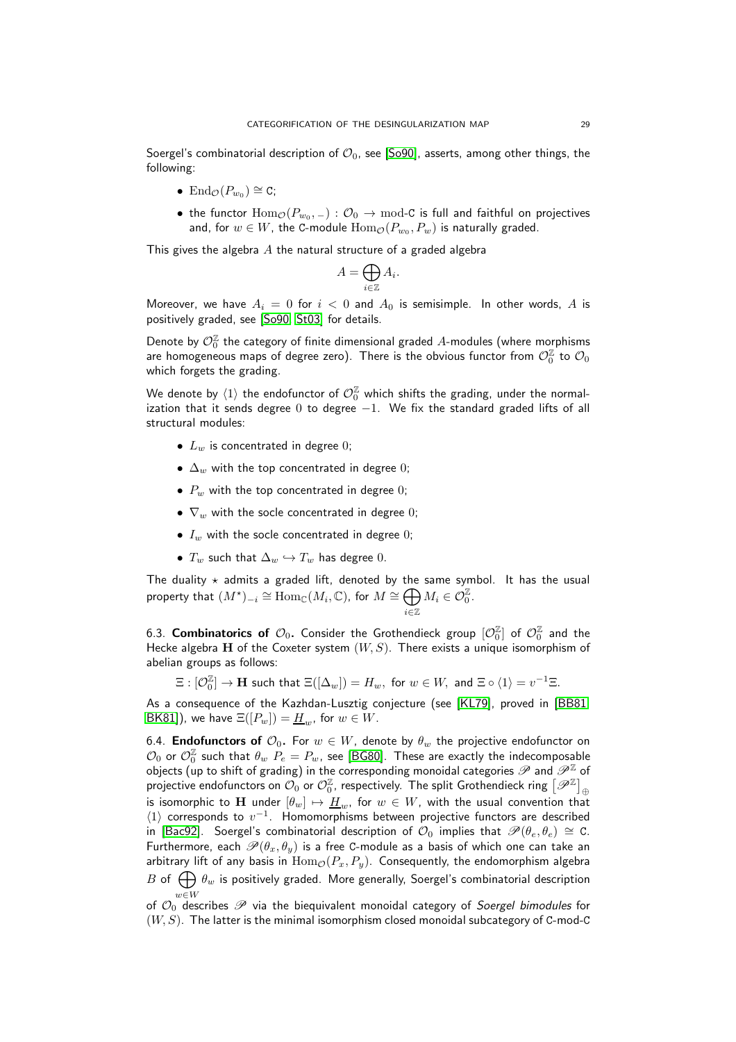Soergel's combinatorial description of  $\mathcal{O}_0$ , see [\[So90\]](#page-38-13), asserts, among other things, the following:

- End $_{\mathcal{O}}(P_{w_0}) \cong \mathsf{C};$
- $\bullet\,$  the functor  $\mathrm{Hom}_{\mathcal{O}}(P_{w_0}, \_) : \mathcal{O}_0 \to \mathrm{mod}\text{-}\mathcal{C}$  is full and faithful on projectives and, for  $w\in W$ , the C-module  $\operatorname{Hom}_{\mathcal{O}}(P_{w_0},P_w)$  is naturally graded.

This gives the algebra  $A$  the natural structure of a graded algebra

$$
A = \bigoplus_{i \in \mathbb{Z}} A_i.
$$

Moreover, we have  $A_i = 0$  for  $i < 0$  and  $A_0$  is semisimple. In other words, A is positively graded, see [\[So90,](#page-38-13) [St03\]](#page-38-14) for details.

Denote by  $\mathcal{O}^{\mathbb{Z}}_0$  the category of finite dimensional graded  $A$ -modules (where morphisms are homogeneous maps of degree zero). There is the obvious functor from  $\mathcal{O}^\mathbb{Z}_0$  to  $\mathcal{O}_0$ which forgets the grading.

We denote by  $\langle 1 \rangle$  the endofunctor of  $\mathcal{O}^{\mathbb{Z}}_{0}$  which shifts the grading, under the normalization that it sends degree  $0$  to degree  $-1$ . We fix the standard graded lifts of all structural modules:

- $L_w$  is concentrated in degree 0;
- $\Delta_w$  with the top concentrated in degree 0;
- $P_w$  with the top concentrated in degree 0;
- $\nabla_w$  with the socle concentrated in degree 0;
- $I_w$  with the socle concentrated in degree 0;
- $T_w$  such that  $\Delta_w \hookrightarrow T_w$  has degree 0.

The duality  $\star$  admits a graded lift, denoted by the same symbol. It has the usual property that  $(M^{\star})_{-i} \cong \text{Hom}_{\mathbb{C}}(M_i,\mathbb{C}),$  for  $M \cong \bigoplus M_i \in \mathcal{O}_0^{\mathbb{Z}}.$ i∈Z

6.3.  ${\sf Combinatorics\,\, of}\,\, {\cal O}_0.$  Consider the Grothendieck group  $[{\cal O}_0^{\mathbb{Z}}]$  of  ${\cal O}_0^{\mathbb{Z}}$  and the Hecke algebra H of the Coxeter system  $(W, S)$ . There exists a unique isomorphism of abelian groups as follows:

$$
\Xi: [\mathcal{O}^\mathbb{Z}_0] \to \mathbf{H} \text{ such that } \Xi([\Delta_w]) = H_w, \text{ for } w \in W, \text{ and } \Xi \circ \langle 1 \rangle = v^{-1} \Xi.
$$

<span id="page-28-0"></span>As a consequence of the Kazhdan-Lusztig conjecture (see [\[KL79\]](#page-37-17), proved in [\[BB81,](#page-36-11) [BK81\]](#page-36-12)), we have  $\Xi([P_w]) = \underline{H}_w$ , for  $w \in W$ .

6.4. **Endofunctors of**  $\mathcal{O}_0$ . For  $w \in W$ , denote by  $\theta_w$  the projective endofunctor on  $\mathcal{O}_0$  or  $\mathcal{O}_0^{\mathbb{Z}}$  such that  $\theta_w$   $P_e=P_w$ , see [\[BG80\]](#page-36-13). These are exactly the indecomposable objects (up to shift of grading) in the corresponding monoidal categories  $\mathscr P$  and  $\mathscr P^{\mathbb Z}$  of projective endofunctors on  $\widetilde{\mathcal{O}_0}$  or  $\mathcal{O}_0^\mathbb{Z}$ , respectively. The split Grothendieck ring  $\big[\mathscr{P}^\mathbb{Z}\big]_\oplus$ is isomorphic to H under  $[\theta_w] \mapsto \underline{H}_w$ , for  $w \in W$ , with the usual convention that  $\langle 1\rangle$  corresponds to  $v^{-1}$ . Homomorphisms between projective functors are described in [\[Bac92\]](#page-36-14). Soergel's combinatorial description of  $\mathcal{O}_0$  implies that  $\mathscr{P}(\theta_e, \theta_e) \cong C$ . Furthermore, each  $\mathcal{P}(\theta_x, \theta_y)$  is a free C-module as a basis of which one can take an arbitrary lift of any basis in  $\text{Hom}_{\mathcal{O}}(P_x, P_y)$ . Consequently, the endomorphism algebra B of  $\bigoplus \theta_w$  is positively graded. More generally, Soergel's combinatorial description of  $\mathcal{O}_0$  describes  $\mathscr P$  via the biequivalent monoidal category of *Soergel bimodules* for

 $(W, S)$ . The latter is the minimal isomorphism closed monoidal subcategory of C-mod-C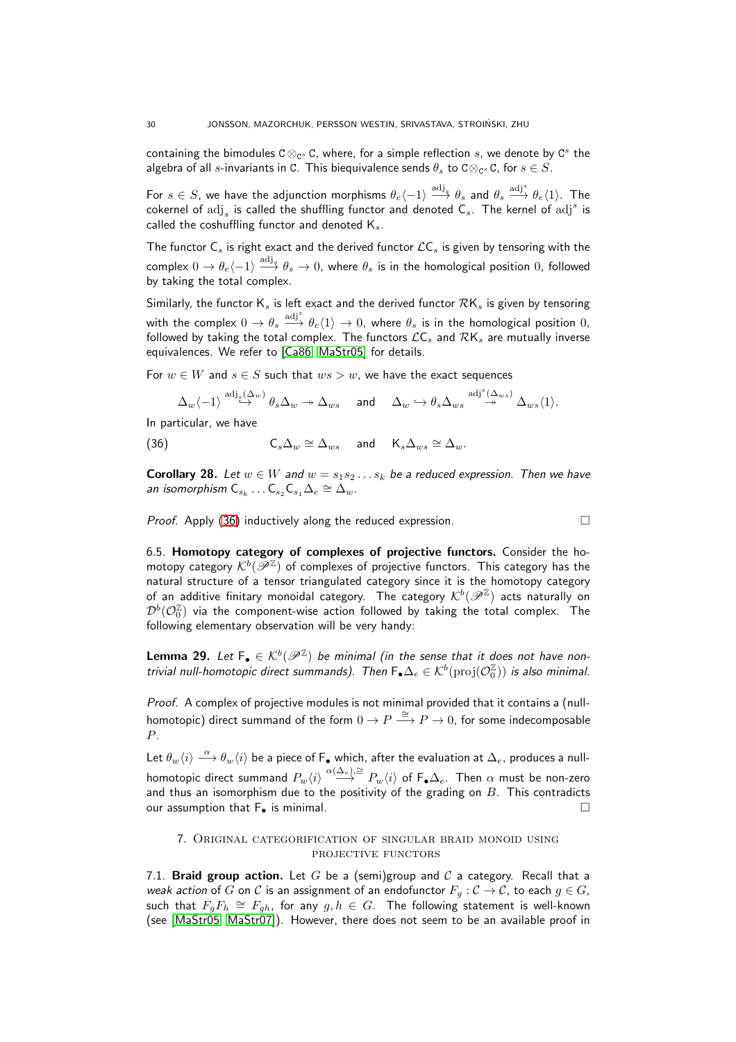containing the bimodules C  $\otimes_{\mathbb C^s} \mathtt C$ , where, for a simple reflection  $s$ , we denote by  $\mathtt C^s$  the algebra of all  $s$ -invariants in C. This biequivalence sends  $\theta_s$  to C $\otimes_{\mathbb C^s}$ C, for  $s\in S.$ 

For  $s\in S$ , we have the adjunction morphisms  $\theta_e\langle -1 \rangle\stackrel{\rm{adj}_s}{\longrightarrow} \theta_s$  and  $\theta_s\stackrel{\rm{adj}^s}{\longrightarrow} \theta_e\langle 1 \rangle.$  The cokernel of  $\mathrm{adj}_s$  is called the shuffling functor and denoted  $\mathsf{C}_s$ . The kernel of  $\mathrm{adj}^s$  is called the coshuffling functor and denoted  $K_s$ .

The functor  $C_s$  is right exact and the derived functor  $\mathcal{L}C_s$  is given by tensoring with the complex  $0\to\theta_e\langle -1\rangle\stackrel{\rm{adj}_s}{\longrightarrow}\theta_s\to 0$ , where  $\theta_s$  is in the homological position  $0$ , followed by taking the total complex.

Similarly, the functor  $K_s$  is left exact and the derived functor  $\mathcal{R}K_s$  is given by tensoring with the complex  $0\to\theta_s\stackrel{\mathrm{adj}^s}{\longrightarrow}\theta_e\langle1\rangle\to0$ , where  $\theta_s$  is in the homological position  $0,$ followed by taking the total complex. The functors  $\mathcal{LC}_s$  and  $\mathcal{RK}_s$  are mutually inverse equivalences. We refer to [\[Ca86,](#page-36-7) [MaStr05\]](#page-38-3) for details.

For  $w \in W$  and  $s \in S$  such that  $ws > w$ , we have the exact sequences

<span id="page-29-1"></span> $\Delta_w \langle -1 \rangle \stackrel{{\rm adj}_\varepsilon(\Delta_w)}{\hookrightarrow} \theta_s \Delta_w \twoheadrightarrow \Delta_{ws} \quad \text{ and } \quad \Delta_w \hookrightarrow \theta_s \Delta_{ws} \stackrel{{\rm adj}^s(\Delta_{ws})}{\twoheadrightarrow} \Delta_{ws} \langle 1 \rangle.$ 

In particular, we have

(36) 
$$
\mathsf{C}_s \Delta_w \cong \Delta_{ws} \quad \text{and} \quad \mathsf{K}_s \Delta_{ws} \cong \Delta_w.
$$

<span id="page-29-2"></span>**Corollary 28.** Let  $w \in W$  and  $w = s_1 s_2 \dots s_k$  be a reduced expression. Then we have an isomorphism  $\mathsf{C}_{s_k} \dots \mathsf{C}_{s_2} \mathsf{C}_{s_1} \Delta_e \cong \Delta_w$ .

*Proof.* Apply [\(36\)](#page-29-1) inductively along the reduced expression.  $\Box$ 

6.5. Homotopy category of complexes of projective functors. Consider the homotopy category  $\mathcal{K}^{b}(\overline{\mathscr{P}^{\mathbb{Z}}})$  of complexes of projective functors. This category has the natural structure of a tensor triangulated category since it is the homotopy category of an additive finitary monoidal category. The category  $\mathcal{K}^b(\mathscr{P}^\mathbb{Z})$  acts naturally on  ${\mathcal D}^b({\mathcal O}_0^{\mathbb Z})$  via the component-wise action followed by taking the total complex. The following elementary observation will be very handy:

<span id="page-29-3"></span>**Lemma 29.** Let  $F_{\bullet} \in \mathcal{K}^{b}(\mathscr{P}^{\mathbb{Z}})$  be minimal (in the sense that it does not have nontrivial null-homotopic direct summands). Then  $\mathsf{F}_\bullet \Delta_e \in \mathcal{K}^b(\mathrm{proj}(\mathcal{O}_0^{\mathbb{Z}}))$  is also minimal.

Proof. A complex of projective modules is not minimal provided that it contains a (nullhomotopic) direct summand of the form  $0 \to P \stackrel{\cong}{\longrightarrow} P \to 0$ , for some indecomposable P.

Let  $\theta_w\langle i\rangle\stackrel{\alpha}{\longrightarrow} \theta_w\langle i\rangle$  be a piece of F $_\bullet$  which, after the evaluation at  $\Delta_e$ , produces a nullhomotopic direct summand  $P_w\langle i\rangle\stackrel{\alpha(\Delta_e),\cong}{\longrightarrow}P_w\langle i\rangle$  of F $_\bullet\Delta_e.$  Then  $\alpha$  must be non-zero and thus an isomorphism due to the positivity of the grading on  $B$ . This contradicts our assumption that  $F_{\bullet}$  is minimal.

## <span id="page-29-0"></span>7. Original categorification of singular braid monoid using PROJECTIVE FUNCTORS

7.1. Braid group action. Let G be a (semi)group and C a category. Recall that a weak action of G on C is an assignment of an endofunctor  $F_q: \mathcal{C} \to \mathcal{C}$ , to each  $g \in G$ , such that  $F_gF_h\,\cong\, F_{gh},$  for any  $g,h\,\in\, G.$  The following statement is well-known (see [\[MaStr05,](#page-38-3) [MaStr07\]](#page-38-4)). However, there does not seem to be an available proof in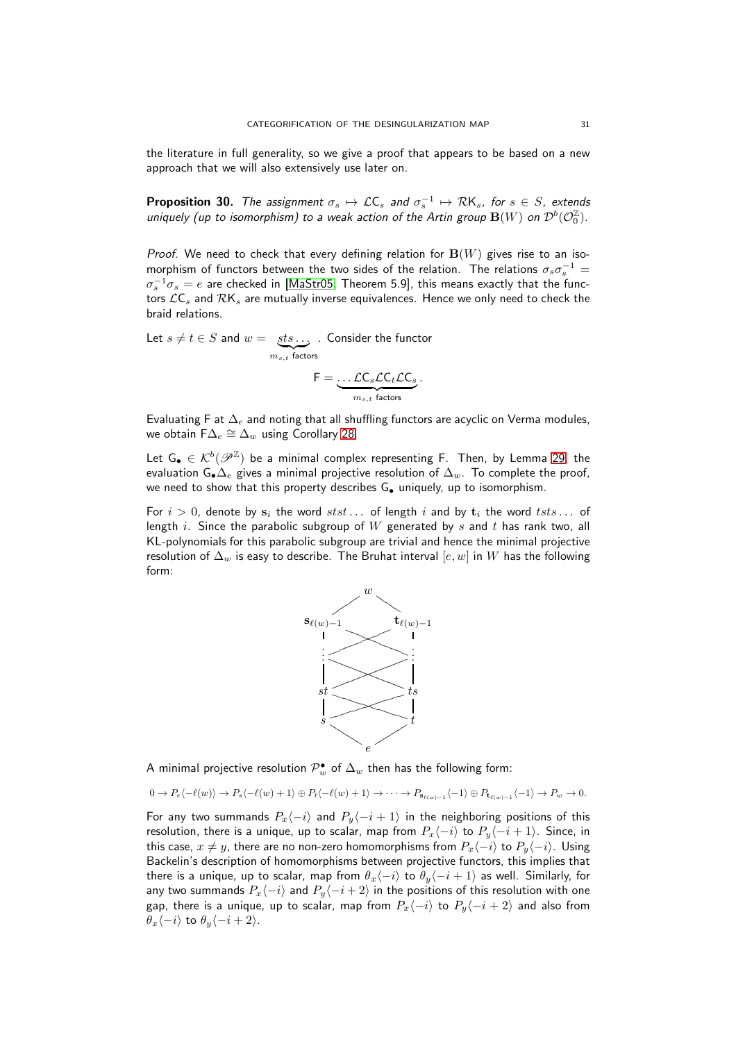the literature in full generality, so we give a proof that appears to be based on a new approach that we will also extensively use later on.

<span id="page-30-0"></span>**Proposition 30.** The assignment  $\sigma_s \mapsto \mathcal{L}C_s$  and  $\sigma_s^{-1} \mapsto \mathcal{R}K_s$ , for  $s \in S$ , extends uniquely (up to isomorphism) to a weak action of the Artin group  $\mathbf{B}(W)$  on  $\mathcal{D}^b(\mathcal{O}^{\mathbb{Z}}_0).$ 

Proof. We need to check that every defining relation for  $B(W)$  gives rise to an isomorphism of functors between the two sides of the relation. The relations  $\sigma_s\sigma_s^{-1}=$  $\sigma_s^{-1}\sigma_s=e$  are checked in [\[MaStr05,](#page-38-3) Theorem 5.9], this means exactly that the functors  $\mathcal{L}C_s$  and  $\mathcal{R}K_s$  are mutually inverse equivalences. Hence we only need to check the braid relations.

Let  $s \neq t \in S$  and  $w = \{sts \ldots,$  $\sum_{m_{s,t}}$  factors . Consider the functor  $\mathsf{F} = \ldots \mathcal{L}\mathsf{C}_s\mathcal{L}\mathsf{C}_t\mathcal{L}\mathsf{C}_s$ .

$$
\underbrace{\qquad \qquad }_{m_{s,t} \text{ factors}}
$$

Evaluating F at  $\Delta_e$  and noting that all shuffling functors are acyclic on Verma modules, we obtain  $\mathsf{F}\Delta_e\cong \Delta_w$  using Corollary [28.](#page-29-2)

Let  $\mathsf{G}_\bullet\in\mathcal{K}^b(\mathscr{P}^\mathbb{Z})$  be a minimal complex representing F. Then, by Lemma [29,](#page-29-3) the evaluation G• $\Delta_e$  gives a minimal projective resolution of  $\Delta_w$ . To complete the proof, we need to show that this property describes G. uniquely, up to isomorphism.

For  $i > 0$ , denote by  $s_i$  the word  $stst \dots$  of length i and by  $t_i$  the word  $tsts \dots$  of length i. Since the parabolic subgroup of  $W$  generated by  $s$  and  $t$  has rank two, all KL-polynomials for this parabolic subgroup are trivial and hence the minimal projective resolution of  $\Delta_w$  is easy to describe. The Bruhat interval  $[e, w]$  in  $W$  has the following form:



A minimal projective resolution  $\mathcal{P}^{\bullet}_{w}$  of  $\Delta_{w}$  then has the following form:

$$
0 \to P_e\langle -\ell(w)\rangle \to P_s\langle -\ell(w)+1\rangle \oplus P_t\langle -\ell(w)+1\rangle \to \cdots \to P_{\mathbf{s}_{\ell(w)-1}}\langle -1\rangle \oplus P_{\mathbf{t}_{\ell(w)-1}}\langle -1\rangle \to P_w \to 0.
$$

For any two summands  $P_x\langle -i \rangle$  and  $P_y\langle -i + 1 \rangle$  in the neighboring positions of this resolution, there is a unique, up to scalar, map from  $P_x\langle -i \rangle$  to  $P_y\langle -i + 1 \rangle$ . Since, in this case,  $x \neq y$ , there are no non-zero homomorphisms from  $P_x\langle -i \rangle$  to  $P_y\langle -i \rangle$ . Using Backelin's description of homomorphisms between projective functors, this implies that there is a unique, up to scalar, map from  $\theta_x\langle -i \rangle$  to  $\theta_y\langle -i + 1 \rangle$  as well. Similarly, for any two summands  $P_x\langle -i \rangle$  and  $P_y\langle -i + 2 \rangle$  in the positions of this resolution with one gap, there is a unique, up to scalar, map from  $P_x\langle -i \rangle$  to  $P_y\langle -i + 2 \rangle$  and also from  $\theta_x\langle -i \rangle$  to  $\theta_y\langle -i + 2 \rangle$ .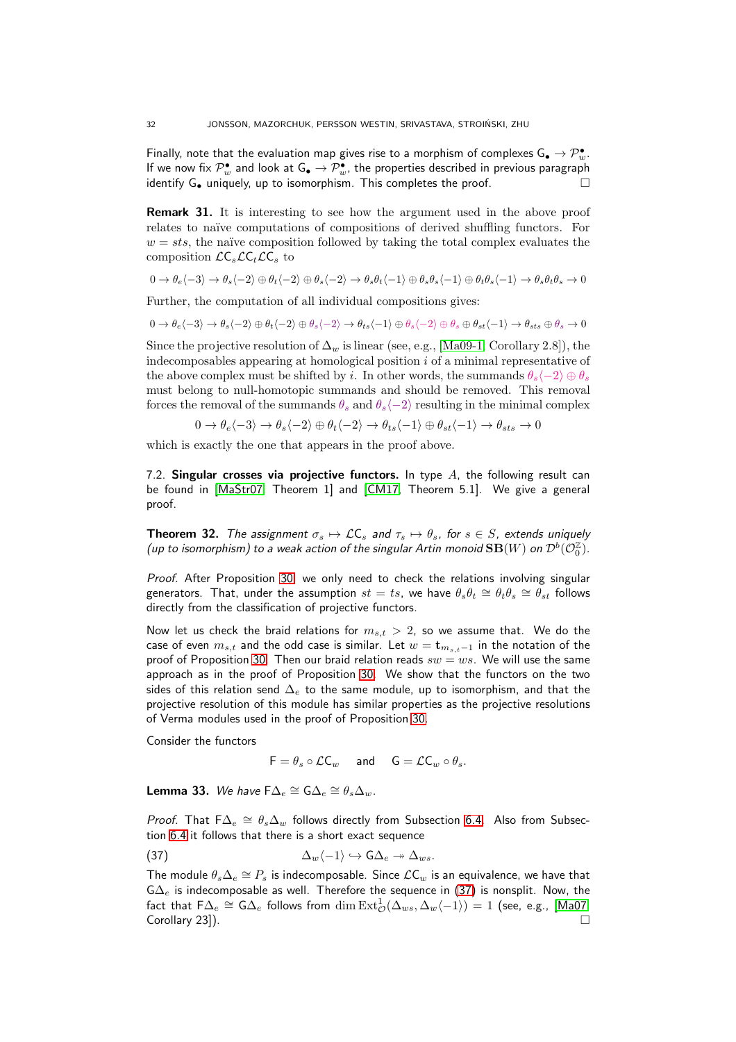Finally, note that the evaluation map gives rise to a morphism of complexes  $\mathsf{G}_\bullet \to \mathcal{P}^\bullet_w.$ If we now fix  $\mathcal{P}^\bullet_w$  and look at  $\mathsf{G}_\bullet \to \mathcal{P}^\bullet_w$ , the properties described in previous paragraph identify  $G_{\bullet}$  uniquely, up to isomorphism. This completes the proof.

Remark 31. It is interesting to see how the argument used in the above proof relates to naïve computations of compositions of derived shuffling functors. For  $w = sts$ , the naïve composition followed by taking the total complex evaluates the composition  $LC<sub>s</sub>LC<sub>t</sub>LC<sub>s</sub>$  to

$$
0 \to \theta_e \langle -3 \rangle \to \theta_s \langle -2 \rangle \oplus \theta_t \langle -2 \rangle \oplus \theta_s \langle -2 \rangle \to \theta_s \theta_t \langle -1 \rangle \oplus \theta_s \theta_s \langle -1 \rangle \oplus \theta_t \theta_s \langle -1 \rangle \to \theta_s \theta_t \theta_s \to 0
$$

Further, the computation of all individual compositions gives:

$$
0 \rightarrow \theta_e \langle -3 \rangle \rightarrow \theta_s \langle -2 \rangle \oplus \theta_t \langle -2 \rangle \oplus \theta_s \langle -2 \rangle \rightarrow \theta_{ts} \langle -1 \rangle \oplus \theta_s \langle -2 \rangle \oplus \theta_s \oplus \theta_{st} \langle -1 \rangle \rightarrow \theta_{sts} \oplus \theta_s \rightarrow 0
$$

Since the projective resolution of  $\Delta_w$  is linear (see, e.g., [\[Ma09-1,](#page-38-15) Corollary 2.8]), the indecomposables appearing at homological position  $i$  of a minimal representative of the above complex must be shifted by i. In other words, the summands  $\theta_s\langle -2 \rangle \oplus \theta_s$ must belong to null-homotopic summands and should be removed. This removal forces the removal of the summands  $\theta_s$  and  $\theta_s$  $\langle -2 \rangle$  resulting in the minimal complex

$$
0 \to \theta_e \langle -3 \rangle \to \theta_s \langle -2 \rangle \oplus \theta_t \langle -2 \rangle \to \theta_{ts} \langle -1 \rangle \oplus \theta_{st} \langle -1 \rangle \to \theta_{sts} \to 0
$$

which is exactly the one that appears in the proof above.

7.2. Singular crosses via projective functors. In type  $A$ , the following result can be found in [\[MaStr07,](#page-38-4) Theorem 1] and [\[CM17,](#page-37-7) Theorem 5.1]. We give a general proof.

<span id="page-31-0"></span>**Theorem 32.** The assignment  $\sigma_s \mapsto \mathcal{LC}_s$  and  $\tau_s \mapsto \theta_s$ , for  $s \in S$ , extends uniquely (up to isomorphism) to a weak action of the singular Artin monoid  $\mathbf{SB}(W)$  on  $\mathcal{D}^b(\mathcal{O}_0^{\mathbb{Z}}).$ 

Proof. After Proposition [30,](#page-30-0) we only need to check the relations involving singular generators. That, under the assumption  $st=ts$ , we have  $\theta_s\theta_t\cong\theta_t\theta_s\cong\dot{\theta_{st}}$  follows directly from the classification of projective functors.

Now let us check the braid relations for  $m_{s,t} > 2$ , so we assume that. We do the case of even  $m_{s,t}$  and the odd case is similar. Let  $w = \mathbf{t}_{m_{s,t}-1}$  in the notation of the proof of Proposition [30.](#page-30-0) Then our braid relation reads  $sw = ws$ . We will use the same approach as in the proof of Proposition [30.](#page-30-0) We show that the functors on the two sides of this relation send  $\Delta_e$  to the same module, up to isomorphism, and that the projective resolution of this module has similar properties as the projective resolutions of Verma modules used in the proof of Proposition [30.](#page-30-0)

Consider the functors

<span id="page-31-1"></span> $F = \theta_s \circ \mathcal{L}C_w$  and  $G = \mathcal{L}C_w \circ \theta_s$ .

<span id="page-31-2"></span>**Lemma 33.** We have  $\mathsf{F}\Delta_e \cong \mathsf{G}\Delta_e \cong \theta_s\Delta_w$ .

*Proof.* That  $F\Delta_e \cong \theta_s\Delta_w$  follows directly from Subsection [6.4.](#page-28-0) Also from Subsection [6.4](#page-28-0) it follows that there is a short exact sequence

(37) 
$$
\Delta_w \langle -1 \rangle \hookrightarrow \mathsf{G} \Delta_e \twoheadrightarrow \Delta_{ws}.
$$

The module  $\theta_s \Delta_e \cong P_s$  is indecomposable. Since  $\mathcal{L} \mathsf{C}_w$  is an equivalence, we have that  $G\Delta_e$  is indecomposable as well. Therefore the sequence in [\(37\)](#page-31-1) is nonsplit. Now, the fact that  $\mathsf{F}\Delta_e\cong\mathsf{G}\Delta_e$  follows from  $\dim\mathrm{Ext}^1_\mathcal{O}(\Delta_{ws},\Delta_w\langle-1\rangle)=1$  (see, e.g., [\[Ma07,](#page-38-16)  $\Box$  Corollary 23]).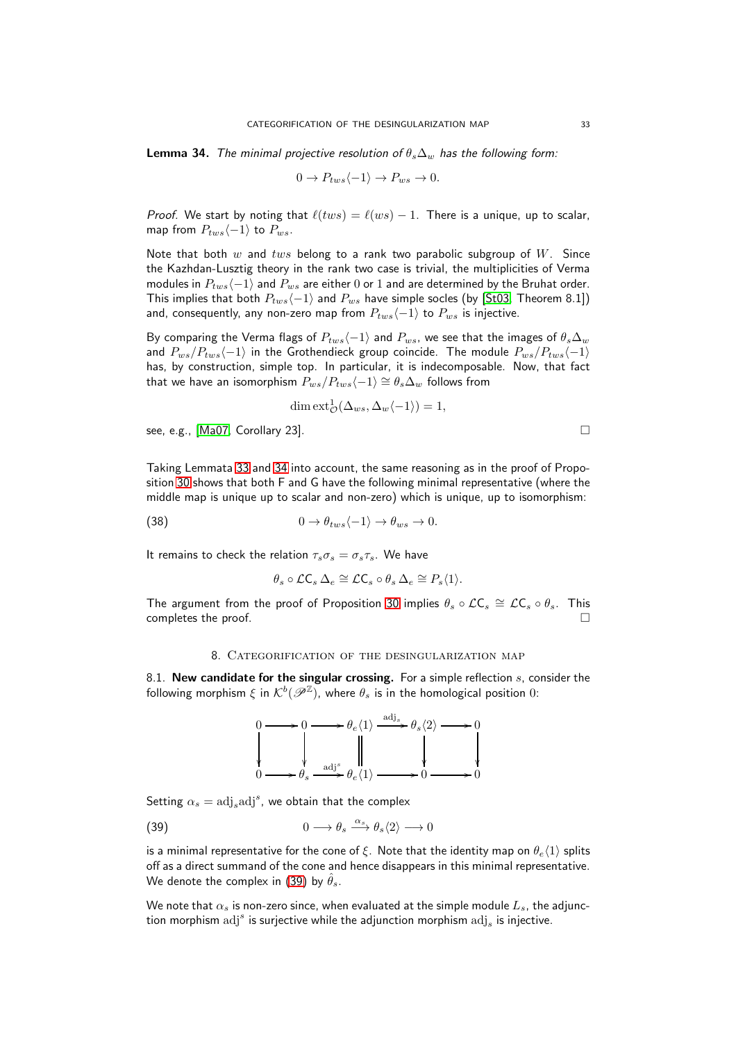<span id="page-32-1"></span>**Lemma 34.** The minimal projective resolution of  $\theta_s \Delta_w$  has the following form:

$$
0 \to P_{tws}\langle -1 \rangle \to P_{ws} \to 0.
$$

*Proof.* We start by noting that  $\ell(tws) = \ell(ws) - 1$ . There is a unique, up to scalar, map from  $P_{tws}\langle -1 \rangle$  to  $P_{ws}$ .

Note that both w and tws belong to a rank two parabolic subgroup of  $W$ . Since the Kazhdan-Lusztig theory in the rank two case is trivial, the multiplicities of Verma modules in  $P_{tws}\langle -1 \rangle$  and  $P_{ws}$  are either 0 or 1 and are determined by the Bruhat order. This implies that both  $P_{tws}\langle-1\rangle$  and  $P_{ws}$  have simple socles (by [\[St03,](#page-38-14) Theorem 8.1]) and, consequently, any non-zero map from  $P_{tws}\langle-1\rangle$  to  $P_{ws}$  is injective.

By comparing the Verma flags of  $P_{tws}\langle-1\rangle$  and  $P_{ws}$ , we see that the images of  $\theta_s\Delta_w$ and  $P_{ws}/P_{tws}\langle-1\rangle$  in the Grothendieck group coincide. The module  $P_{ws}/P_{tws}\langle-1\rangle$ has, by construction, simple top. In particular, it is indecomposable. Now, that fact that we have an isomorphism  $P_{ws}/P_{tws}\langle-1\rangle \cong \theta_s\Delta_w$  follows from

$$
\dim \text{ext}^1_{\mathcal{O}}(\Delta_{ws}, \Delta_w \langle -1 \rangle) = 1,
$$

see, e.g., [\[Ma07,](#page-38-16) Corollary 23].

Taking Lemmata [33](#page-31-2) and [34](#page-32-1) into account, the same reasoning as in the proof of Proposition [30](#page-30-0) shows that both F and G have the following minimal representative (where the middle map is unique up to scalar and non-zero) which is unique, up to isomorphism:

(38) 
$$
0 \to \theta_{tws} \langle -1 \rangle \to \theta_{ws} \to 0.
$$

It remains to check the relation  $\tau_s \sigma_s = \sigma_s \tau_s$ . We have

<span id="page-32-3"></span>
$$
\theta_s \circ \mathcal{L} \mathsf{C}_s \, \Delta_e \cong \mathcal{L} \mathsf{C}_s \circ \theta_s \, \Delta_e \cong P_s \langle 1 \rangle.
$$

<span id="page-32-0"></span>The argument from the proof of Proposition [30](#page-30-0) implies  $\theta_s \circ \mathcal{L}C_s \cong \mathcal{L}C_s \circ \theta_s$ . This completes the proof.

## 8. Categorification of the desingularization map

8.1. New candidate for the singular crossing. For a simple reflection  $s$ , consider the following morphism  $\xi$  in  $\mathcal{K}^b(\mathscr{P}^\mathbb{Z})$ , where  $\theta_s$  is in the homological position  $0$ :

<span id="page-32-2"></span>

Setting  $\alpha_s = \text{adj}_s \text{adj}^s$ , we obtain that the complex

(39) 
$$
0 \longrightarrow \theta_s \stackrel{\alpha_s}{\longrightarrow} \theta_s \langle 2 \rangle \longrightarrow 0
$$

is a minimal representative for the cone of ξ. Note that the identity map on  $\theta_e\langle 1\rangle$  splits off as a direct summand of the cone and hence disappears in this minimal representative. We denote the complex in [\(39\)](#page-32-2) by  $\hat{\theta}_s$ .

We note that  $\alpha_s$  is non-zero since, when evaluated at the simple module  $L_s$ , the adjunction morphism  $\mathrm{adj}^s$  is surjective while the adjunction morphism  $\mathrm{adj}_s$  is injective.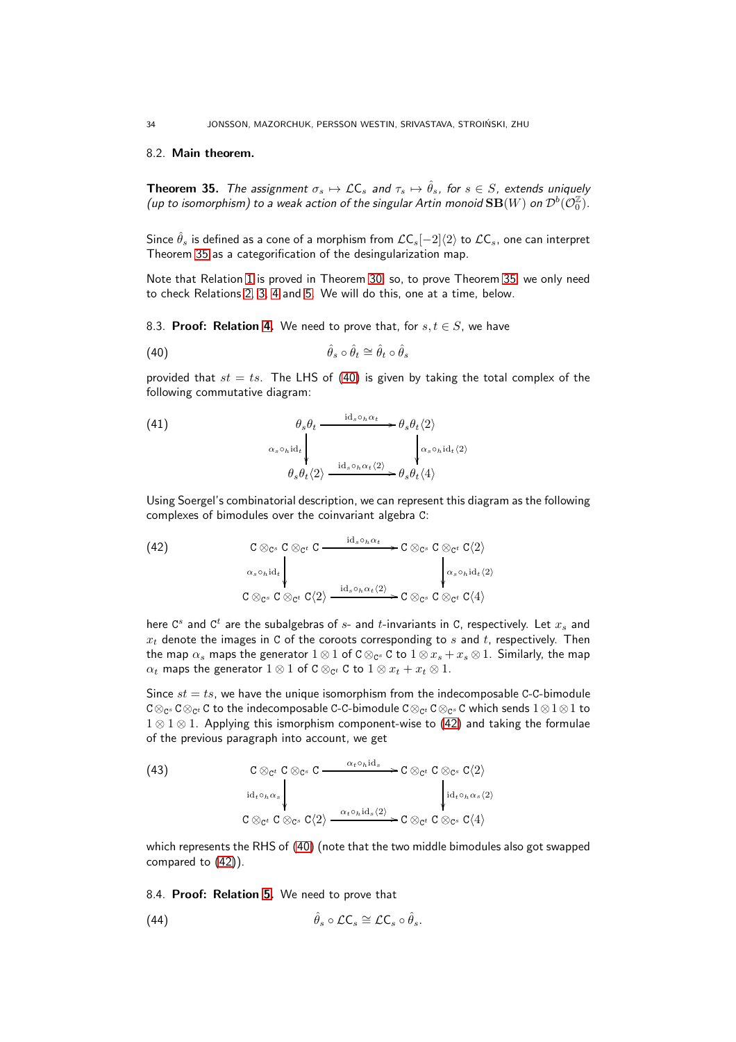## 8.2. Main theorem.

<span id="page-33-0"></span>**Theorem 35.** The assignment  $\sigma_s \mapsto \mathcal{LC}_s$  and  $\tau_s \mapsto \hat{\theta}_s$ , for  $s \in S$ , extends uniquely (up to isomorphism) to a weak action of the singular Artin monoid  $\mathbf{SB}(W)$  on  $\mathcal{D}^b(\mathcal{O}_0^{\mathbb{Z}}).$ 

Since  $\hat{\theta}_s$  is defined as a cone of a morphism from  $\mathcal{L}C_s[-2]\langle 2\rangle$  to  $\mathcal{L}C_s$ , one can interpret Theorem [35](#page-33-0) as a categorification of the desingularization map.

Note that Relation [1](#page-4-0) is proved in Theorem [30,](#page-30-0) so, to prove Theorem [35,](#page-33-0) we only need to check Relations [2, 3, 4](#page-4-0) and [5.](#page-4-0) We will do this, one at a time, below.

8.3. Proof: Relation [4.](#page-4-0) We need to prove that, for  $s, t \in S$ , we have

<span id="page-33-1"></span>
$$
\hat{\theta}_s \circ \hat{\theta}_t \cong \hat{\theta}_t \circ \hat{\theta}_s
$$

provided that  $st = ts$ . The LHS of [\(40\)](#page-33-1) is given by taking the total complex of the following commutative diagram:

(41)  
\n
$$
\begin{array}{ccc}\n & \theta_s \theta_t \xrightarrow{\mathrm{id}_s \circ_h \alpha_t} & \theta_s \theta_t \langle 2 \rangle \\
 & \alpha_s \circ_h \mathrm{id}_t & \phi_s \theta_t \langle 2 \rangle \\
\theta_s \theta_t \langle 2 \rangle \xrightarrow{\mathrm{id}_s \circ_h \alpha_t \langle 2 \rangle} & \theta_s \theta_t \langle 4 \rangle\n\end{array}
$$

Using Soergel's combinatorial description, we can represent this diagram as the following complexes of bimodules over the coinvariant algebra C:

<span id="page-33-2"></span>(42)  
\n
$$
C \otimes_{C^s} C \otimes_{C^t} C \xrightarrow{\mathrm{id}_s \circ_h \alpha_t} C \otimes_{C^s} C \otimes_{C^t} C \langle 2 \rangle
$$
\n
$$
\downarrow^{\alpha_s \circ_h \mathrm{id}_t} \downarrow^{\alpha_s \circ_h \mathrm{id}_t} \vee \qquad \qquad \downarrow^{\alpha_s \circ_h \mathrm{id}_t} \langle 2 \rangle
$$
\n
$$
C \otimes_{C^s} C \otimes_{C^t} C \langle 2 \rangle \xrightarrow{\mathrm{id}_s \circ_h \alpha_t \langle 2 \rangle} C \otimes_{C^s} C \otimes_{C^t} C \langle 4 \rangle
$$

here  $\mathsf{C}^s$  and  $\mathsf{C}^t$  are the subalgebras of  $s$ - and  $t$ -invariants in C, respectively. Let  $x_s$  and  $x_t$  denote the images in C of the coroots corresponding to s and t, respectively. Then the map  $\alpha_s$  maps the generator  $1\otimes 1$  of C $\otimes_{\mathsf{C}^s}$  C to  $1\otimes x_s+x_s\otimes 1.$  Similarly, the map  $\alpha_t$  maps the generator  $1\otimes 1$  of C  $\otimes_{{\mathtt{C}}^t}$  C to  $1\otimes x_t+x_t\otimes 1.$ 

Since  $st = ts$ , we have the unique isomorphism from the indecomposable C-C-bimodule C⊗ $_{\mathbb{C}^\mathscr{S}}$  C $\otimes_{\mathbb{C}^t}$  C to the indecomposable C-C-bimodule C $\otimes_{\mathbb{C}^t}$  C $\otimes_{\mathbb{C}^s}$  C which sends  $1\otimes 1\otimes 1$  to 1 ⊗ 1 ⊗ 1. Applying this ismorphism component-wise to [\(42\)](#page-33-2) and taking the formulae of the previous paragraph into account, we get

(43)  
\n
$$
C \otimes_{C^t} C \otimes_{C^s} C \longrightarrow {\alpha_t \circ_{h} id_s \longrightarrow C \otimes_{C^t} C \otimes_{C^s} C\langle 2 \rangle \over \begin{array}{c} \downarrow id_{t \circ_{h} \alpha_s} \\ \downarrow id_{t \circ_{h} \alpha_s \langle 2 \rangle} \end{array}} \begin{array}{c} \downarrow d_{t \circ_{h} \alpha_s \langle 2 \rangle} \\ \downarrow id_{t \circ_{h} \alpha_s \langle 2 \rangle} \\ \downarrow d_{t \circ_{h} \alpha_s \langle 2 \rangle} \end{array}
$$

which represents the RHS of [\(40\)](#page-33-1) (note that the two middle bimodules also got swapped compared to [\(42\)](#page-33-2)).

8.4. Proof: Relation [5.](#page-4-0) We need to prove that

<span id="page-33-3"></span>(44) 
$$
\hat{\theta}_s \circ \mathcal{L} \mathsf{C}_s \cong \mathcal{L} \mathsf{C}_s \circ \hat{\theta}_s.
$$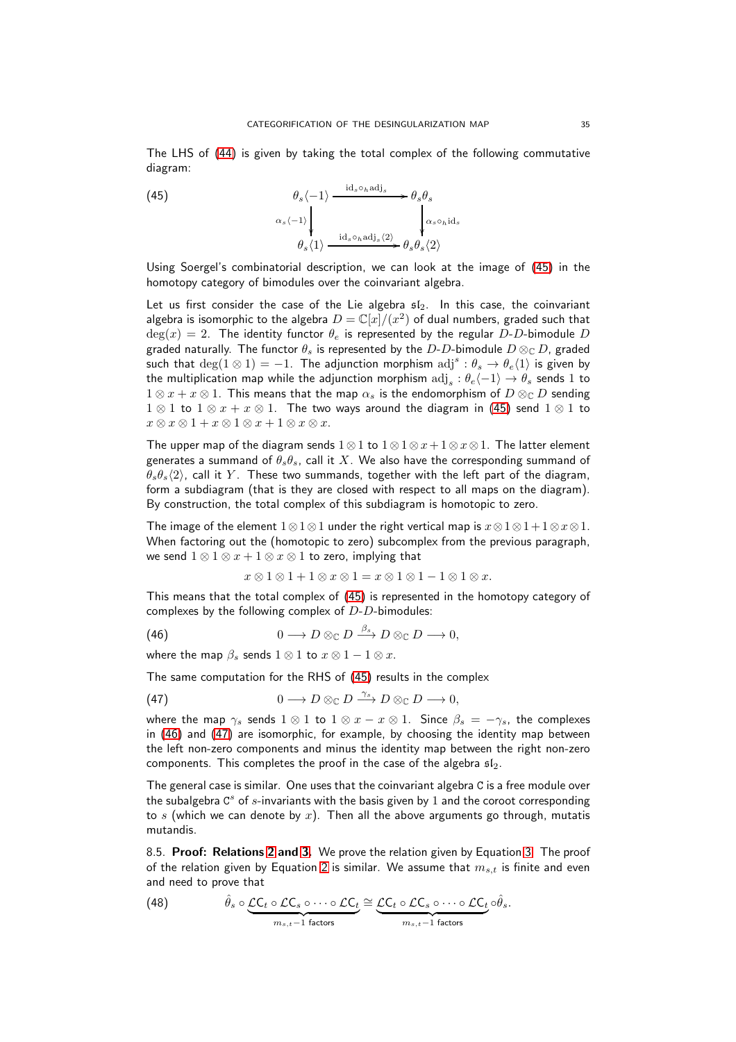The LHS of [\(44\)](#page-33-3) is given by taking the total complex of the following commutative diagram:

<span id="page-34-0"></span>(45) 
$$
\theta_s \langle -1 \rangle \xrightarrow{\mathrm{id}_s \circ_h \mathrm{adj}_s} \theta_s \theta_s
$$

$$
\alpha_s \langle -1 \rangle \downarrow \qquad \qquad \downarrow \alpha_s \circ_h \mathrm{id}_s
$$

$$
\theta_s \langle 1 \rangle \xrightarrow{\mathrm{id}_s \circ_h \mathrm{adj}_s \langle 2 \rangle} \theta_s \theta_s \langle 2 \rangle
$$

Using Soergel's combinatorial description, we can look at the image of [\(45\)](#page-34-0) in the homotopy category of bimodules over the coinvariant algebra.

Let us first consider the case of the Lie algebra  $sI_2$ . In this case, the coinvariant algebra is isomorphic to the algebra  $D = \mathbb{C}[x]/(x^2)$  of dual numbers, graded such that  $deg(x) = 2$ . The identity functor  $\theta_e$  is represented by the regular D-D-bimodule D graded naturally. The functor  $\theta_s$  is represented by the D-D-bimodule  $D \otimes_{\mathbb{C}} D$ , graded such that  $\deg(1 \otimes 1) = -1$ . The adjunction morphism  $\text{adj}^s : \theta_s \to \theta_e \langle 1 \rangle$  is given by the multiplication map while the adjunction morphism  $\mathrm{adj}_s:\theta_e\langle -1\rangle\to \theta_s$  sends  $1$  to  $1 \otimes x + x \otimes 1$ . This means that the map  $\alpha_s$  is the endomorphism of  $D \otimes_{\mathbb{C}} D$  sending  $1 \otimes 1$  to  $1 \otimes x + x \otimes 1$ . The two ways around the diagram in [\(45\)](#page-34-0) send  $1 \otimes 1$  to  $x \otimes x \otimes 1 + x \otimes 1 \otimes x + 1 \otimes x \otimes x.$ 

The upper map of the diagram sends 1⊗1 to  $1 \otimes 1 \otimes x + 1 \otimes x \otimes 1$ . The latter element generates a summand of  $\theta_s \theta_s$ , call it X. We also have the corresponding summand of  $\theta_s\theta_s\langle 2\rangle$ , call it Y. These two summands, together with the left part of the diagram, form a subdiagram (that is they are closed with respect to all maps on the diagram). By construction, the total complex of this subdiagram is homotopic to zero.

The image of the element  $1 \otimes 1 \otimes 1$  under the right vertical map is  $x \otimes 1 \otimes 1 + 1 \otimes x \otimes 1$ . When factoring out the (homotopic to zero) subcomplex from the previous paragraph, we send  $1 \otimes 1 \otimes x + 1 \otimes x \otimes 1$  to zero, implying that

<span id="page-34-2"></span><span id="page-34-1"></span> $x \otimes 1 \otimes 1 + 1 \otimes x \otimes 1 = x \otimes 1 \otimes 1 - 1 \otimes 1 \otimes x.$ 

This means that the total complex of [\(45\)](#page-34-0) is represented in the homotopy category of complexes by the following complex of  $D-D$ -bimodules:

(46) 
$$
0 \longrightarrow D \otimes_{\mathbb{C}} D \xrightarrow{\beta_s} D \otimes_{\mathbb{C}} D \longrightarrow 0,
$$

where the map  $\beta_s$  sends  $1 \otimes 1$  to  $x \otimes 1 - 1 \otimes x$ .

The same computation for the RHS of [\(45\)](#page-34-0) results in the complex

(47) 
$$
0 \longrightarrow D \otimes_{\mathbb{C}} D \xrightarrow{\gamma_s} D \otimes_{\mathbb{C}} D \longrightarrow 0,
$$

where the map  $\gamma_s$  sends  $1 \otimes 1$  to  $1 \otimes x - x \otimes 1$ . Since  $\beta_s = -\gamma_s$ , the complexes in [\(46\)](#page-34-1) and [\(47\)](#page-34-2) are isomorphic, for example, by choosing the identity map between the left non-zero components and minus the identity map between the right non-zero components. This completes the proof in the case of the algebra  $\mathfrak{sl}_2$ .

The general case is similar. One uses that the coinvariant algebra C is a free module over the subalgebra  $C^s$  of  $s$ -invariants with the basis given by  $1$  and the coroot corresponding to s (which we can denote by x). Then all the above arguments go through, mutatis mutandis.

8.5. Proof: Relations [2](#page-4-0) and [3.](#page-4-0) We prove the relation given by Equation [3.](#page-4-0) The proof of the relation given by Equation [2](#page-4-0) is similar. We assume that  $m_{s,t}$  is finite and even and need to prove that

<span id="page-34-3"></span>(48) 
$$
\hat{\theta}_s \circ \underbrace{\mathcal{LC}_t \circ \mathcal{LC}_s \circ \cdots \circ \mathcal{LC}_t}_{m_{s,t}-1 \text{ factors}} \cong \underbrace{\mathcal{LC}_t \circ \mathcal{LC}_s \circ \cdots \circ \mathcal{LC}_t}_{m_{s,t}-1 \text{ factors}} \circ \hat{\theta}_s.
$$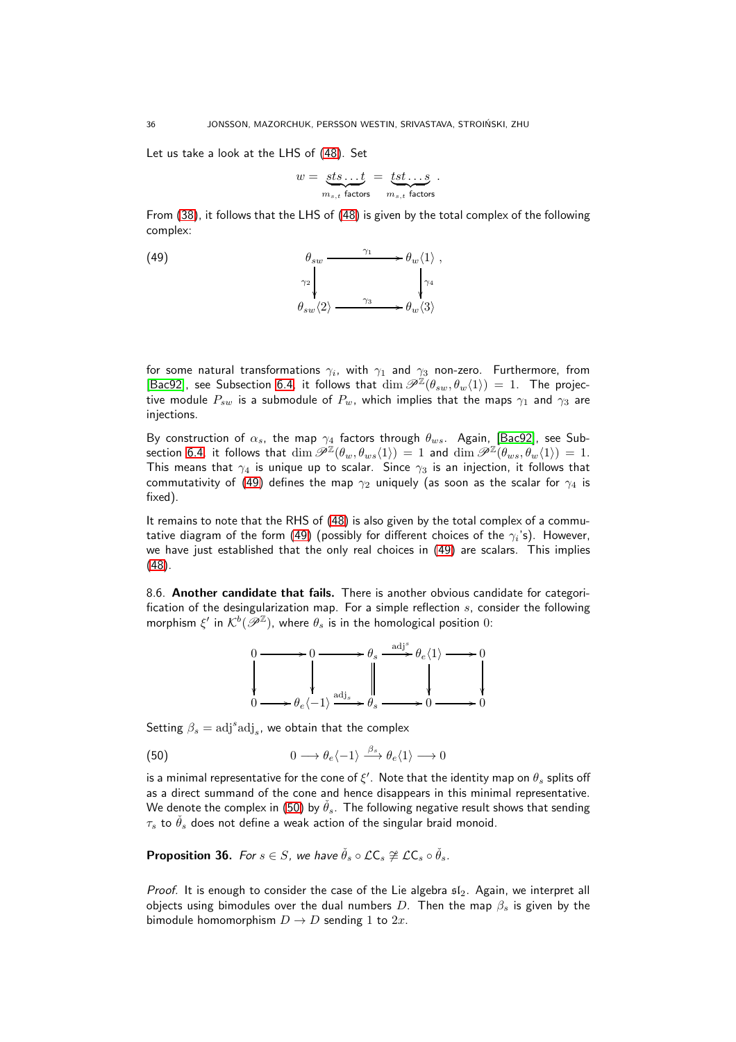Let us take a look at the LHS of [\(48\)](#page-34-3). Set

$$
w = \underbrace{sts \dots t}_{m_{s,t} \text{ factors}} = \underbrace{tst \dots s}_{m_{s,t} \text{ factors}}.
$$

From [\(38\)](#page-32-3), it follows that the LHS of [\(48\)](#page-34-3) is given by the total complex of the following complex:

 $(49)$ 

<span id="page-35-1"></span>

for some natural transformations  $\gamma_i$ , with  $\gamma_1$  and  $\gamma_3$  non-zero. Furthermore, from [\[Bac92\]](#page-36-14), see Subsection [6.4,](#page-28-0) it follows that  $\dim \mathscr{P}^{\mathbb{Z}}(\theta_{sw},\theta_w\langle 1 \rangle) = 1$ . The projective module  $P_{sw}$  is a submodule of  $P_w$ , which implies that the maps  $\gamma_1$  and  $\gamma_3$  are injections.

By construction of  $\alpha_s$ , the map  $\gamma_4$  factors through  $\theta_{ws}$ . Again, [\[Bac92\]](#page-36-14), see Sub-section [6.4,](#page-28-0) it follows that  $\dim \mathscr{P}^{\bar{\mathbb{Z}}}( \theta_w,\theta_{ws}\langle 1 \rangle )\,=\,1$  and  $\dim \mathscr{P}^{\mathbb{Z}}(\theta_{ws},\theta_w\langle 1 \rangle )\,=\,1.$ This means that  $\gamma_4$  is unique up to scalar. Since  $\gamma_3$  is an injection, it follows that commutativity of [\(49\)](#page-35-1) defines the map  $\gamma_2$  uniquely (as soon as the scalar for  $\gamma_4$  is fixed).

It remains to note that the RHS of [\(48\)](#page-34-3) is also given by the total complex of a commu-tative diagram of the form [\(49\)](#page-35-1) (possibly for different choices of the  $\gamma_i$ 's). However, we have just established that the only real choices in [\(49\)](#page-35-1) are scalars. This implies [\(48\)](#page-34-3).

8.6. Another candidate that fails. There is another obvious candidate for categorification of the desingularization map. For a simple reflection  $s$ , consider the following morphism  $\xi'$  in  $\mathcal{K}^b(\overline{\mathscr{P}}^{\mathbb{Z}})$ , where  $\theta_s$  is in the homological position  $0$ :

<span id="page-35-2"></span>

Setting  $\beta_s = \text{adj}^s \text{adj}_s$ , we obtain that the complex

(50) 
$$
0 \longrightarrow \theta_e \langle -1 \rangle \stackrel{\beta_s}{\longrightarrow} \theta_e \langle 1 \rangle \longrightarrow 0
$$

is a minimal representative for the cone of  $\xi'$  . Note that the identity map on  $\theta_s$  splits off as a direct summand of the cone and hence disappears in this minimal representative. We denote the complex in [\(50\)](#page-35-2) by  $\hat{\theta}_s$ . The following negative result shows that sending  $\tau_s$  to  $\check{\theta}_s$  does not define a weak action of the singular braid monoid.

<span id="page-35-0"></span>**Proposition 36.** For  $s \in S$ , we have  $\check{\theta}_s \circ \mathcal{L} \mathsf{C}_s \not\cong \mathcal{L} \mathsf{C}_s \circ \check{\theta}_s$ .

*Proof.* It is enough to consider the case of the Lie algebra  $sI_2$ . Again, we interpret all objects using bimodules over the dual numbers D. Then the map  $\beta_s$  is given by the bimodule homomorphism  $D \to D$  sending 1 to 2x.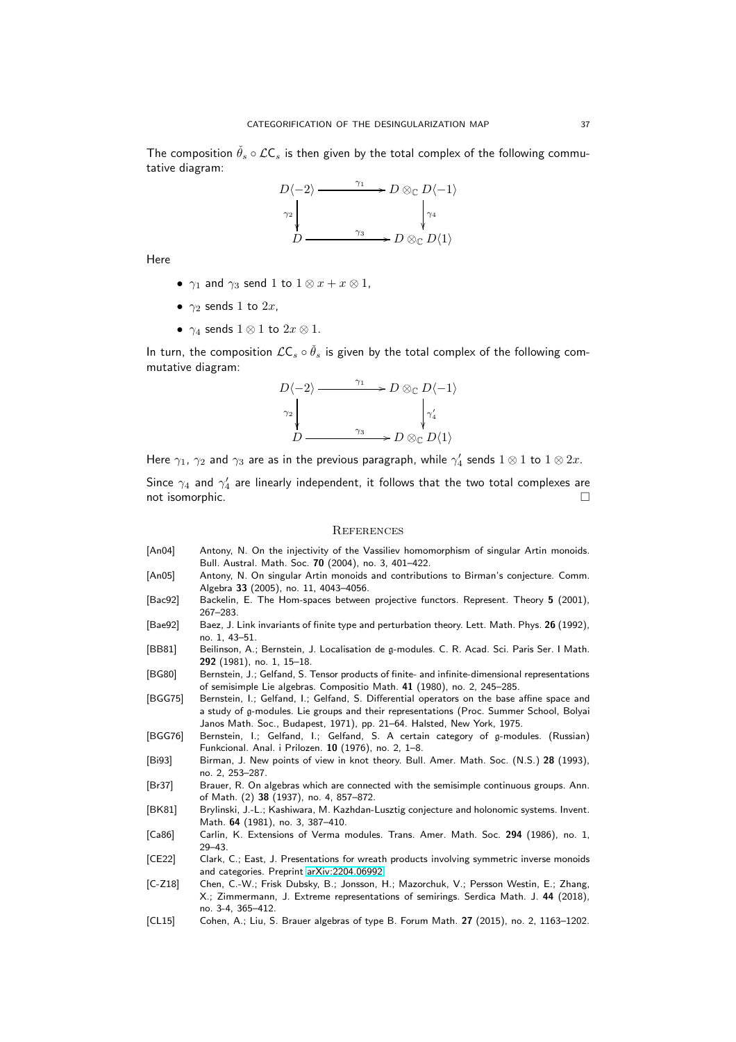The composition  $\hat{\theta}_s \circ \mathcal{LC}_s$  is then given by the total complex of the following commutative diagram:



Here

- $\gamma_1$  and  $\gamma_3$  send 1 to  $1 \otimes x + x \otimes 1$ ,
- $\gamma_2$  sends 1 to  $2x$ ,
- $\gamma_4$  sends  $1 \otimes 1$  to  $2x \otimes 1$ .

In turn, the composition  $\mathcal{L}\mathsf{C}_s \circ \check{\theta}_s$  is given by the total complex of the following commutative diagram:

$$
D\langle -2 \rangle \longrightarrow D \otimes_{\mathbb{C}} D\langle -1 \rangle
$$
  
\n
$$
\gamma_2
$$
\n
$$
D \longrightarrow \gamma_3
$$
\n
$$
D \otimes_{\mathbb{C}} D\langle 1 \rangle
$$

Here  $\gamma_1, \, \gamma_2$  and  $\gamma_3$  are as in the previous paragraph, while  $\gamma_4'$  sends  $1 \otimes 1$  to  $1 \otimes 2x.$ 

Since  $\gamma_4$  and  $\gamma_4'$  are linearly independent, it follows that the two total complexes are not isomorphic.  $\Box$ 

#### **REFERENCES**

- <span id="page-36-1"></span>[An04] Antony, N. On the injectivity of the Vassiliev homomorphism of singular Artin monoids. Bull. Austral. Math. Soc. 70 (2004), no. 3, 401–422.
- <span id="page-36-2"></span>[An05] Antony, N. On singular Artin monoids and contributions to Birman's conjecture. Comm. Algebra 33 (2005), no. 11, 4043–4056.
- <span id="page-36-14"></span>[Bac92] Backelin, E. The Hom-spaces between projective functors. Represent. Theory 5 (2001), 267–283.
- <span id="page-36-3"></span>[Bae92] Baez, J. Link invariants of finite type and perturbation theory. Lett. Math. Phys. 26 (1992), no. 1, 43–51.
- <span id="page-36-11"></span>[BB81] Beilinson, A.; Bernstein, J. Localisation de g-modules. C. R. Acad. Sci. Paris Ser. I Math. 292 (1981), no. 1, 15–18.
- <span id="page-36-13"></span>[BG80] Bernstein, J.; Gelfand, S. Tensor products of finite- and infinite-dimensional representations of semisimple Lie algebras. Compositio Math. 41 (1980), no. 2, 245–285.
- <span id="page-36-9"></span>[BGG75] Bernstein, I.; Gelfand, I.; Gelfand, S. Differential operators on the base affine space and a study of g-modules. Lie groups and their representations (Proc. Summer School, Bolyai Janos Math. Soc., Budapest, 1971), pp. 21–64. Halsted, New York, 1975.
- <span id="page-36-10"></span>[BGG76] Bernstein, I.; Gelfand, I.; Gelfand, S. A certain category of g-modules. (Russian) Funkcional. Anal. i Prilozen. 10 (1976), no. 2, 1–8.
- <span id="page-36-0"></span>[Bi93] Birman, J. New points of view in knot theory. Bull. Amer. Math. Soc. (N.S.) 28 (1993), no. 2, 253–287.
- <span id="page-36-4"></span>[Br37] Brauer, R. On algebras which are connected with the semisimple continuous groups. Ann. of Math. (2) 38 (1937), no. 4, 857–872.
- <span id="page-36-12"></span>[BK81] Brylinski, J.-L.; Kashiwara, M. Kazhdan-Lusztig conjecture and holonomic systems. Invent. Math. 64 (1981), no. 3, 387–410.
- <span id="page-36-7"></span>[Ca86] Carlin, K. Extensions of Verma modules. Trans. Amer. Math. Soc. 294 (1986), no. 1, 29–43.
- <span id="page-36-5"></span>[CE22] Clark, C.; East, J. Presentations for wreath products involving symmetric inverse monoids and categories. Preprint [arXiv:2204.06992.](http://arxiv.org/abs/2204.06992)
- <span id="page-36-8"></span>[C-Z18] Chen, C.-W.; Frisk Dubsky, B.; Jonsson, H.; Mazorchuk, V.; Persson Westin, E.; Zhang, X.; Zimmermann, J. Extreme representations of semirings. Serdica Math. J. 44 (2018), no. 3-4, 365–412.
- <span id="page-36-6"></span>[CL15] Cohen, A.; Liu, S. Brauer algebras of type B. Forum Math. 27 (2015), no. 2, 1163–1202.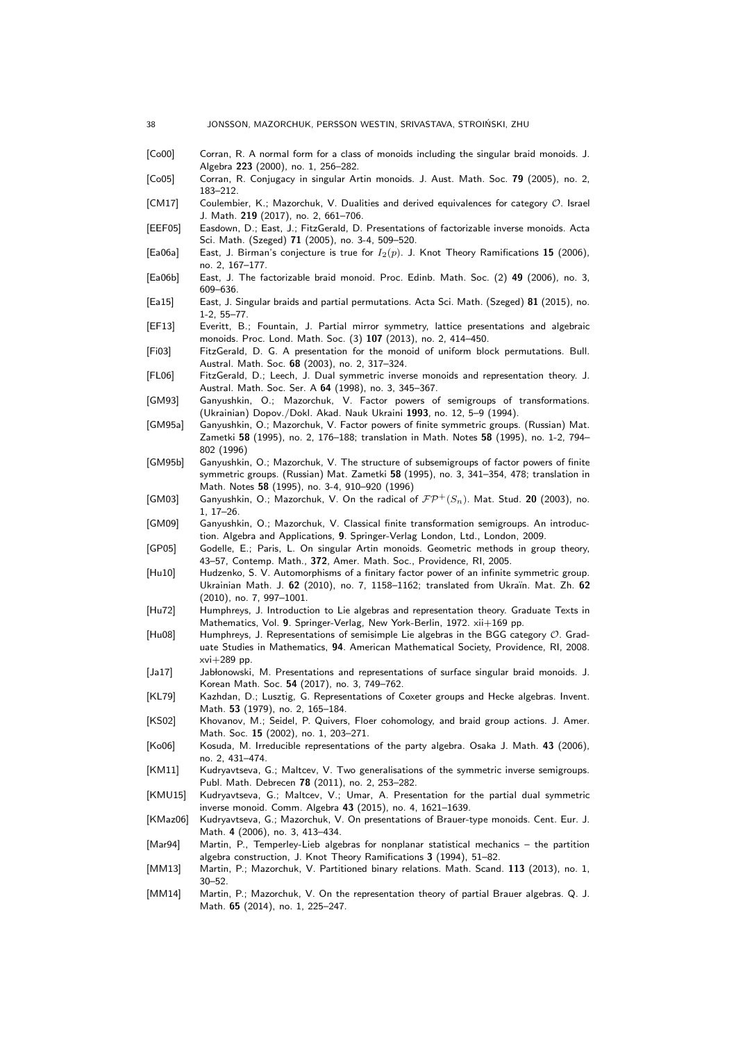<span id="page-37-28"></span><span id="page-37-27"></span><span id="page-37-26"></span><span id="page-37-25"></span><span id="page-37-24"></span><span id="page-37-23"></span><span id="page-37-22"></span><span id="page-37-21"></span><span id="page-37-20"></span><span id="page-37-19"></span><span id="page-37-18"></span><span id="page-37-17"></span><span id="page-37-16"></span><span id="page-37-15"></span><span id="page-37-14"></span><span id="page-37-13"></span><span id="page-37-12"></span><span id="page-37-11"></span><span id="page-37-10"></span><span id="page-37-9"></span><span id="page-37-8"></span><span id="page-37-7"></span><span id="page-37-6"></span><span id="page-37-5"></span><span id="page-37-4"></span><span id="page-37-3"></span><span id="page-37-2"></span><span id="page-37-1"></span><span id="page-37-0"></span>

| [Co00]<br>Corran, R. A normal form for a class of monoids including the singular braid monoids. J.<br>Algebra 223 (2000), no. 1, 256-282.<br>[Co05]<br>Corran, R. Conjugacy in singular Artin monoids. J. Aust. Math. Soc. 79 (2005), no. 2,<br>183-212.<br>Coulembier, K.; Mazorchuk, V. Dualities and derived equivalences for category O. Israel<br>[CM17]<br>J. Math. 219 (2017), no. 2, 661-706.<br>Easdown, D.; East, J.; FitzGerald, D. Presentations of factorizable inverse monoids. Acta<br>[EEF05]<br>Sci. Math. (Szeged) 71 (2005), no. 3-4, 509-520.<br>[Ea06a]<br>East, J. Birman's conjecture is true for $I_2(p)$ . J. Knot Theory Ramifications 15 (2006),<br>no. 2, 167-177.<br>East, J. The factorizable braid monoid. Proc. Edinb. Math. Soc. (2) 49 (2006), no. 3,<br>[Ea06b]<br>609–636.<br>East, J. Singular braids and partial permutations. Acta Sci. Math. (Szeged) 81 (2015), no.<br>[Eq15]<br>$1-2, 55-77.$<br>Everitt, B.; Fountain, J. Partial mirror symmetry, lattice presentations and algebraic<br>[EF13]<br>monoids. Proc. Lond. Math. Soc. (3) 107 (2013), no. 2, 414-450.<br>[Fi03]<br>FitzGerald, D. G. A presentation for the monoid of uniform block permutations. Bull.<br>Austral. Math. Soc. <b>68</b> (2003), no. 2, 317–324.<br>FitzGerald, D.; Leech, J. Dual symmetric inverse monoids and representation theory. J.<br>[FL06]<br>Austral. Math. Soc. Ser. A 64 (1998), no. 3, 345-367.<br>[GM93]<br>Ganyushkin, O.; Mazorchuk, V. Factor powers of semigroups of transformations.<br>(Ukrainian) Dopov./Dokl. Akad. Nauk Ukraini 1993, no. 12, 5-9 (1994).<br>Ganyushkin, O.; Mazorchuk, V. Factor powers of finite symmetric groups. (Russian) Mat.<br>[GM95a]<br>Zametki 58 (1995), no. 2, 176–188; translation in Math. Notes 58 (1995), no. 1-2, 794–<br>802 (1996)<br>[GM95b]<br>Ganyushkin, O.; Mazorchuk, V. The structure of subsemigroups of factor powers of finite<br>symmetric groups. (Russian) Mat. Zametki 58 (1995), no. 3, 341–354, 478; translation in<br>Math. Notes 58 (1995), no. 3-4, 910-920 (1996) |
|----------------------------------------------------------------------------------------------------------------------------------------------------------------------------------------------------------------------------------------------------------------------------------------------------------------------------------------------------------------------------------------------------------------------------------------------------------------------------------------------------------------------------------------------------------------------------------------------------------------------------------------------------------------------------------------------------------------------------------------------------------------------------------------------------------------------------------------------------------------------------------------------------------------------------------------------------------------------------------------------------------------------------------------------------------------------------------------------------------------------------------------------------------------------------------------------------------------------------------------------------------------------------------------------------------------------------------------------------------------------------------------------------------------------------------------------------------------------------------------------------------------------------------------------------------------------------------------------------------------------------------------------------------------------------------------------------------------------------------------------------------------------------------------------------------------------------------------------------------------------------------------------------------------------------------------------------------------------------------------------------------------------------------------------------------------------------|
|                                                                                                                                                                                                                                                                                                                                                                                                                                                                                                                                                                                                                                                                                                                                                                                                                                                                                                                                                                                                                                                                                                                                                                                                                                                                                                                                                                                                                                                                                                                                                                                                                                                                                                                                                                                                                                                                                                                                                                                                                                                                            |
|                                                                                                                                                                                                                                                                                                                                                                                                                                                                                                                                                                                                                                                                                                                                                                                                                                                                                                                                                                                                                                                                                                                                                                                                                                                                                                                                                                                                                                                                                                                                                                                                                                                                                                                                                                                                                                                                                                                                                                                                                                                                            |
|                                                                                                                                                                                                                                                                                                                                                                                                                                                                                                                                                                                                                                                                                                                                                                                                                                                                                                                                                                                                                                                                                                                                                                                                                                                                                                                                                                                                                                                                                                                                                                                                                                                                                                                                                                                                                                                                                                                                                                                                                                                                            |
|                                                                                                                                                                                                                                                                                                                                                                                                                                                                                                                                                                                                                                                                                                                                                                                                                                                                                                                                                                                                                                                                                                                                                                                                                                                                                                                                                                                                                                                                                                                                                                                                                                                                                                                                                                                                                                                                                                                                                                                                                                                                            |
|                                                                                                                                                                                                                                                                                                                                                                                                                                                                                                                                                                                                                                                                                                                                                                                                                                                                                                                                                                                                                                                                                                                                                                                                                                                                                                                                                                                                                                                                                                                                                                                                                                                                                                                                                                                                                                                                                                                                                                                                                                                                            |
|                                                                                                                                                                                                                                                                                                                                                                                                                                                                                                                                                                                                                                                                                                                                                                                                                                                                                                                                                                                                                                                                                                                                                                                                                                                                                                                                                                                                                                                                                                                                                                                                                                                                                                                                                                                                                                                                                                                                                                                                                                                                            |
|                                                                                                                                                                                                                                                                                                                                                                                                                                                                                                                                                                                                                                                                                                                                                                                                                                                                                                                                                                                                                                                                                                                                                                                                                                                                                                                                                                                                                                                                                                                                                                                                                                                                                                                                                                                                                                                                                                                                                                                                                                                                            |
|                                                                                                                                                                                                                                                                                                                                                                                                                                                                                                                                                                                                                                                                                                                                                                                                                                                                                                                                                                                                                                                                                                                                                                                                                                                                                                                                                                                                                                                                                                                                                                                                                                                                                                                                                                                                                                                                                                                                                                                                                                                                            |
|                                                                                                                                                                                                                                                                                                                                                                                                                                                                                                                                                                                                                                                                                                                                                                                                                                                                                                                                                                                                                                                                                                                                                                                                                                                                                                                                                                                                                                                                                                                                                                                                                                                                                                                                                                                                                                                                                                                                                                                                                                                                            |
|                                                                                                                                                                                                                                                                                                                                                                                                                                                                                                                                                                                                                                                                                                                                                                                                                                                                                                                                                                                                                                                                                                                                                                                                                                                                                                                                                                                                                                                                                                                                                                                                                                                                                                                                                                                                                                                                                                                                                                                                                                                                            |
|                                                                                                                                                                                                                                                                                                                                                                                                                                                                                                                                                                                                                                                                                                                                                                                                                                                                                                                                                                                                                                                                                                                                                                                                                                                                                                                                                                                                                                                                                                                                                                                                                                                                                                                                                                                                                                                                                                                                                                                                                                                                            |
|                                                                                                                                                                                                                                                                                                                                                                                                                                                                                                                                                                                                                                                                                                                                                                                                                                                                                                                                                                                                                                                                                                                                                                                                                                                                                                                                                                                                                                                                                                                                                                                                                                                                                                                                                                                                                                                                                                                                                                                                                                                                            |
|                                                                                                                                                                                                                                                                                                                                                                                                                                                                                                                                                                                                                                                                                                                                                                                                                                                                                                                                                                                                                                                                                                                                                                                                                                                                                                                                                                                                                                                                                                                                                                                                                                                                                                                                                                                                                                                                                                                                                                                                                                                                            |
| Ganyushkin, O.; Mazorchuk, V. On the radical of $\mathcal{FP}^{+}(S_n)$ . Mat. Stud. 20 (2003), no.<br>[GM03]<br>$1, 17-26.$                                                                                                                                                                                                                                                                                                                                                                                                                                                                                                                                                                                                                                                                                                                                                                                                                                                                                                                                                                                                                                                                                                                                                                                                                                                                                                                                                                                                                                                                                                                                                                                                                                                                                                                                                                                                                                                                                                                                               |
| [GM09]<br>Ganyushkin, O.; Mazorchuk, V. Classical finite transformation semigroups. An introduc-<br>tion. Algebra and Applications, 9. Springer-Verlag London, Ltd., London, 2009.                                                                                                                                                                                                                                                                                                                                                                                                                                                                                                                                                                                                                                                                                                                                                                                                                                                                                                                                                                                                                                                                                                                                                                                                                                                                                                                                                                                                                                                                                                                                                                                                                                                                                                                                                                                                                                                                                         |
| [GP05]<br>Godelle, E.; Paris, L. On singular Artin monoids. Geometric methods in group theory,<br>43-57, Contemp. Math., 372, Amer. Math. Soc., Providence, RI, 2005.                                                                                                                                                                                                                                                                                                                                                                                                                                                                                                                                                                                                                                                                                                                                                                                                                                                                                                                                                                                                                                                                                                                                                                                                                                                                                                                                                                                                                                                                                                                                                                                                                                                                                                                                                                                                                                                                                                      |
| Hudzenko, S. V. Automorphisms of a finitary factor power of an infinite symmetric group.<br>[Hu10]<br>Ukrainian Math. J. 62 (2010), no. 7, 1158–1162; translated from Ukraïn. Mat. Zh. 62<br>$(2010)$ , no. 7, 997-1001.                                                                                                                                                                                                                                                                                                                                                                                                                                                                                                                                                                                                                                                                                                                                                                                                                                                                                                                                                                                                                                                                                                                                                                                                                                                                                                                                                                                                                                                                                                                                                                                                                                                                                                                                                                                                                                                   |
| [Hu72]<br>Humphreys, J. Introduction to Lie algebras and representation theory. Graduate Texts in<br>Mathematics, Vol. 9. Springer-Verlag, New York-Berlin, 1972. xii+169 pp.                                                                                                                                                                                                                                                                                                                                                                                                                                                                                                                                                                                                                                                                                                                                                                                                                                                                                                                                                                                                                                                                                                                                                                                                                                                                                                                                                                                                                                                                                                                                                                                                                                                                                                                                                                                                                                                                                              |
| Humphreys, J. Representations of semisimple Lie algebras in the BGG category $\mathcal{O}$ . Grad-<br>[Hu08]<br>uate Studies in Mathematics, 94. American Mathematical Society, Providence, RI, 2008.<br>$xvi+289$ pp.                                                                                                                                                                                                                                                                                                                                                                                                                                                                                                                                                                                                                                                                                                                                                                                                                                                                                                                                                                                                                                                                                                                                                                                                                                                                                                                                                                                                                                                                                                                                                                                                                                                                                                                                                                                                                                                     |
| [Ja17]<br>Jabłonowski, M. Presentations and representations of surface singular braid monoids. J.<br>Korean Math. Soc. 54 (2017), no. 3, 749-762.                                                                                                                                                                                                                                                                                                                                                                                                                                                                                                                                                                                                                                                                                                                                                                                                                                                                                                                                                                                                                                                                                                                                                                                                                                                                                                                                                                                                                                                                                                                                                                                                                                                                                                                                                                                                                                                                                                                          |
| [KL79]<br>Kazhdan, D.; Lusztig, G. Representations of Coxeter groups and Hecke algebras. Invent.<br>Math. 53 (1979), no. 2, 165-184.                                                                                                                                                                                                                                                                                                                                                                                                                                                                                                                                                                                                                                                                                                                                                                                                                                                                                                                                                                                                                                                                                                                                                                                                                                                                                                                                                                                                                                                                                                                                                                                                                                                                                                                                                                                                                                                                                                                                       |
| [KS02]<br>Khovanov, M.; Seidel, P. Quivers, Floer cohomology, and braid group actions. J. Amer.<br>Math. Soc. 15 (2002), no. 1, 203-271.                                                                                                                                                                                                                                                                                                                                                                                                                                                                                                                                                                                                                                                                                                                                                                                                                                                                                                                                                                                                                                                                                                                                                                                                                                                                                                                                                                                                                                                                                                                                                                                                                                                                                                                                                                                                                                                                                                                                   |
| [Ko06]<br>Kosuda, M. Irreducible representations of the party algebra. Osaka J. Math. 43 (2006),<br>no. 2, 431-474.                                                                                                                                                                                                                                                                                                                                                                                                                                                                                                                                                                                                                                                                                                                                                                                                                                                                                                                                                                                                                                                                                                                                                                                                                                                                                                                                                                                                                                                                                                                                                                                                                                                                                                                                                                                                                                                                                                                                                        |
| [KM11]<br>Kudryavtseva, G.; Maltcev, V. Two generalisations of the symmetric inverse semigroups.<br>Publ. Math. Debrecen 78 (2011), no. 2, 253–282.                                                                                                                                                                                                                                                                                                                                                                                                                                                                                                                                                                                                                                                                                                                                                                                                                                                                                                                                                                                                                                                                                                                                                                                                                                                                                                                                                                                                                                                                                                                                                                                                                                                                                                                                                                                                                                                                                                                        |
| [KMU15]<br>Kudryavtseva, G.; Maltcev, V.; Umar, A. Presentation for the partial dual symmetric<br>inverse monoid. Comm. Algebra 43 (2015), no. 4, 1621-1639.                                                                                                                                                                                                                                                                                                                                                                                                                                                                                                                                                                                                                                                                                                                                                                                                                                                                                                                                                                                                                                                                                                                                                                                                                                                                                                                                                                                                                                                                                                                                                                                                                                                                                                                                                                                                                                                                                                               |
| [KMax06]<br>Kudryavtseva, G.; Mazorchuk, V. On presentations of Brauer-type monoids. Cent. Eur. J.<br>Math. 4 (2006), no. 3, 413-434.                                                                                                                                                                                                                                                                                                                                                                                                                                                                                                                                                                                                                                                                                                                                                                                                                                                                                                                                                                                                                                                                                                                                                                                                                                                                                                                                                                                                                                                                                                                                                                                                                                                                                                                                                                                                                                                                                                                                      |
| [Mar94]<br>Martin, P., Temperley-Lieb algebras for nonplanar statistical mechanics – the partition<br>algebra construction, J. Knot Theory Ramifications 3 (1994), 51–82.                                                                                                                                                                                                                                                                                                                                                                                                                                                                                                                                                                                                                                                                                                                                                                                                                                                                                                                                                                                                                                                                                                                                                                                                                                                                                                                                                                                                                                                                                                                                                                                                                                                                                                                                                                                                                                                                                                  |
| [MM13]<br>Martin, P.; Mazorchuk, V. Partitioned binary relations. Math. Scand. 113 (2013), no. 1,<br>30–52.                                                                                                                                                                                                                                                                                                                                                                                                                                                                                                                                                                                                                                                                                                                                                                                                                                                                                                                                                                                                                                                                                                                                                                                                                                                                                                                                                                                                                                                                                                                                                                                                                                                                                                                                                                                                                                                                                                                                                                |
| [MM14]<br>Martin, P.; Mazorchuk, V. On the representation theory of partial Brauer algebras. Q. J.<br>Math. 65 (2014), no. 1, 225-247.                                                                                                                                                                                                                                                                                                                                                                                                                                                                                                                                                                                                                                                                                                                                                                                                                                                                                                                                                                                                                                                                                                                                                                                                                                                                                                                                                                                                                                                                                                                                                                                                                                                                                                                                                                                                                                                                                                                                     |
|                                                                                                                                                                                                                                                                                                                                                                                                                                                                                                                                                                                                                                                                                                                                                                                                                                                                                                                                                                                                                                                                                                                                                                                                                                                                                                                                                                                                                                                                                                                                                                                                                                                                                                                                                                                                                                                                                                                                                                                                                                                                            |

38 JONSSON, MAZORCHUK, PERSSON WESTIN, SRIVASTAVA, STROINSKI, ZHU ´